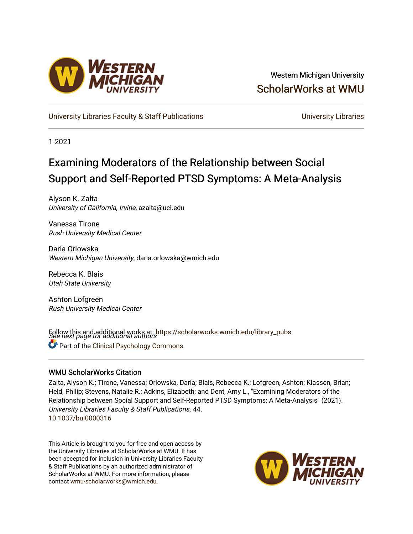

# Western Michigan University [ScholarWorks at WMU](https://scholarworks.wmich.edu/)

[University Libraries Faculty & Staff Publications](https://scholarworks.wmich.edu/library_pubs) **Exercise State State Conversity Libraries** 

1-2021

# Examining Moderators of the Relationship between Social Support and Self-Reported PTSD Symptoms: A Meta-Analysis

Alyson K. Zalta University of California, Irvine, azalta@uci.edu

Vanessa Tirone Rush University Medical Center

Daria Orlowska Western Michigan University, daria.orlowska@wmich.edu

Rebecca K. Blais Utah State University

Ashton Lofgreen Rush University Medical Center

Follow this and additional works at: https://scholarworks.wmich.edu/library\_pubs<br>See next page for additional authors **Part of the Clinical Psychology Commons** 

# WMU ScholarWorks Citation

Zalta, Alyson K.; Tirone, Vanessa; Orlowska, Daria; Blais, Rebecca K.; Lofgreen, Ashton; Klassen, Brian; Held, Philip; Stevens, Natalie R.; Adkins, Elizabeth; and Dent, Amy L., "Examining Moderators of the Relationship between Social Support and Self-Reported PTSD Symptoms: A Meta-Analysis" (2021). University Libraries Faculty & Staff Publications. 44. <10.1037/bul0000316>

This Article is brought to you for free and open access by the University Libraries at ScholarWorks at WMU. It has been accepted for inclusion in University Libraries Faculty & Staff Publications by an authorized administrator of ScholarWorks at WMU. For more information, please contact [wmu-scholarworks@wmich.edu](mailto:wmu-scholarworks@wmich.edu).

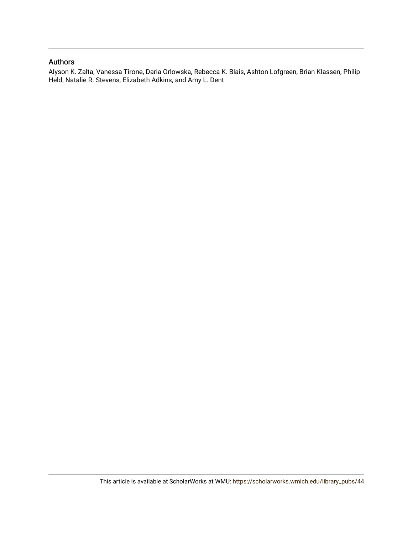# Authors

Alyson K. Zalta, Vanessa Tirone, Daria Orlowska, Rebecca K. Blais, Ashton Lofgreen, Brian Klassen, Philip Held, Natalie R. Stevens, Elizabeth Adkins, and Amy L. Dent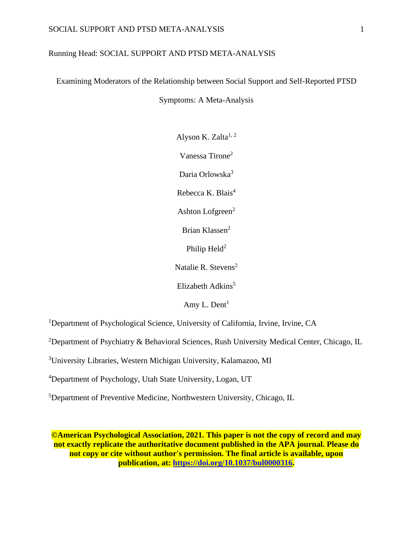# Running Head: SOCIAL SUPPORT AND PTSD META-ANALYSIS

Examining Moderators of the Relationship between Social Support and Self-Reported PTSD

Symptoms: A Meta-Analysis

Alyson K. Zalta $1, 2$ Vanessa Tirone<sup>2</sup> Daria Orlowska<sup>3</sup> Rebecca K. Blais $4$ Ashton Lofgreen $2$ Brian Klassen<sup>2</sup> Philip  $Held<sup>2</sup>$ 

Natalie R. Stevens<sup>2</sup>

Elizabeth Adkins<sup>5</sup>

Amy L. Dent<sup>1</sup>

<sup>1</sup>Department of Psychological Science, University of California, Irvine, Irvine, CA

<sup>2</sup>Department of Psychiatry & Behavioral Sciences, Rush University Medical Center, Chicago, IL

<sup>3</sup>University Libraries, Western Michigan University, Kalamazoo, MI

<sup>4</sup>Department of Psychology, Utah State University, Logan, UT

<sup>5</sup>Department of Preventive Medicine, Northwestern University, Chicago, IL

**©American Psychological Association, 2021. This paper is not the copy of record and may not exactly replicate the authoritative document published in the APA journal. Please do not copy or cite without author's permission. The final article is available, upon publication, at: [https://doi.org/10.1037/bul0000316.](https://doi.org/10.1037/bul0000316)**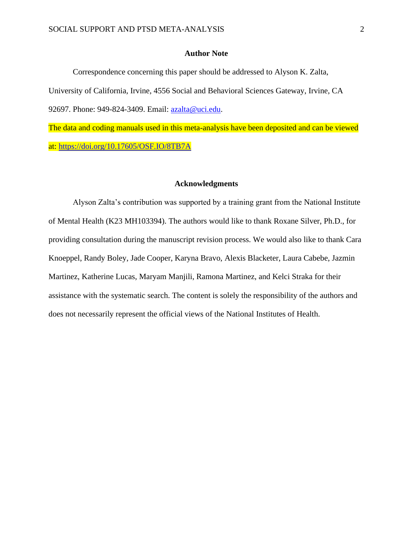# **Author Note**

Correspondence concerning this paper should be addressed to Alyson K. Zalta, University of California, Irvine, 4556 Social and Behavioral Sciences Gateway, Irvine, CA 92697. Phone: 949-824-3409. Email: [azalta@uci.edu.](mailto:azalta@uci.edu)

The data and coding manuals used in this meta-analysis have been deposited and can be viewed at:<https://doi.org/10.17605/OSF.IO/8TB7A>

# **Acknowledgments**

Alyson Zalta's contribution was supported by a training grant from the National Institute of Mental Health (K23 MH103394). The authors would like to thank Roxane Silver, Ph.D., for providing consultation during the manuscript revision process. We would also like to thank Cara Knoeppel, Randy Boley, Jade Cooper, Karyna Bravo, Alexis Blacketer, Laura Cabebe, Jazmin Martinez, Katherine Lucas, Maryam Manjili, Ramona Martinez, and Kelci Straka for their assistance with the systematic search. The content is solely the responsibility of the authors and does not necessarily represent the official views of the National Institutes of Health.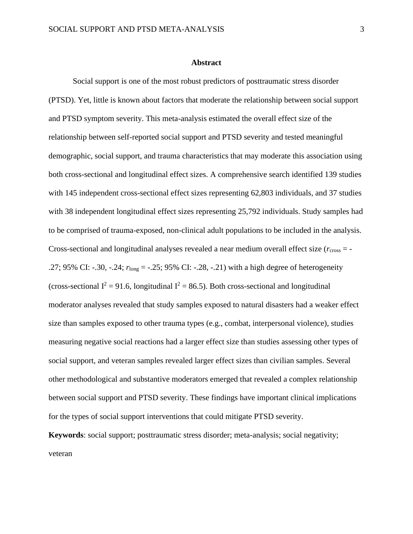#### **Abstract**

Social support is one of the most robust predictors of posttraumatic stress disorder (PTSD). Yet, little is known about factors that moderate the relationship between social support and PTSD symptom severity. This meta-analysis estimated the overall effect size of the relationship between self-reported social support and PTSD severity and tested meaningful demographic, social support, and trauma characteristics that may moderate this association using both cross-sectional and longitudinal effect sizes. A comprehensive search identified 139 studies with 145 independent cross-sectional effect sizes representing 62,803 individuals, and 37 studies with 38 independent longitudinal effect sizes representing 25,792 individuals. Study samples had to be comprised of trauma-exposed, non-clinical adult populations to be included in the analysis. Cross-sectional and longitudinal analyses revealed a near medium overall effect size ( $r_{\text{cross}} = -$ .27; 95% CI: -.30, -.24; *r*long = -.25; 95% CI: -.28, -.21) with a high degree of heterogeneity (cross-sectional  $I^2 = 91.6$ , longitudinal  $I^2 = 86.5$ ). Both cross-sectional and longitudinal moderator analyses revealed that study samples exposed to natural disasters had a weaker effect size than samples exposed to other trauma types (e.g., combat, interpersonal violence), studies measuring negative social reactions had a larger effect size than studies assessing other types of social support, and veteran samples revealed larger effect sizes than civilian samples. Several other methodological and substantive moderators emerged that revealed a complex relationship between social support and PTSD severity. These findings have important clinical implications for the types of social support interventions that could mitigate PTSD severity.

**Keywords**: social support; posttraumatic stress disorder; meta-analysis; social negativity; veteran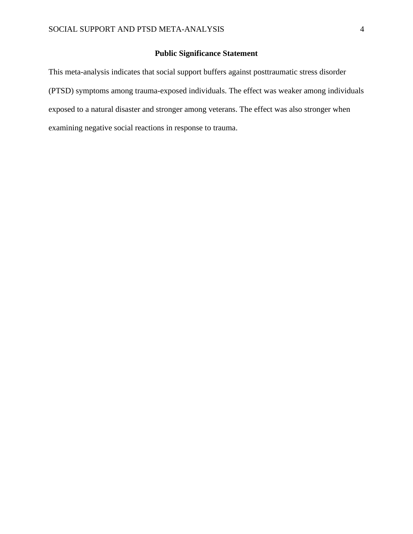# **Public Significance Statement**

This meta-analysis indicates that social support buffers against posttraumatic stress disorder (PTSD) symptoms among trauma-exposed individuals. The effect was weaker among individuals exposed to a natural disaster and stronger among veterans. The effect was also stronger when examining negative social reactions in response to trauma.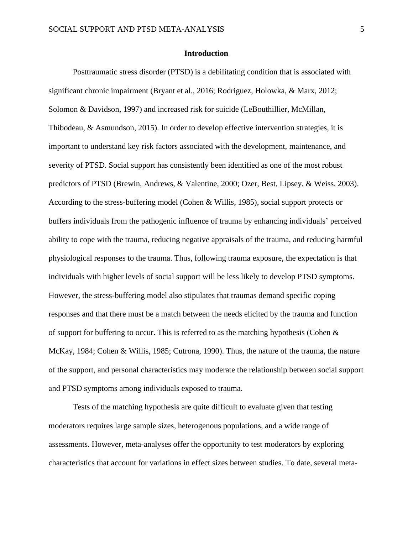# **Introduction**

Posttraumatic stress disorder (PTSD) is a debilitating condition that is associated with significant chronic impairment (Bryant et al., 2016; Rodriguez, Holowka, & Marx, 2012; Solomon & Davidson, 1997) and increased risk for suicide (LeBouthillier, McMillan, Thibodeau, & Asmundson, 2015). In order to develop effective intervention strategies, it is important to understand key risk factors associated with the development, maintenance, and severity of PTSD. Social support has consistently been identified as one of the most robust predictors of PTSD (Brewin, Andrews, & Valentine, 2000; Ozer, Best, Lipsey, & Weiss, 2003). According to the stress-buffering model (Cohen & Willis, 1985), social support protects or buffers individuals from the pathogenic influence of trauma by enhancing individuals' perceived ability to cope with the trauma, reducing negative appraisals of the trauma, and reducing harmful physiological responses to the trauma. Thus, following trauma exposure, the expectation is that individuals with higher levels of social support will be less likely to develop PTSD symptoms. However, the stress-buffering model also stipulates that traumas demand specific coping responses and that there must be a match between the needs elicited by the trauma and function of support for buffering to occur. This is referred to as the matching hypothesis (Cohen  $\&$ McKay, 1984; Cohen & Willis, 1985; Cutrona, 1990). Thus, the nature of the trauma, the nature of the support, and personal characteristics may moderate the relationship between social support and PTSD symptoms among individuals exposed to trauma.

Tests of the matching hypothesis are quite difficult to evaluate given that testing moderators requires large sample sizes, heterogenous populations, and a wide range of assessments. However, meta-analyses offer the opportunity to test moderators by exploring characteristics that account for variations in effect sizes between studies. To date, several meta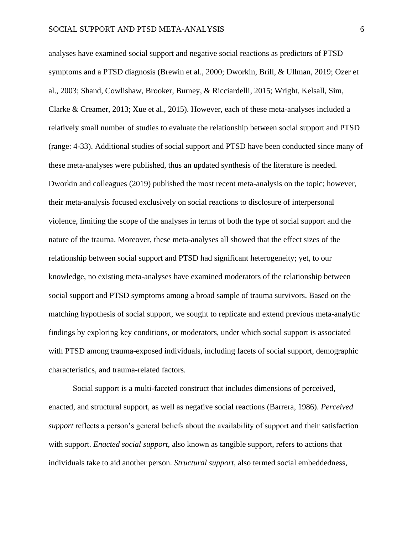analyses have examined social support and negative social reactions as predictors of PTSD symptoms and a PTSD diagnosis (Brewin et al., 2000; Dworkin, Brill, & Ullman, 2019; Ozer et al., 2003; Shand, Cowlishaw, Brooker, Burney, & Ricciardelli, 2015; Wright, Kelsall, Sim, Clarke & Creamer, 2013; Xue et al., 2015). However, each of these meta-analyses included a relatively small number of studies to evaluate the relationship between social support and PTSD (range: 4-33). Additional studies of social support and PTSD have been conducted since many of these meta-analyses were published, thus an updated synthesis of the literature is needed. Dworkin and colleagues (2019) published the most recent meta-analysis on the topic; however, their meta-analysis focused exclusively on social reactions to disclosure of interpersonal violence, limiting the scope of the analyses in terms of both the type of social support and the nature of the trauma. Moreover, these meta-analyses all showed that the effect sizes of the relationship between social support and PTSD had significant heterogeneity; yet, to our knowledge, no existing meta-analyses have examined moderators of the relationship between social support and PTSD symptoms among a broad sample of trauma survivors. Based on the matching hypothesis of social support, we sought to replicate and extend previous meta-analytic findings by exploring key conditions, or moderators, under which social support is associated with PTSD among trauma-exposed individuals, including facets of social support, demographic characteristics, and trauma-related factors.

Social support is a multi-faceted construct that includes dimensions of perceived, enacted, and structural support, as well as negative social reactions (Barrera, 1986). *Perceived support* reflects a person's general beliefs about the availability of support and their satisfaction with support. *Enacted social support*, also known as tangible support, refers to actions that individuals take to aid another person. *Structural support*, also termed social embeddedness,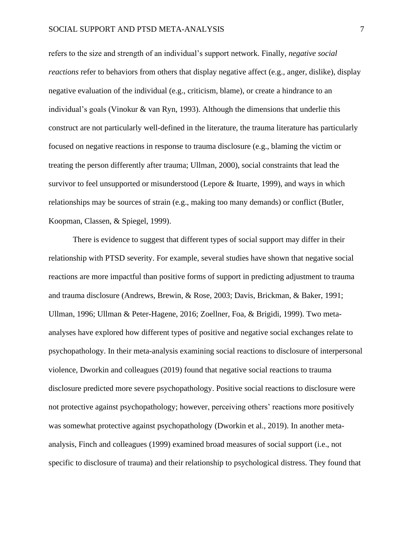refers to the size and strength of an individual's support network. Finally, *negative social reactions* refer to behaviors from others that display negative affect (e.g., anger, dislike), display negative evaluation of the individual (e.g., criticism, blame), or create a hindrance to an individual's goals (Vinokur & van Ryn, 1993). Although the dimensions that underlie this construct are not particularly well-defined in the literature, the trauma literature has particularly focused on negative reactions in response to trauma disclosure (e.g., blaming the victim or treating the person differently after trauma; Ullman, 2000), social constraints that lead the survivor to feel unsupported or misunderstood (Lepore & Ituarte, 1999), and ways in which relationships may be sources of strain (e.g., making too many demands) or conflict (Butler, Koopman, Classen, & Spiegel, 1999).

There is evidence to suggest that different types of social support may differ in their relationship with PTSD severity. For example, several studies have shown that negative social reactions are more impactful than positive forms of support in predicting adjustment to trauma and trauma disclosure (Andrews, Brewin, & Rose, 2003; Davis, Brickman, & Baker, 1991; Ullman, 1996; Ullman & Peter-Hagene, 2016; Zoellner, Foa, & Brigidi, 1999). Two metaanalyses have explored how different types of positive and negative social exchanges relate to psychopathology. In their meta-analysis examining social reactions to disclosure of interpersonal violence, Dworkin and colleagues (2019) found that negative social reactions to trauma disclosure predicted more severe psychopathology. Positive social reactions to disclosure were not protective against psychopathology; however, perceiving others' reactions more positively was somewhat protective against psychopathology (Dworkin et al., 2019). In another metaanalysis, Finch and colleagues (1999) examined broad measures of social support (i.e., not specific to disclosure of trauma) and their relationship to psychological distress. They found that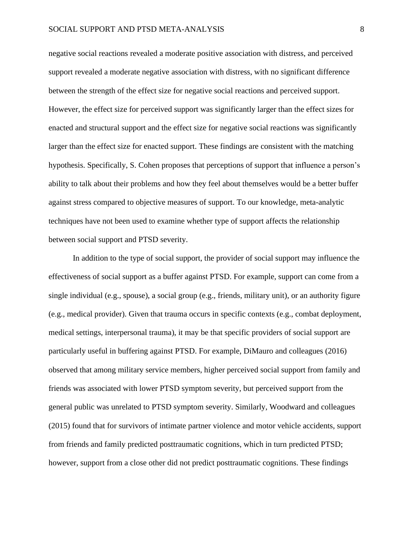negative social reactions revealed a moderate positive association with distress, and perceived support revealed a moderate negative association with distress, with no significant difference between the strength of the effect size for negative social reactions and perceived support. However, the effect size for perceived support was significantly larger than the effect sizes for enacted and structural support and the effect size for negative social reactions was significantly larger than the effect size for enacted support. These findings are consistent with the matching hypothesis. Specifically, S. Cohen proposes that perceptions of support that influence a person's ability to talk about their problems and how they feel about themselves would be a better buffer against stress compared to objective measures of support. To our knowledge, meta-analytic techniques have not been used to examine whether type of support affects the relationship between social support and PTSD severity.

In addition to the type of social support, the provider of social support may influence the effectiveness of social support as a buffer against PTSD. For example, support can come from a single individual (e.g., spouse), a social group (e.g., friends, military unit), or an authority figure (e.g., medical provider). Given that trauma occurs in specific contexts (e.g., combat deployment, medical settings, interpersonal trauma), it may be that specific providers of social support are particularly useful in buffering against PTSD. For example, DiMauro and colleagues (2016) observed that among military service members, higher perceived social support from family and friends was associated with lower PTSD symptom severity, but perceived support from the general public was unrelated to PTSD symptom severity. Similarly, Woodward and colleagues (2015) found that for survivors of intimate partner violence and motor vehicle accidents, support from friends and family predicted posttraumatic cognitions, which in turn predicted PTSD; however, support from a close other did not predict posttraumatic cognitions. These findings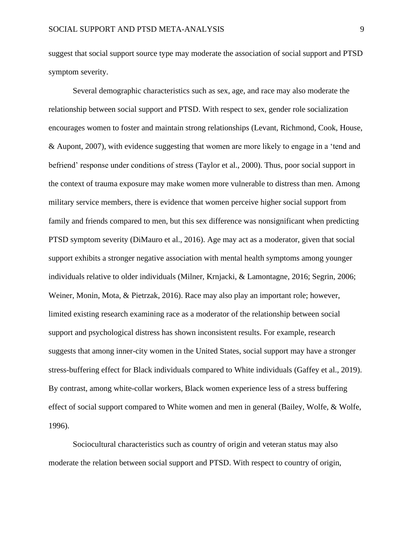suggest that social support source type may moderate the association of social support and PTSD symptom severity.

Several demographic characteristics such as sex, age, and race may also moderate the relationship between social support and PTSD. With respect to sex, gender role socialization encourages women to foster and maintain strong relationships (Levant, Richmond, Cook, House, & Aupont, 2007), with evidence suggesting that women are more likely to engage in a 'tend and befriend' response under conditions of stress (Taylor et al., 2000). Thus, poor social support in the context of trauma exposure may make women more vulnerable to distress than men. Among military service members, there is evidence that women perceive higher social support from family and friends compared to men, but this sex difference was nonsignificant when predicting PTSD symptom severity (DiMauro et al., 2016). Age may act as a moderator, given that social support exhibits a stronger negative association with mental health symptoms among younger individuals relative to older individuals (Milner, Krnjacki, & Lamontagne, 2016; Segrin, 2006; Weiner, Monin, Mota, & Pietrzak, 2016). Race may also play an important role; however, limited existing research examining race as a moderator of the relationship between social support and psychological distress has shown inconsistent results. For example, research suggests that among inner-city women in the United States, social support may have a stronger stress-buffering effect for Black individuals compared to White individuals (Gaffey et al., 2019). By contrast, among white-collar workers, Black women experience less of a stress buffering effect of social support compared to White women and men in general (Bailey, Wolfe, & Wolfe, 1996).

Sociocultural characteristics such as country of origin and veteran status may also moderate the relation between social support and PTSD. With respect to country of origin,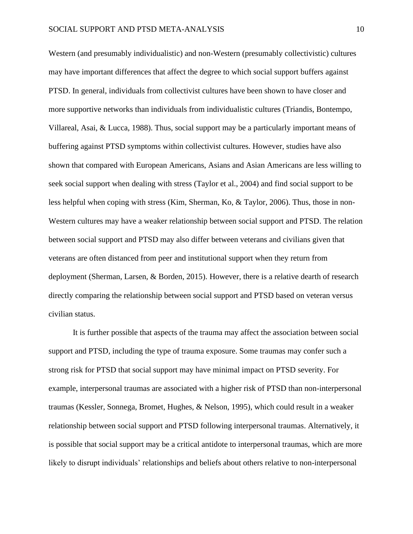Western (and presumably individualistic) and non-Western (presumably collectivistic) cultures may have important differences that affect the degree to which social support buffers against PTSD. In general, individuals from collectivist cultures have been shown to have closer and more supportive networks than individuals from individualistic cultures (Triandis, Bontempo, Villareal, Asai, & Lucca, 1988). Thus, social support may be a particularly important means of buffering against PTSD symptoms within collectivist cultures. However, studies have also shown that compared with European Americans, Asians and Asian Americans are less willing to seek social support when dealing with stress (Taylor et al., 2004) and find social support to be less helpful when coping with stress (Kim, Sherman, Ko, & Taylor, 2006). Thus, those in non-Western cultures may have a weaker relationship between social support and PTSD. The relation between social support and PTSD may also differ between veterans and civilians given that veterans are often distanced from peer and institutional support when they return from deployment (Sherman, Larsen, & Borden, 2015). However, there is a relative dearth of research directly comparing the relationship between social support and PTSD based on veteran versus civilian status.

It is further possible that aspects of the trauma may affect the association between social support and PTSD, including the type of trauma exposure. Some traumas may confer such a strong risk for PTSD that social support may have minimal impact on PTSD severity. For example, interpersonal traumas are associated with a higher risk of PTSD than non-interpersonal traumas (Kessler, Sonnega, Bromet, Hughes, & Nelson, 1995), which could result in a weaker relationship between social support and PTSD following interpersonal traumas. Alternatively, it is possible that social support may be a critical antidote to interpersonal traumas, which are more likely to disrupt individuals' relationships and beliefs about others relative to non-interpersonal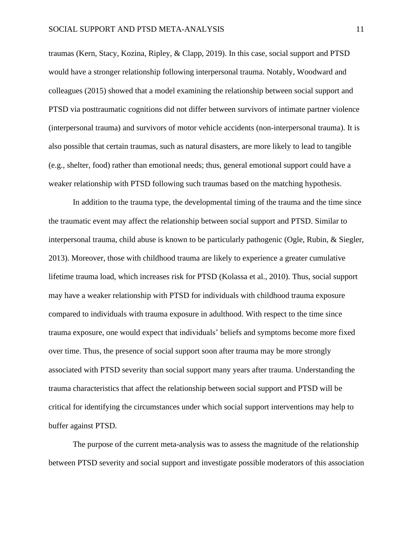traumas (Kern, Stacy, Kozina, Ripley, & Clapp, 2019). In this case, social support and PTSD would have a stronger relationship following interpersonal trauma. Notably, Woodward and colleagues (2015) showed that a model examining the relationship between social support and PTSD via posttraumatic cognitions did not differ between survivors of intimate partner violence (interpersonal trauma) and survivors of motor vehicle accidents (non-interpersonal trauma). It is also possible that certain traumas, such as natural disasters, are more likely to lead to tangible (e.g., shelter, food) rather than emotional needs; thus, general emotional support could have a weaker relationship with PTSD following such traumas based on the matching hypothesis.

In addition to the trauma type, the developmental timing of the trauma and the time since the traumatic event may affect the relationship between social support and PTSD. Similar to interpersonal trauma, child abuse is known to be particularly pathogenic (Ogle, Rubin, & Siegler, 2013). Moreover, those with childhood trauma are likely to experience a greater cumulative lifetime trauma load, which increases risk for PTSD (Kolassa et al., 2010). Thus, social support may have a weaker relationship with PTSD for individuals with childhood trauma exposure compared to individuals with trauma exposure in adulthood. With respect to the time since trauma exposure, one would expect that individuals' beliefs and symptoms become more fixed over time. Thus, the presence of social support soon after trauma may be more strongly associated with PTSD severity than social support many years after trauma. Understanding the trauma characteristics that affect the relationship between social support and PTSD will be critical for identifying the circumstances under which social support interventions may help to buffer against PTSD.

The purpose of the current meta-analysis was to assess the magnitude of the relationship between PTSD severity and social support and investigate possible moderators of this association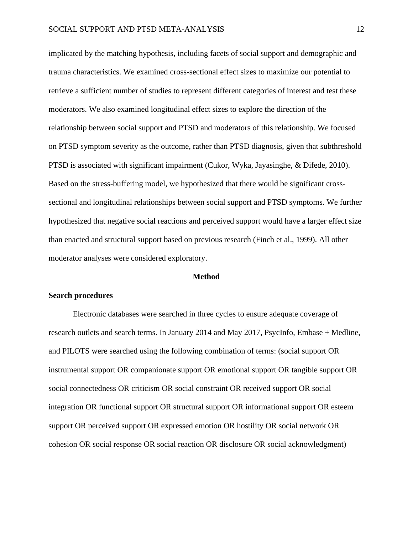implicated by the matching hypothesis, including facets of social support and demographic and trauma characteristics. We examined cross-sectional effect sizes to maximize our potential to retrieve a sufficient number of studies to represent different categories of interest and test these moderators. We also examined longitudinal effect sizes to explore the direction of the relationship between social support and PTSD and moderators of this relationship. We focused on PTSD symptom severity as the outcome, rather than PTSD diagnosis, given that subthreshold PTSD is associated with significant impairment (Cukor, Wyka, Jayasinghe, & Difede, 2010). Based on the stress-buffering model, we hypothesized that there would be significant crosssectional and longitudinal relationships between social support and PTSD symptoms. We further hypothesized that negative social reactions and perceived support would have a larger effect size than enacted and structural support based on previous research (Finch et al., 1999). All other moderator analyses were considered exploratory.

## **Method**

#### **Search procedures**

Electronic databases were searched in three cycles to ensure adequate coverage of research outlets and search terms. In January 2014 and May 2017, PsycInfo, Embase + Medline, and PILOTS were searched using the following combination of terms: (social support OR instrumental support OR companionate support OR emotional support OR tangible support OR social connectedness OR criticism OR social constraint OR received support OR social integration OR functional support OR structural support OR informational support OR esteem support OR perceived support OR expressed emotion OR hostility OR social network OR cohesion OR social response OR social reaction OR disclosure OR social acknowledgment)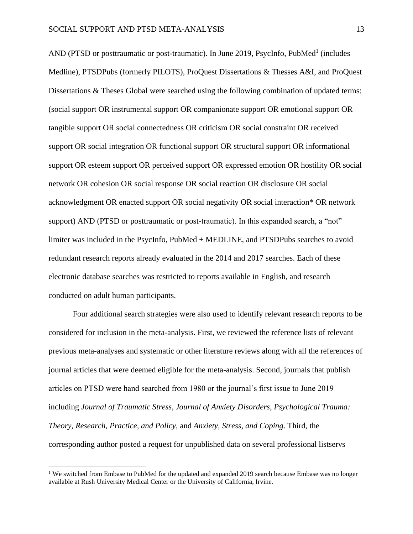AND (PTSD or posttraumatic or post-traumatic). In June 2019, PsycInfo, PubMed<sup>1</sup> (includes Medline), PTSDPubs (formerly PILOTS), ProQuest Dissertations & Thesses A&I, and ProQuest Dissertations & Theses Global were searched using the following combination of updated terms: (social support OR instrumental support OR companionate support OR emotional support OR tangible support OR social connectedness OR criticism OR social constraint OR received support OR social integration OR functional support OR structural support OR informational support OR esteem support OR perceived support OR expressed emotion OR hostility OR social network OR cohesion OR social response OR social reaction OR disclosure OR social acknowledgment OR enacted support OR social negativity OR social interaction\* OR network support) AND (PTSD or posttraumatic or post-traumatic). In this expanded search, a "not" limiter was included in the PsycInfo, PubMed + MEDLINE, and PTSDPubs searches to avoid redundant research reports already evaluated in the 2014 and 2017 searches. Each of these electronic database searches was restricted to reports available in English, and research conducted on adult human participants.

Four additional search strategies were also used to identify relevant research reports to be considered for inclusion in the meta-analysis. First, we reviewed the reference lists of relevant previous meta-analyses and systematic or other literature reviews along with all the references of journal articles that were deemed eligible for the meta-analysis. Second, journals that publish articles on PTSD were hand searched from 1980 or the journal's first issue to June 2019 including *Journal of Traumatic Stress*, *Journal of Anxiety Disorders*, *Psychological Trauma: Theory, Research, Practice, and Policy*, and *Anxiety, Stress, and Coping*. Third, the corresponding author posted a request for unpublished data on several professional listservs

<sup>&</sup>lt;sup>1</sup> We switched from Embase to PubMed for the updated and expanded 2019 search because Embase was no longer available at Rush University Medical Center or the University of California, Irvine.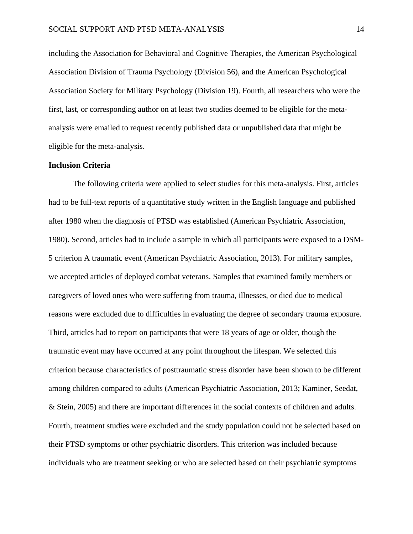including the Association for Behavioral and Cognitive Therapies, the American Psychological Association Division of Trauma Psychology (Division 56), and the American Psychological Association Society for Military Psychology (Division 19). Fourth, all researchers who were the first, last, or corresponding author on at least two studies deemed to be eligible for the metaanalysis were emailed to request recently published data or unpublished data that might be eligible for the meta-analysis.

# **Inclusion Criteria**

The following criteria were applied to select studies for this meta-analysis. First, articles had to be full-text reports of a quantitative study written in the English language and published after 1980 when the diagnosis of PTSD was established (American Psychiatric Association, 1980). Second, articles had to include a sample in which all participants were exposed to a DSM-5 criterion A traumatic event (American Psychiatric Association, 2013). For military samples, we accepted articles of deployed combat veterans. Samples that examined family members or caregivers of loved ones who were suffering from trauma, illnesses, or died due to medical reasons were excluded due to difficulties in evaluating the degree of secondary trauma exposure. Third, articles had to report on participants that were 18 years of age or older, though the traumatic event may have occurred at any point throughout the lifespan. We selected this criterion because characteristics of posttraumatic stress disorder have been shown to be different among children compared to adults (American Psychiatric Association, 2013; Kaminer, Seedat, & Stein, 2005) and there are important differences in the social contexts of children and adults. Fourth, treatment studies were excluded and the study population could not be selected based on their PTSD symptoms or other psychiatric disorders. This criterion was included because individuals who are treatment seeking or who are selected based on their psychiatric symptoms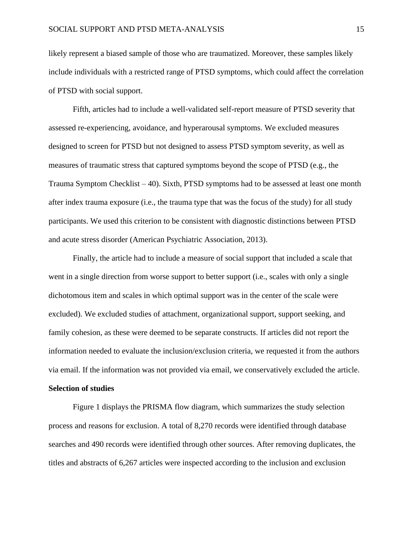likely represent a biased sample of those who are traumatized. Moreover, these samples likely include individuals with a restricted range of PTSD symptoms, which could affect the correlation of PTSD with social support.

Fifth, articles had to include a well-validated self-report measure of PTSD severity that assessed re-experiencing, avoidance, and hyperarousal symptoms. We excluded measures designed to screen for PTSD but not designed to assess PTSD symptom severity, as well as measures of traumatic stress that captured symptoms beyond the scope of PTSD (e.g., the Trauma Symptom Checklist – 40). Sixth, PTSD symptoms had to be assessed at least one month after index trauma exposure (i.e., the trauma type that was the focus of the study) for all study participants. We used this criterion to be consistent with diagnostic distinctions between PTSD and acute stress disorder (American Psychiatric Association, 2013).

Finally, the article had to include a measure of social support that included a scale that went in a single direction from worse support to better support (i.e., scales with only a single dichotomous item and scales in which optimal support was in the center of the scale were excluded). We excluded studies of attachment, organizational support, support seeking, and family cohesion, as these were deemed to be separate constructs. If articles did not report the information needed to evaluate the inclusion/exclusion criteria, we requested it from the authors via email. If the information was not provided via email, we conservatively excluded the article. **Selection of studies**

Figure 1 displays the PRISMA flow diagram, which summarizes the study selection process and reasons for exclusion. A total of 8,270 records were identified through database searches and 490 records were identified through other sources. After removing duplicates, the titles and abstracts of 6,267 articles were inspected according to the inclusion and exclusion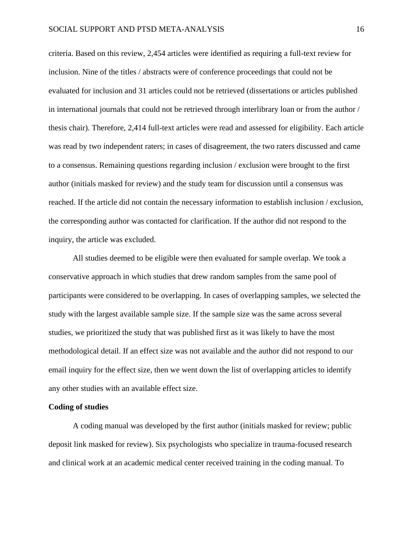criteria. Based on this review, 2,454 articles were identified as requiring a full-text review for inclusion. Nine of the titles / abstracts were of conference proceedings that could not be evaluated for inclusion and 31 articles could not be retrieved (dissertations or articles published in international journals that could not be retrieved through interlibrary loan or from the author / thesis chair). Therefore, 2,414 full-text articles were read and assessed for eligibility. Each article was read by two independent raters; in cases of disagreement, the two raters discussed and came to a consensus. Remaining questions regarding inclusion / exclusion were brought to the first author (initials masked for review) and the study team for discussion until a consensus was reached. If the article did not contain the necessary information to establish inclusion / exclusion, the corresponding author was contacted for clarification. If the author did not respond to the inquiry, the article was excluded.

All studies deemed to be eligible were then evaluated for sample overlap. We took a conservative approach in which studies that drew random samples from the same pool of participants were considered to be overlapping. In cases of overlapping samples, we selected the study with the largest available sample size. If the sample size was the same across several studies, we prioritized the study that was published first as it was likely to have the most methodological detail. If an effect size was not available and the author did not respond to our email inquiry for the effect size, then we went down the list of overlapping articles to identify any other studies with an available effect size.

# **Coding of studies**

A coding manual was developed by the first author (initials masked for review; public deposit link masked for review). Six psychologists who specialize in trauma-focused research and clinical work at an academic medical center received training in the coding manual. To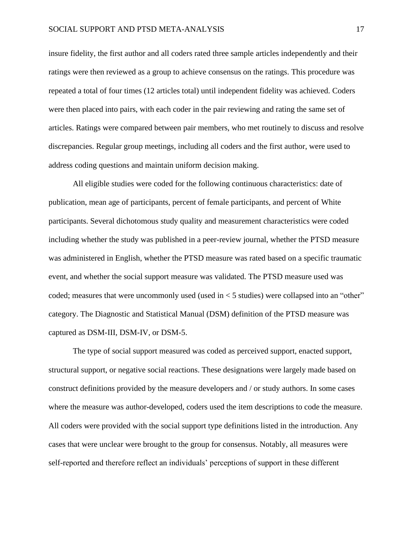insure fidelity, the first author and all coders rated three sample articles independently and their ratings were then reviewed as a group to achieve consensus on the ratings. This procedure was repeated a total of four times (12 articles total) until independent fidelity was achieved. Coders were then placed into pairs, with each coder in the pair reviewing and rating the same set of articles. Ratings were compared between pair members, who met routinely to discuss and resolve discrepancies. Regular group meetings, including all coders and the first author, were used to address coding questions and maintain uniform decision making.

All eligible studies were coded for the following continuous characteristics: date of publication, mean age of participants, percent of female participants, and percent of White participants. Several dichotomous study quality and measurement characteristics were coded including whether the study was published in a peer-review journal, whether the PTSD measure was administered in English, whether the PTSD measure was rated based on a specific traumatic event, and whether the social support measure was validated. The PTSD measure used was coded; measures that were uncommonly used (used in < 5 studies) were collapsed into an "other" category. The Diagnostic and Statistical Manual (DSM) definition of the PTSD measure was captured as DSM-III, DSM-IV, or DSM-5.

The type of social support measured was coded as perceived support, enacted support, structural support, or negative social reactions. These designations were largely made based on construct definitions provided by the measure developers and / or study authors. In some cases where the measure was author-developed, coders used the item descriptions to code the measure. All coders were provided with the social support type definitions listed in the introduction. Any cases that were unclear were brought to the group for consensus. Notably, all measures were self-reported and therefore reflect an individuals' perceptions of support in these different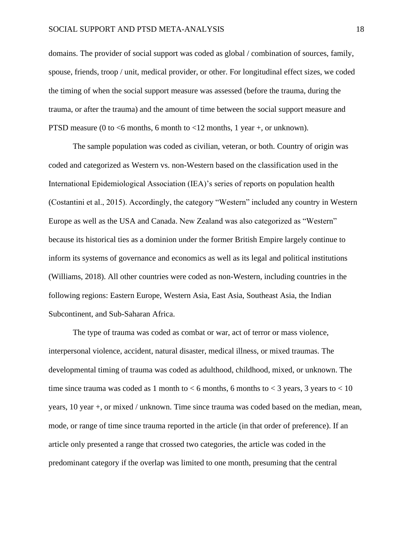# SOCIAL SUPPORT AND PTSD META-ANALYSIS 18

domains. The provider of social support was coded as global / combination of sources, family, spouse, friends, troop / unit, medical provider, or other. For longitudinal effect sizes, we coded the timing of when the social support measure was assessed (before the trauma, during the trauma, or after the trauma) and the amount of time between the social support measure and PTSD measure (0 to  $\leq$ 6 months, 6 month to  $\leq$ 12 months, 1 year +, or unknown).

The sample population was coded as civilian, veteran, or both. Country of origin was coded and categorized as Western vs. non-Western based on the classification used in the International Epidemiological Association (IEA)'s series of reports on population health (Costantini et al., 2015). Accordingly, the category "Western" included any country in Western Europe as well as the USA and Canada. New Zealand was also categorized as "Western" because its historical ties as a dominion under the former British Empire largely continue to inform its systems of governance and economics as well as its legal and political institutions (Williams, 2018). All other countries were coded as non-Western, including countries in the following regions: Eastern Europe, Western Asia, East Asia, Southeast Asia, the Indian Subcontinent, and Sub-Saharan Africa.

The type of trauma was coded as combat or war, act of terror or mass violence, interpersonal violence, accident, natural disaster, medical illness, or mixed traumas. The developmental timing of trauma was coded as adulthood, childhood, mixed, or unknown. The time since trauma was coded as 1 month to  $<$  6 months, 6 months to  $<$  3 years, 3 years to  $<$  10 years, 10 year +, or mixed / unknown. Time since trauma was coded based on the median, mean, mode, or range of time since trauma reported in the article (in that order of preference). If an article only presented a range that crossed two categories, the article was coded in the predominant category if the overlap was limited to one month, presuming that the central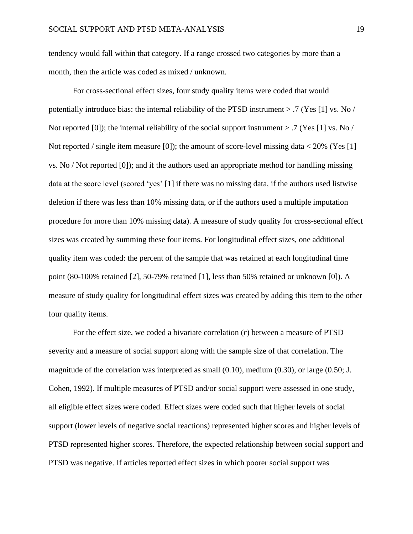tendency would fall within that category. If a range crossed two categories by more than a month, then the article was coded as mixed / unknown.

For cross-sectional effect sizes, four study quality items were coded that would potentially introduce bias: the internal reliability of the PTSD instrument > .7 (Yes [1] vs. No / Not reported [0]); the internal reliability of the social support instrument  $> .7$  (Yes [1] vs. No / Not reported / single item measure [0]); the amount of score-level missing data < 20% (Yes [1] vs. No / Not reported [0]); and if the authors used an appropriate method for handling missing data at the score level (scored 'yes' [1] if there was no missing data, if the authors used listwise deletion if there was less than 10% missing data, or if the authors used a multiple imputation procedure for more than 10% missing data). A measure of study quality for cross-sectional effect sizes was created by summing these four items. For longitudinal effect sizes, one additional quality item was coded: the percent of the sample that was retained at each longitudinal time point (80-100% retained [2], 50-79% retained [1], less than 50% retained or unknown [0]). A measure of study quality for longitudinal effect sizes was created by adding this item to the other four quality items.

For the effect size, we coded a bivariate correlation (*r*) between a measure of PTSD severity and a measure of social support along with the sample size of that correlation. The magnitude of the correlation was interpreted as small (0.10), medium (0.30), or large (0.50; J. Cohen, 1992). If multiple measures of PTSD and/or social support were assessed in one study, all eligible effect sizes were coded. Effect sizes were coded such that higher levels of social support (lower levels of negative social reactions) represented higher scores and higher levels of PTSD represented higher scores. Therefore, the expected relationship between social support and PTSD was negative. If articles reported effect sizes in which poorer social support was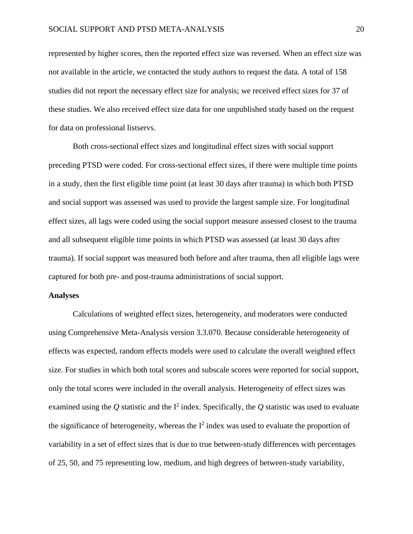represented by higher scores, then the reported effect size was reversed. When an effect size was not available in the article, we contacted the study authors to request the data. A total of 158 studies did not report the necessary effect size for analysis; we received effect sizes for 37 of these studies. We also received effect size data for one unpublished study based on the request for data on professional listservs.

Both cross-sectional effect sizes and longitudinal effect sizes with social support preceding PTSD were coded. For cross-sectional effect sizes, if there were multiple time points in a study, then the first eligible time point (at least 30 days after trauma) in which both PTSD and social support was assessed was used to provide the largest sample size. For longitudinal effect sizes, all lags were coded using the social support measure assessed closest to the trauma and all subsequent eligible time points in which PTSD was assessed (at least 30 days after trauma). If social support was measured both before and after trauma, then all eligible lags were captured for both pre- and post-trauma administrations of social support.

# **Analyses**

Calculations of weighted effect sizes, heterogeneity, and moderators were conducted using Comprehensive Meta-Analysis version 3.3.070. Because considerable heterogeneity of effects was expected, random effects models were used to calculate the overall weighted effect size. For studies in which both total scores and subscale scores were reported for social support, only the total scores were included in the overall analysis. Heterogeneity of effect sizes was examined using the  $Q$  statistic and the  $I^2$  index. Specifically, the  $Q$  statistic was used to evaluate the significance of heterogeneity, whereas the  $I^2$  index was used to evaluate the proportion of variability in a set of effect sizes that is due to true between-study differences with percentages of 25, 50, and 75 representing low, medium, and high degrees of between-study variability,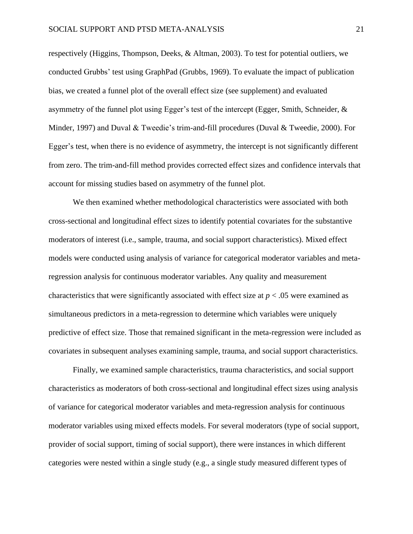respectively (Higgins, Thompson, Deeks, & Altman, 2003). To test for potential outliers, we conducted Grubbs' test using GraphPad (Grubbs, 1969). To evaluate the impact of publication bias, we created a funnel plot of the overall effect size (see supplement) and evaluated asymmetry of the funnel plot using Egger's test of the intercept (Egger, Smith, Schneider, & Minder, 1997) and Duval & Tweedie's trim-and-fill procedures (Duval & Tweedie, 2000). For Egger's test, when there is no evidence of asymmetry, the intercept is not significantly different from zero. The trim-and-fill method provides corrected effect sizes and confidence intervals that account for missing studies based on asymmetry of the funnel plot.

We then examined whether methodological characteristics were associated with both cross-sectional and longitudinal effect sizes to identify potential covariates for the substantive moderators of interest (i.e., sample, trauma, and social support characteristics). Mixed effect models were conducted using analysis of variance for categorical moderator variables and metaregression analysis for continuous moderator variables. Any quality and measurement characteristics that were significantly associated with effect size at  $p < .05$  were examined as simultaneous predictors in a meta-regression to determine which variables were uniquely predictive of effect size. Those that remained significant in the meta-regression were included as covariates in subsequent analyses examining sample, trauma, and social support characteristics.

Finally, we examined sample characteristics, trauma characteristics, and social support characteristics as moderators of both cross-sectional and longitudinal effect sizes using analysis of variance for categorical moderator variables and meta-regression analysis for continuous moderator variables using mixed effects models. For several moderators (type of social support, provider of social support, timing of social support), there were instances in which different categories were nested within a single study (e.g., a single study measured different types of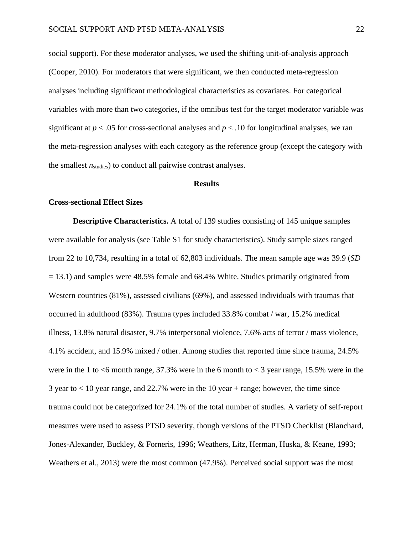social support). For these moderator analyses, we used the shifting unit-of-analysis approach (Cooper, 2010). For moderators that were significant, we then conducted meta-regression analyses including significant methodological characteristics as covariates. For categorical variables with more than two categories, if the omnibus test for the target moderator variable was significant at  $p < .05$  for cross-sectional analyses and  $p < .10$  for longitudinal analyses, we ran the meta-regression analyses with each category as the reference group (except the category with the smallest  $n_{\text{studies}}$  to conduct all pairwise contrast analyses.

### **Results**

# **Cross-sectional Effect Sizes**

**Descriptive Characteristics.** A total of 139 studies consisting of 145 unique samples were available for analysis (see Table S1 for study characteristics). Study sample sizes ranged from 22 to 10,734, resulting in a total of 62,803 individuals. The mean sample age was 39.9 (*SD* = 13.1) and samples were 48.5% female and 68.4% White. Studies primarily originated from Western countries (81%), assessed civilians (69%), and assessed individuals with traumas that occurred in adulthood (83%). Trauma types included 33.8% combat / war, 15.2% medical illness, 13.8% natural disaster, 9.7% interpersonal violence, 7.6% acts of terror / mass violence, 4.1% accident, and 15.9% mixed / other. Among studies that reported time since trauma, 24.5% were in the 1 to  $<6$  month range, 37.3% were in the 6 month to  $<3$  year range, 15.5% were in the 3 year to < 10 year range, and 22.7% were in the 10 year + range; however, the time since trauma could not be categorized for 24.1% of the total number of studies. A variety of self-report measures were used to assess PTSD severity, though versions of the PTSD Checklist (Blanchard, Jones-Alexander, Buckley, & Forneris, 1996; Weathers, Litz, Herman, Huska, & Keane, 1993; Weathers et al., 2013) were the most common (47.9%). Perceived social support was the most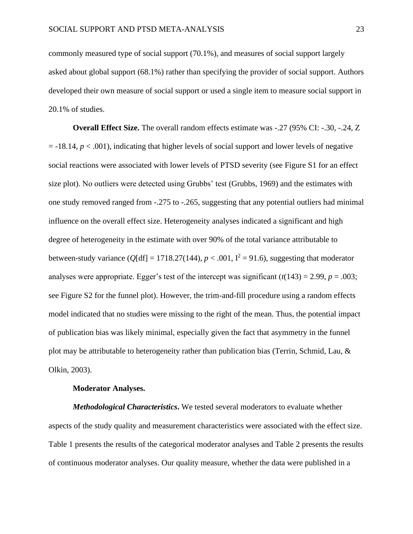commonly measured type of social support (70.1%), and measures of social support largely asked about global support (68.1%) rather than specifying the provider of social support. Authors developed their own measure of social support or used a single item to measure social support in 20.1% of studies.

**Overall Effect Size.** The overall random effects estimate was -.27 (95% CI: -.30, -.24, Z  $=$  -18.14,  $p < .001$ ), indicating that higher levels of social support and lower levels of negative social reactions were associated with lower levels of PTSD severity (see Figure S1 for an effect size plot). No outliers were detected using Grubbs' test (Grubbs, 1969) and the estimates with one study removed ranged from -.275 to -.265, suggesting that any potential outliers had minimal influence on the overall effect size. Heterogeneity analyses indicated a significant and high degree of heterogeneity in the estimate with over 90% of the total variance attributable to between-study variance ( $Q$ [df] = 1718.27(144),  $p < .001$ ,  $I^2 = 91.6$ ), suggesting that moderatoranalyses were appropriate. Egger's test of the intercept was significant  $(t(143) = 2.99, p = .003;$ see Figure S2 for the funnel plot). However, the trim-and-fill procedure using a random effects model indicated that no studies were missing to the right of the mean. Thus, the potential impact of publication bias was likely minimal, especially given the fact that asymmetry in the funnel plot may be attributable to heterogeneity rather than publication bias (Terrin, Schmid, Lau, & Olkin, 2003).

# **Moderator Analyses.**

*Methodological Characteristics***.** We tested several moderators to evaluate whether aspects of the study quality and measurement characteristics were associated with the effect size. Table 1 presents the results of the categorical moderator analyses and Table 2 presents the results of continuous moderator analyses. Our quality measure, whether the data were published in a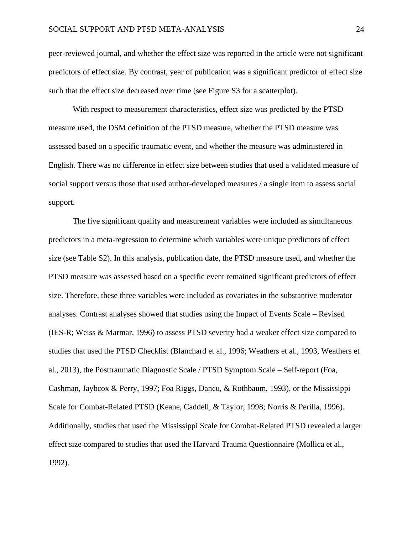peer-reviewed journal, and whether the effect size was reported in the article were not significant predictors of effect size. By contrast, year of publication was a significant predictor of effect size such that the effect size decreased over time (see Figure S3 for a scatterplot).

With respect to measurement characteristics, effect size was predicted by the PTSD measure used, the DSM definition of the PTSD measure, whether the PTSD measure was assessed based on a specific traumatic event, and whether the measure was administered in English. There was no difference in effect size between studies that used a validated measure of social support versus those that used author-developed measures / a single item to assess social support.

The five significant quality and measurement variables were included as simultaneous predictors in a meta-regression to determine which variables were unique predictors of effect size (see Table S2). In this analysis, publication date, the PTSD measure used, and whether the PTSD measure was assessed based on a specific event remained significant predictors of effect size. Therefore, these three variables were included as covariates in the substantive moderator analyses. Contrast analyses showed that studies using the Impact of Events Scale – Revised (IES-R; Weiss & Marmar, 1996) to assess PTSD severity had a weaker effect size compared to studies that used the PTSD Checklist (Blanchard et al., 1996; Weathers et al., 1993, Weathers et al., 2013), the Posttraumatic Diagnostic Scale / PTSD Symptom Scale – Self-report (Foa, Cashman, Jaybcox & Perry, 1997; Foa Riggs, Dancu, & Rothbaum, 1993), or the Mississippi Scale for Combat-Related PTSD (Keane, Caddell, & Taylor, 1998; Norris & Perilla, 1996). Additionally, studies that used the Mississippi Scale for Combat-Related PTSD revealed a larger effect size compared to studies that used the Harvard Trauma Questionnaire (Mollica et al., 1992).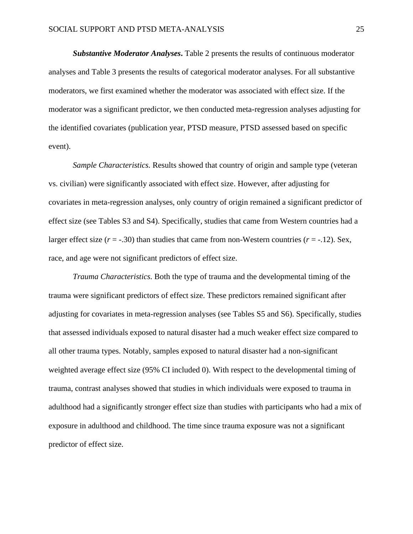*Substantive Moderator Analyses***.** Table 2 presents the results of continuous moderator analyses and Table 3 presents the results of categorical moderator analyses. For all substantive moderators, we first examined whether the moderator was associated with effect size. If the moderator was a significant predictor, we then conducted meta-regression analyses adjusting for the identified covariates (publication year, PTSD measure, PTSD assessed based on specific event).

*Sample Characteristics.* Results showed that country of origin and sample type (veteran vs. civilian) were significantly associated with effect size. However, after adjusting for covariates in meta-regression analyses, only country of origin remained a significant predictor of effect size (see Tables S3 and S4). Specifically, studies that came from Western countries had a larger effect size  $(r = -0.30)$  than studies that came from non-Western countries  $(r = -0.12)$ . Sex, race, and age were not significant predictors of effect size.

*Trauma Characteristics.* Both the type of trauma and the developmental timing of the trauma were significant predictors of effect size. These predictors remained significant after adjusting for covariates in meta-regression analyses (see Tables S5 and S6). Specifically, studies that assessed individuals exposed to natural disaster had a much weaker effect size compared to all other trauma types. Notably, samples exposed to natural disaster had a non-significant weighted average effect size (95% CI included 0). With respect to the developmental timing of trauma, contrast analyses showed that studies in which individuals were exposed to trauma in adulthood had a significantly stronger effect size than studies with participants who had a mix of exposure in adulthood and childhood. The time since trauma exposure was not a significant predictor of effect size.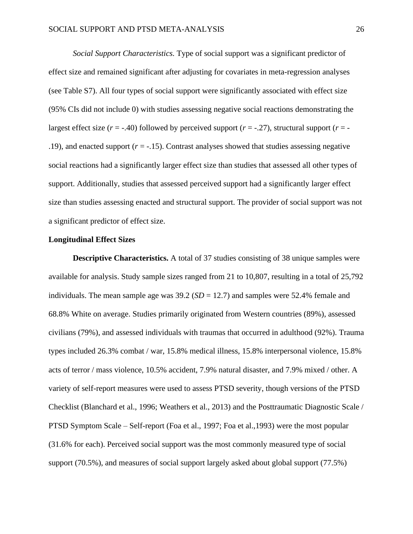*Social Support Characteristics.* Type of social support was a significant predictor of effect size and remained significant after adjusting for covariates in meta-regression analyses (see Table S7). All four types of social support were significantly associated with effect size (95% CIs did not include 0) with studies assessing negative social reactions demonstrating the largest effect size  $(r = -0.40)$  followed by perceived support  $(r = -0.27)$ , structural support  $(r = -0.27)$ .19), and enacted support  $(r = -15)$ . Contrast analyses showed that studies assessing negative social reactions had a significantly larger effect size than studies that assessed all other types of support. Additionally, studies that assessed perceived support had a significantly larger effect size than studies assessing enacted and structural support. The provider of social support was not a significant predictor of effect size.

# **Longitudinal Effect Sizes**

**Descriptive Characteristics.** A total of 37 studies consisting of 38 unique samples were available for analysis. Study sample sizes ranged from 21 to 10,807, resulting in a total of 25,792 individuals. The mean sample age was  $39.2$  ( $SD = 12.7$ ) and samples were 52.4% female and 68.8% White on average. Studies primarily originated from Western countries (89%), assessed civilians (79%), and assessed individuals with traumas that occurred in adulthood (92%). Trauma types included 26.3% combat / war, 15.8% medical illness, 15.8% interpersonal violence, 15.8% acts of terror / mass violence, 10.5% accident, 7.9% natural disaster, and 7.9% mixed / other. A variety of self-report measures were used to assess PTSD severity, though versions of the PTSD Checklist (Blanchard et al., 1996; Weathers et al., 2013) and the Posttraumatic Diagnostic Scale / PTSD Symptom Scale – Self-report (Foa et al., 1997; Foa et al.,1993) were the most popular (31.6% for each). Perceived social support was the most commonly measured type of social support (70.5%), and measures of social support largely asked about global support (77.5%)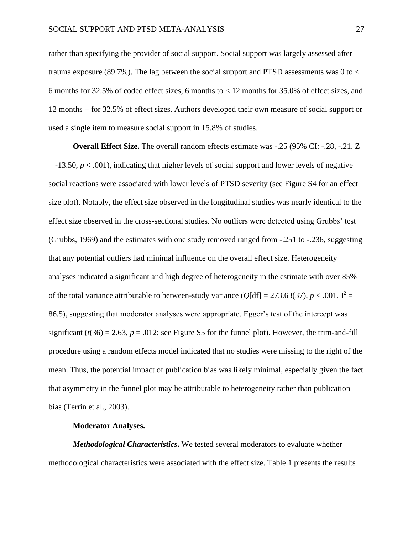rather than specifying the provider of social support. Social support was largely assessed after trauma exposure (89.7%). The lag between the social support and PTSD assessments was 0 to < 6 months for 32.5% of coded effect sizes, 6 months to  $<$  12 months for 35.0% of effect sizes, and 12 months + for 32.5% of effect sizes. Authors developed their own measure of social support or used a single item to measure social support in 15.8% of studies.

**Overall Effect Size.** The overall random effects estimate was -.25 (95% CI: -.28, -.21, Z  $=$  -13.50,  $p < .001$ ), indicating that higher levels of social support and lower levels of negative social reactions were associated with lower levels of PTSD severity (see Figure S4 for an effect size plot). Notably, the effect size observed in the longitudinal studies was nearly identical to the effect size observed in the cross-sectional studies. No outliers were detected using Grubbs' test (Grubbs,  $1969$ ) and the estimates with one study removed ranged from  $-0.251$  to  $-0.236$ , suggesting that any potential outliers had minimal influence on the overall effect size. Heterogeneity analyses indicated a significant and high degree of heterogeneity in the estimate with over 85% of the total variance attributable to between-study variance ( $Q[df] = 273.63(37)$ ,  $p < .001$ ,  $I^2 =$ 86.5), suggesting that moderator analyses were appropriate. Egger's test of the intercept was significant  $(t(36) = 2.63, p = .012$ ; see Figure S5 for the funnel plot). However, the trim-and-fill procedure using a random effects model indicated that no studies were missing to the right of the mean. Thus, the potential impact of publication bias was likely minimal, especially given the fact that asymmetry in the funnel plot may be attributable to heterogeneity rather than publication bias (Terrin et al., 2003).

# **Moderator Analyses.**

*Methodological Characteristics***.** We tested several moderators to evaluate whether methodological characteristics were associated with the effect size. Table 1 presents the results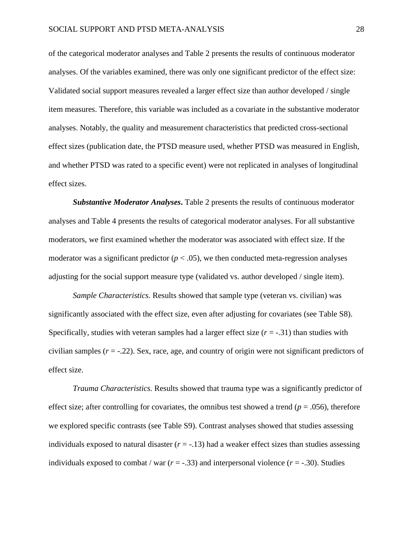of the categorical moderator analyses and Table 2 presents the results of continuous moderator analyses. Of the variables examined, there was only one significant predictor of the effect size: Validated social support measures revealed a larger effect size than author developed / single item measures. Therefore, this variable was included as a covariate in the substantive moderator analyses. Notably, the quality and measurement characteristics that predicted cross-sectional effect sizes (publication date, the PTSD measure used, whether PTSD was measured in English, and whether PTSD was rated to a specific event) were not replicated in analyses of longitudinal effect sizes.

*Substantive Moderator Analyses***.** Table 2 presents the results of continuous moderator analyses and Table 4 presents the results of categorical moderator analyses. For all substantive moderators, we first examined whether the moderator was associated with effect size. If the moderator was a significant predictor  $(p < .05)$ , we then conducted meta-regression analyses adjusting for the social support measure type (validated vs. author developed / single item).

*Sample Characteristics.* Results showed that sample type (veteran vs. civilian) was significantly associated with the effect size, even after adjusting for covariates (see Table S8). Specifically, studies with veteran samples had a larger effect size  $(r = -0.31)$  than studies with civilian samples  $(r = -.22)$ . Sex, race, age, and country of origin were not significant predictors of effect size.

*Trauma Characteristics.* Results showed that trauma type was a significantly predictor of effect size; after controlling for covariates, the omnibus test showed a trend ( $p = .056$ ), therefore we explored specific contrasts (see Table S9). Contrast analyses showed that studies assessing individuals exposed to natural disaster  $(r = -1.13)$  had a weaker effect sizes than studies assessing individuals exposed to combat / war  $(r = -0.33)$  and interpersonal violence  $(r = -0.30)$ . Studies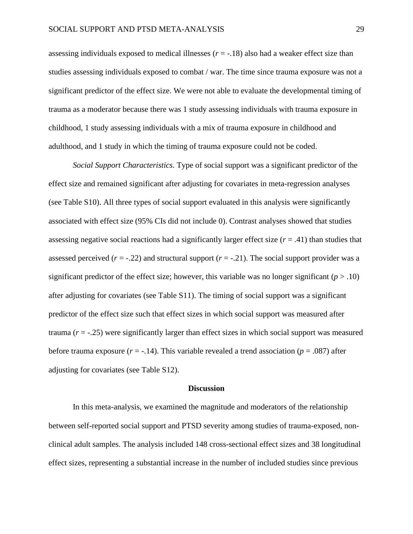assessing individuals exposed to medical illnesses  $(r = -18)$  also had a weaker effect size than studies assessing individuals exposed to combat / war. The time since trauma exposure was not a significant predictor of the effect size. We were not able to evaluate the developmental timing of trauma as a moderator because there was 1 study assessing individuals with trauma exposure in childhood, 1 study assessing individuals with a mix of trauma exposure in childhood and adulthood, and 1 study in which the timing of trauma exposure could not be coded.

*Social Support Characteristics.* Type of social support was a significant predictor of the effect size and remained significant after adjusting for covariates in meta-regression analyses (see Table S10). All three types of social support evaluated in this analysis were significantly associated with effect size (95% CIs did not include 0). Contrast analyses showed that studies assessing negative social reactions had a significantly larger effect size  $(r = .41)$  than studies that assessed perceived  $(r = -0.22)$  and structural support  $(r = -0.21)$ . The social support provider was a significant predictor of the effect size; however, this variable was no longer significant  $(p > .10)$ after adjusting for covariates (see Table S11). The timing of social support was a significant predictor of the effect size such that effect sizes in which social support was measured after trauma (*r* = -.25) were significantly larger than effect sizes in which social support was measured before trauma exposure  $(r = -.14)$ . This variable revealed a trend association  $(p = .087)$  after adjusting for covariates (see Table S12).

#### **Discussion**

In this meta-analysis, we examined the magnitude and moderators of the relationship between self-reported social support and PTSD severity among studies of trauma-exposed, nonclinical adult samples. The analysis included 148 cross-sectional effect sizes and 38 longitudinal effect sizes, representing a substantial increase in the number of included studies since previous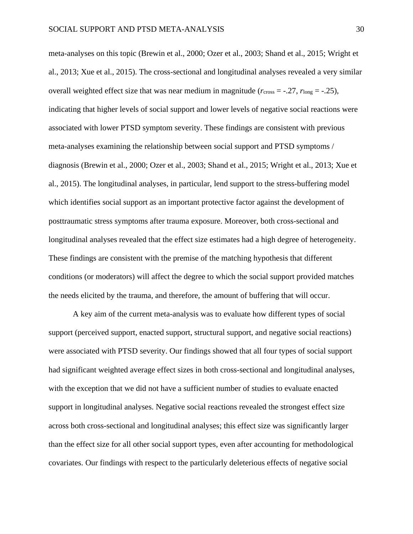meta-analyses on this topic (Brewin et al., 2000; Ozer et al., 2003; Shand et al., 2015; Wright et al., 2013; Xue et al., 2015). The cross-sectional and longitudinal analyses revealed a very similar overall weighted effect size that was near medium in magnitude  $(r_{cross} = -.27, r_{long} = -.25)$ , indicating that higher levels of social support and lower levels of negative social reactions were associated with lower PTSD symptom severity. These findings are consistent with previous meta-analyses examining the relationship between social support and PTSD symptoms / diagnosis (Brewin et al., 2000; Ozer et al., 2003; Shand et al., 2015; Wright et al., 2013; Xue et al., 2015). The longitudinal analyses, in particular, lend support to the stress-buffering model which identifies social support as an important protective factor against the development of posttraumatic stress symptoms after trauma exposure. Moreover, both cross-sectional and longitudinal analyses revealed that the effect size estimates had a high degree of heterogeneity. These findings are consistent with the premise of the matching hypothesis that different conditions (or moderators) will affect the degree to which the social support provided matches the needs elicited by the trauma, and therefore, the amount of buffering that will occur.

A key aim of the current meta-analysis was to evaluate how different types of social support (perceived support, enacted support, structural support, and negative social reactions) were associated with PTSD severity. Our findings showed that all four types of social support had significant weighted average effect sizes in both cross-sectional and longitudinal analyses, with the exception that we did not have a sufficient number of studies to evaluate enacted support in longitudinal analyses. Negative social reactions revealed the strongest effect size across both cross-sectional and longitudinal analyses; this effect size was significantly larger than the effect size for all other social support types, even after accounting for methodological covariates. Our findings with respect to the particularly deleterious effects of negative social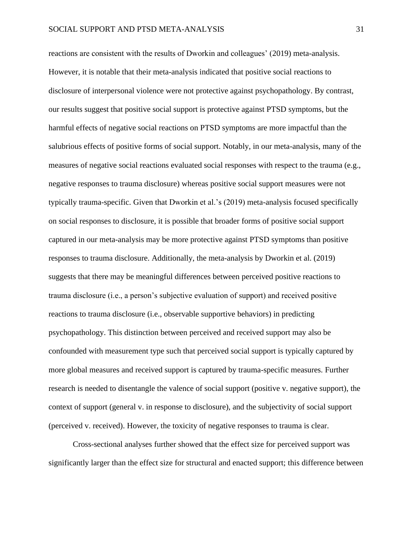reactions are consistent with the results of Dworkin and colleagues' (2019) meta-analysis. However, it is notable that their meta-analysis indicated that positive social reactions to disclosure of interpersonal violence were not protective against psychopathology. By contrast, our results suggest that positive social support is protective against PTSD symptoms, but the harmful effects of negative social reactions on PTSD symptoms are more impactful than the salubrious effects of positive forms of social support. Notably, in our meta-analysis, many of the measures of negative social reactions evaluated social responses with respect to the trauma (e.g., negative responses to trauma disclosure) whereas positive social support measures were not typically trauma-specific. Given that Dworkin et al.'s (2019) meta-analysis focused specifically on social responses to disclosure, it is possible that broader forms of positive social support captured in our meta-analysis may be more protective against PTSD symptoms than positive responses to trauma disclosure. Additionally, the meta-analysis by Dworkin et al. (2019) suggests that there may be meaningful differences between perceived positive reactions to trauma disclosure (i.e., a person's subjective evaluation of support) and received positive reactions to trauma disclosure (i.e., observable supportive behaviors) in predicting psychopathology. This distinction between perceived and received support may also be confounded with measurement type such that perceived social support is typically captured by more global measures and received support is captured by trauma-specific measures. Further research is needed to disentangle the valence of social support (positive v. negative support), the context of support (general v. in response to disclosure), and the subjectivity of social support (perceived v. received). However, the toxicity of negative responses to trauma is clear.

Cross-sectional analyses further showed that the effect size for perceived support was significantly larger than the effect size for structural and enacted support; this difference between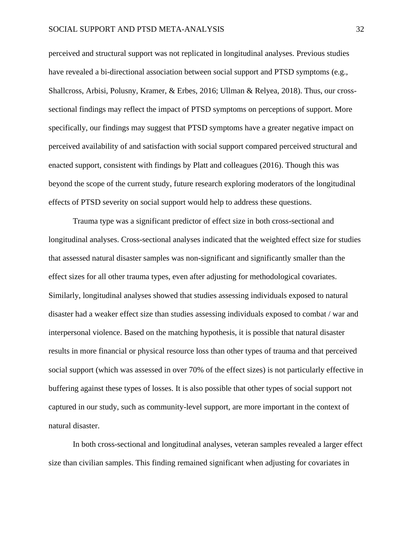perceived and structural support was not replicated in longitudinal analyses. Previous studies have revealed a bi-directional association between social support and PTSD symptoms (e.g., Shallcross, Arbisi, Polusny, Kramer, & Erbes, 2016; Ullman & Relyea, 2018). Thus, our crosssectional findings may reflect the impact of PTSD symptoms on perceptions of support. More specifically, our findings may suggest that PTSD symptoms have a greater negative impact on perceived availability of and satisfaction with social support compared perceived structural and enacted support, consistent with findings by Platt and colleagues (2016). Though this was beyond the scope of the current study, future research exploring moderators of the longitudinal effects of PTSD severity on social support would help to address these questions.

Trauma type was a significant predictor of effect size in both cross-sectional and longitudinal analyses. Cross-sectional analyses indicated that the weighted effect size for studies that assessed natural disaster samples was non-significant and significantly smaller than the effect sizes for all other trauma types, even after adjusting for methodological covariates. Similarly, longitudinal analyses showed that studies assessing individuals exposed to natural disaster had a weaker effect size than studies assessing individuals exposed to combat / war and interpersonal violence. Based on the matching hypothesis, it is possible that natural disaster results in more financial or physical resource loss than other types of trauma and that perceived social support (which was assessed in over 70% of the effect sizes) is not particularly effective in buffering against these types of losses. It is also possible that other types of social support not captured in our study, such as community-level support, are more important in the context of natural disaster.

In both cross-sectional and longitudinal analyses, veteran samples revealed a larger effect size than civilian samples. This finding remained significant when adjusting for covariates in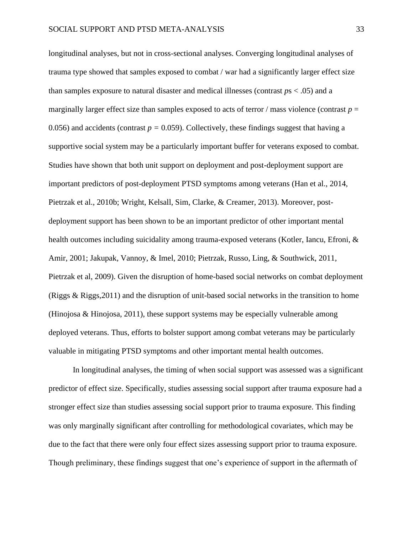longitudinal analyses, but not in cross-sectional analyses. Converging longitudinal analyses of trauma type showed that samples exposed to combat / war had a significantly larger effect size than samples exposure to natural disaster and medical illnesses (contrast *p*s < .05) and a marginally larger effect size than samples exposed to acts of terror / mass violence (contrast  $p =$ 0.056) and accidents (contrast  $p = 0.059$ ). Collectively, these findings suggest that having a supportive social system may be a particularly important buffer for veterans exposed to combat. Studies have shown that both unit support on deployment and post-deployment support are important predictors of post-deployment PTSD symptoms among veterans (Han et al., 2014, Pietrzak et al., 2010b; Wright, Kelsall, Sim, Clarke, & Creamer, 2013). Moreover, postdeployment support has been shown to be an important predictor of other important mental health outcomes including suicidality among trauma-exposed veterans (Kotler, Iancu, Efroni, & Amir, 2001; Jakupak, Vannoy, & Imel, 2010; Pietrzak, Russo, Ling, & Southwick, 2011, Pietrzak et al, 2009). Given the disruption of home-based social networks on combat deployment (Riggs & Riggs,2011) and the disruption of unit-based social networks in the transition to home (Hinojosa & Hinojosa, 2011), these support systems may be especially vulnerable among deployed veterans. Thus, efforts to bolster support among combat veterans may be particularly valuable in mitigating PTSD symptoms and other important mental health outcomes.

In longitudinal analyses, the timing of when social support was assessed was a significant predictor of effect size. Specifically, studies assessing social support after trauma exposure had a stronger effect size than studies assessing social support prior to trauma exposure. This finding was only marginally significant after controlling for methodological covariates, which may be due to the fact that there were only four effect sizes assessing support prior to trauma exposure. Though preliminary, these findings suggest that one's experience of support in the aftermath of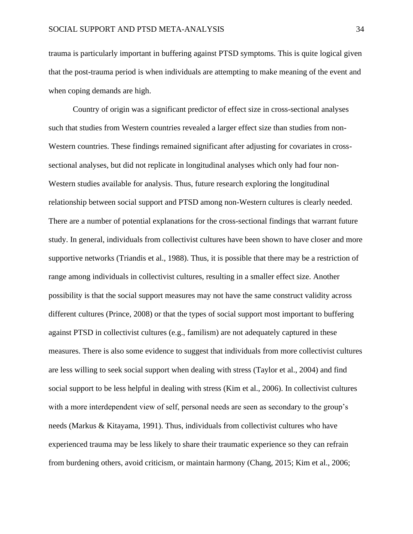trauma is particularly important in buffering against PTSD symptoms. This is quite logical given that the post-trauma period is when individuals are attempting to make meaning of the event and when coping demands are high.

Country of origin was a significant predictor of effect size in cross-sectional analyses such that studies from Western countries revealed a larger effect size than studies from non-Western countries. These findings remained significant after adjusting for covariates in crosssectional analyses, but did not replicate in longitudinal analyses which only had four non-Western studies available for analysis. Thus, future research exploring the longitudinal relationship between social support and PTSD among non-Western cultures is clearly needed. There are a number of potential explanations for the cross-sectional findings that warrant future study. In general, individuals from collectivist cultures have been shown to have closer and more supportive networks (Triandis et al., 1988). Thus, it is possible that there may be a restriction of range among individuals in collectivist cultures, resulting in a smaller effect size. Another possibility is that the social support measures may not have the same construct validity across different cultures (Prince, 2008) or that the types of social support most important to buffering against PTSD in collectivist cultures (e.g., familism) are not adequately captured in these measures. There is also some evidence to suggest that individuals from more collectivist cultures are less willing to seek social support when dealing with stress (Taylor et al., 2004) and find social support to be less helpful in dealing with stress (Kim et al., 2006). In collectivist cultures with a more interdependent view of self, personal needs are seen as secondary to the group's needs (Markus & Kitayama, 1991). Thus, individuals from collectivist cultures who have experienced trauma may be less likely to share their traumatic experience so they can refrain from burdening others, avoid criticism, or maintain harmony (Chang, 2015; Kim et al., 2006;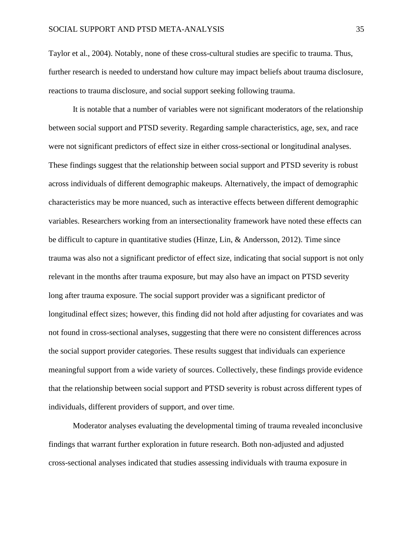Taylor et al., 2004). Notably, none of these cross-cultural studies are specific to trauma. Thus, further research is needed to understand how culture may impact beliefs about trauma disclosure, reactions to trauma disclosure, and social support seeking following trauma.

It is notable that a number of variables were not significant moderators of the relationship between social support and PTSD severity. Regarding sample characteristics, age, sex, and race were not significant predictors of effect size in either cross-sectional or longitudinal analyses. These findings suggest that the relationship between social support and PTSD severity is robust across individuals of different demographic makeups. Alternatively, the impact of demographic characteristics may be more nuanced, such as interactive effects between different demographic variables. Researchers working from an intersectionality framework have noted these effects can be difficult to capture in quantitative studies (Hinze, Lin, & Andersson, 2012). Time since trauma was also not a significant predictor of effect size, indicating that social support is not only relevant in the months after trauma exposure, but may also have an impact on PTSD severity long after trauma exposure. The social support provider was a significant predictor of longitudinal effect sizes; however, this finding did not hold after adjusting for covariates and was not found in cross-sectional analyses, suggesting that there were no consistent differences across the social support provider categories. These results suggest that individuals can experience meaningful support from a wide variety of sources. Collectively, these findings provide evidence that the relationship between social support and PTSD severity is robust across different types of individuals, different providers of support, and over time.

Moderator analyses evaluating the developmental timing of trauma revealed inconclusive findings that warrant further exploration in future research. Both non-adjusted and adjusted cross-sectional analyses indicated that studies assessing individuals with trauma exposure in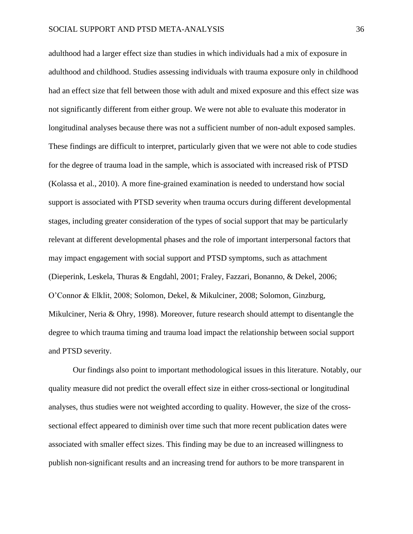adulthood had a larger effect size than studies in which individuals had a mix of exposure in adulthood and childhood. Studies assessing individuals with trauma exposure only in childhood had an effect size that fell between those with adult and mixed exposure and this effect size was not significantly different from either group. We were not able to evaluate this moderator in longitudinal analyses because there was not a sufficient number of non-adult exposed samples. These findings are difficult to interpret, particularly given that we were not able to code studies for the degree of trauma load in the sample, which is associated with increased risk of PTSD (Kolassa et al., 2010). A more fine-grained examination is needed to understand how social support is associated with PTSD severity when trauma occurs during different developmental stages, including greater consideration of the types of social support that may be particularly relevant at different developmental phases and the role of important interpersonal factors that may impact engagement with social support and PTSD symptoms, such as attachment (Dieperink, Leskela, Thuras & Engdahl, 2001; Fraley, Fazzari, Bonanno, & Dekel, 2006; O'Connor & Elklit, 2008; Solomon, Dekel, & Mikulciner, 2008; Solomon, Ginzburg, Mikulciner, Neria & Ohry, 1998). Moreover, future research should attempt to disentangle the degree to which trauma timing and trauma load impact the relationship between social support and PTSD severity.

Our findings also point to important methodological issues in this literature. Notably, our quality measure did not predict the overall effect size in either cross-sectional or longitudinal analyses, thus studies were not weighted according to quality. However, the size of the crosssectional effect appeared to diminish over time such that more recent publication dates were associated with smaller effect sizes. This finding may be due to an increased willingness to publish non-significant results and an increasing trend for authors to be more transparent in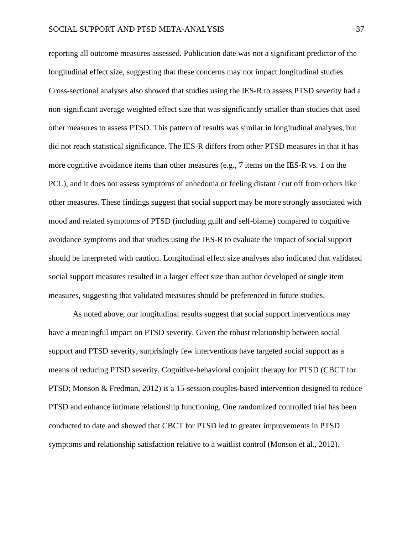reporting all outcome measures assessed. Publication date was not a significant predictor of the longitudinal effect size, suggesting that these concerns may not impact longitudinal studies. Cross-sectional analyses also showed that studies using the IES-R to assess PTSD severity had a non-significant average weighted effect size that was significantly smaller than studies that used other measures to assess PTSD. This pattern of results was similar in longitudinal analyses, but did not reach statistical significance. The IES-R differs from other PTSD measures in that it has more cognitive avoidance items than other measures (e.g., 7 items on the IES-R vs. 1 on the PCL), and it does not assess symptoms of anhedonia or feeling distant / cut off from others like other measures. These findings suggest that social support may be more strongly associated with mood and related symptoms of PTSD (including guilt and self-blame) compared to cognitive avoidance symptoms and that studies using the IES-R to evaluate the impact of social support should be interpreted with caution. Longitudinal effect size analyses also indicated that validated social support measures resulted in a larger effect size than author developed or single item measures, suggesting that validated measures should be preferenced in future studies.

As noted above, our longitudinal results suggest that social support interventions may have a meaningful impact on PTSD severity. Given the robust relationship between social support and PTSD severity, surprisingly few interventions have targeted social support as a means of reducing PTSD severity. Cognitive-behavioral conjoint therapy for PTSD (CBCT for PTSD; Monson & Fredman, 2012) is a 15-session couples-based intervention designed to reduce PTSD and enhance intimate relationship functioning. One randomized controlled trial has been conducted to date and showed that CBCT for PTSD led to greater improvements in PTSD symptoms and relationship satisfaction relative to a waitlist control (Monson et al., 2012).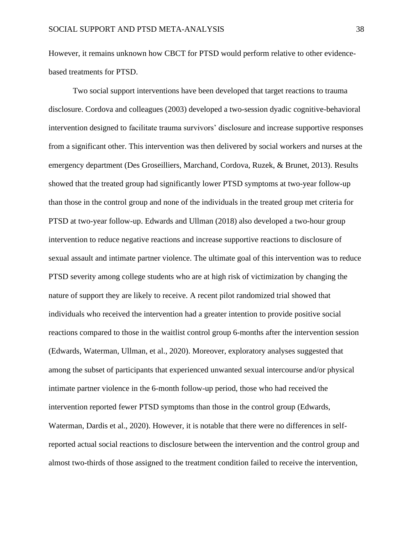However, it remains unknown how CBCT for PTSD would perform relative to other evidencebased treatments for PTSD.

Two social support interventions have been developed that target reactions to trauma disclosure. Cordova and colleagues (2003) developed a two-session dyadic cognitive-behavioral intervention designed to facilitate trauma survivors' disclosure and increase supportive responses from a significant other. This intervention was then delivered by social workers and nurses at the emergency department (Des Groseilliers, Marchand, Cordova, Ruzek, & Brunet, 2013). Results showed that the treated group had significantly lower PTSD symptoms at two-year follow-up than those in the control group and none of the individuals in the treated group met criteria for PTSD at two-year follow-up. Edwards and Ullman (2018) also developed a two-hour group intervention to reduce negative reactions and increase supportive reactions to disclosure of sexual assault and intimate partner violence. The ultimate goal of this intervention was to reduce PTSD severity among college students who are at high risk of victimization by changing the nature of support they are likely to receive. A recent pilot randomized trial showed that individuals who received the intervention had a greater intention to provide positive social reactions compared to those in the waitlist control group 6-months after the intervention session (Edwards, Waterman, Ullman, et al., 2020). Moreover, exploratory analyses suggested that among the subset of participants that experienced unwanted sexual intercourse and/or physical intimate partner violence in the 6-month follow-up period, those who had received the intervention reported fewer PTSD symptoms than those in the control group (Edwards, Waterman, Dardis et al., 2020). However, it is notable that there were no differences in selfreported actual social reactions to disclosure between the intervention and the control group and almost two-thirds of those assigned to the treatment condition failed to receive the intervention,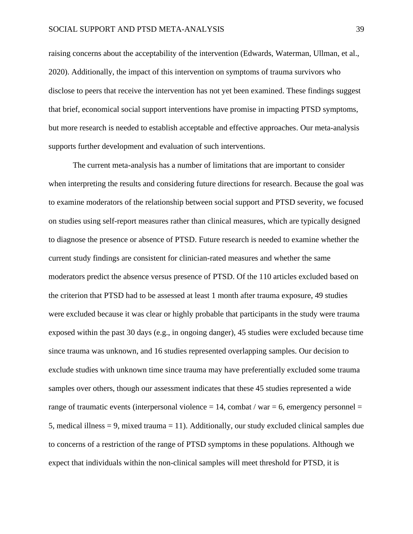raising concerns about the acceptability of the intervention (Edwards, Waterman, Ullman, et al., 2020). Additionally, the impact of this intervention on symptoms of trauma survivors who disclose to peers that receive the intervention has not yet been examined. These findings suggest that brief, economical social support interventions have promise in impacting PTSD symptoms, but more research is needed to establish acceptable and effective approaches. Our meta-analysis supports further development and evaluation of such interventions.

The current meta-analysis has a number of limitations that are important to consider when interpreting the results and considering future directions for research. Because the goal was to examine moderators of the relationship between social support and PTSD severity, we focused on studies using self-report measures rather than clinical measures, which are typically designed to diagnose the presence or absence of PTSD. Future research is needed to examine whether the current study findings are consistent for clinician-rated measures and whether the same moderators predict the absence versus presence of PTSD. Of the 110 articles excluded based on the criterion that PTSD had to be assessed at least 1 month after trauma exposure, 49 studies were excluded because it was clear or highly probable that participants in the study were trauma exposed within the past 30 days (e.g., in ongoing danger), 45 studies were excluded because time since trauma was unknown, and 16 studies represented overlapping samples. Our decision to exclude studies with unknown time since trauma may have preferentially excluded some trauma samples over others, though our assessment indicates that these 45 studies represented a wide range of traumatic events (interpersonal violence  $= 14$ , combat / war  $= 6$ , emergency personnel  $=$ 5, medical illness = 9, mixed trauma = 11). Additionally, our study excluded clinical samples due to concerns of a restriction of the range of PTSD symptoms in these populations. Although we expect that individuals within the non-clinical samples will meet threshold for PTSD, it is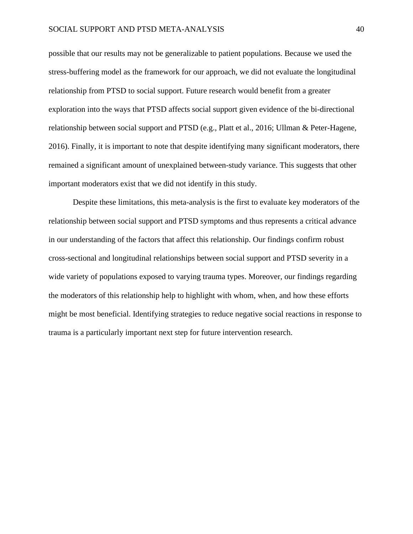possible that our results may not be generalizable to patient populations. Because we used the stress-buffering model as the framework for our approach, we did not evaluate the longitudinal relationship from PTSD to social support. Future research would benefit from a greater exploration into the ways that PTSD affects social support given evidence of the bi-directional relationship between social support and PTSD (e.g., Platt et al., 2016; Ullman & Peter-Hagene, 2016). Finally, it is important to note that despite identifying many significant moderators, there remained a significant amount of unexplained between-study variance. This suggests that other important moderators exist that we did not identify in this study.

Despite these limitations, this meta-analysis is the first to evaluate key moderators of the relationship between social support and PTSD symptoms and thus represents a critical advance in our understanding of the factors that affect this relationship. Our findings confirm robust cross-sectional and longitudinal relationships between social support and PTSD severity in a wide variety of populations exposed to varying trauma types. Moreover, our findings regarding the moderators of this relationship help to highlight with whom, when, and how these efforts might be most beneficial. Identifying strategies to reduce negative social reactions in response to trauma is a particularly important next step for future intervention research.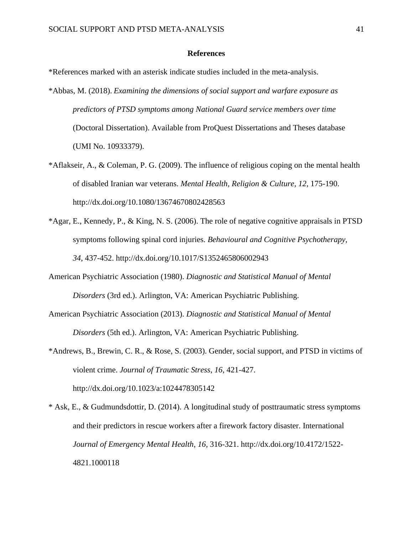## **References**

\*References marked with an asterisk indicate studies included in the meta-analysis.

- \*Abbas, M. (2018). *Examining the dimensions of social support and warfare exposure as predictors of PTSD symptoms among National Guard service members over time*  (Doctoral Dissertation). Available from ProQuest Dissertations and Theses database (UMI No. 10933379).
- \*Aflakseir, A., & Coleman, P. G. (2009). The influence of religious coping on the mental health of disabled Iranian war veterans. *Mental Health, Religion & Culture, 12*, 175-190. http://dx.doi.org/10.1080/13674670802428563
- \*Agar, E., Kennedy, P., & King, N. S. (2006). The role of negative cognitive appraisals in PTSD symptoms following spinal cord injuries. *Behavioural and Cognitive Psychotherapy, 34*, 437-452. http://dx.doi.org/10.1017/S1352465806002943
- American Psychiatric Association (1980). *Diagnostic and Statistical Manual of Mental Disorders* (3rd ed.). Arlington, VA: American Psychiatric Publishing.
- American Psychiatric Association (2013). *Diagnostic and Statistical Manual of Mental Disorders* (5th ed.). Arlington, VA: American Psychiatric Publishing.
- \*Andrews, B., Brewin, C. R., & Rose, S. (2003). Gender, social support, and PTSD in victims of violent crime. *Journal of Traumatic Stress*, *16*, 421-427. http://dx.doi.org/10.1023/a:1024478305142
- \* Ask, E., & Gudmundsdottir, D. (2014). A longitudinal study of posttraumatic stress symptoms and their predictors in rescue workers after a firework factory disaster. International *Journal of Emergency Mental Health*, *16,* 316-321. http://dx.doi.org/10.4172/1522- 4821.1000118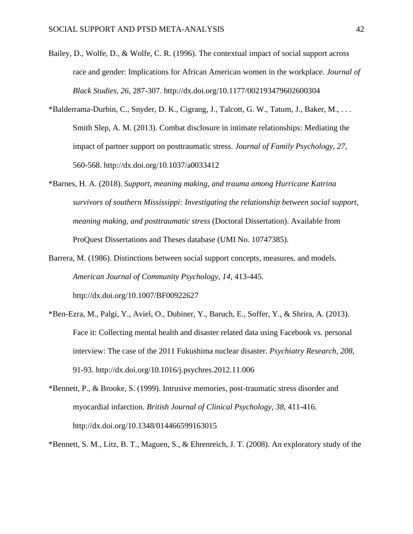- Bailey, D., Wolfe, D., & Wolfe, C. R. (1996). The contextual impact of social support across race and gender: Implications for African American women in the workplace. *Journal of Black Studies, 26*, 287-307. http://dx.doi.org/10.1177/002193479602600304
- \*Balderrama-Durbin, C., Snyder, D. K., Cigrang, J., Talcott, G. W., Tatum, J., Baker, M., . . . Smith Slep, A. M. (2013). Combat disclosure in intimate relationships: Mediating the impact of partner support on posttraumatic stress. *Journal of Family Psychology, 27*, 560-568. http://dx.doi.org/10.1037/a0033412
- \*Barnes, H. A. (2018). *Support, meaning making, and trauma among Hurricane Katrina survivors of southern Mississippi: Investigating the relationship between social support, meaning making, and posttraumatic stress* (Doctoral Dissertation). Available from ProQuest Dissertations and Theses database (UMI No. 10747385).
- Barrera, M. (1986). Distinctions between social support concepts, measures, and models. *American Journal of Community Psychology, 14*, 413-445. http://dx.doi.org/10.1007/BF00922627
- \*Ben-Ezra, M., Palgi, Y., Aviel, O., Dubiner, Y., Baruch, E., Soffer, Y., & Shrira, A. (2013). Face it: Collecting mental health and disaster related data using Facebook vs. personal interview: The case of the 2011 Fukushima nuclear disaster. *Psychiatry Research, 208*, 91-93. http://dx.doi.org/10.1016/j.psychres.2012.11.006
- \*Bennett, P., & Brooke, S. (1999). Intrusive memories, post-traumatic stress disorder and myocardial infarction. *British Journal of Clinical Psychology, 38*, 411-416. http://dx.doi.org/10.1348/014466599163015
- \*Bennett, S. M., Litz, B. T., Maguen, S., & Ehrenreich, J. T. (2008). An exploratory study of the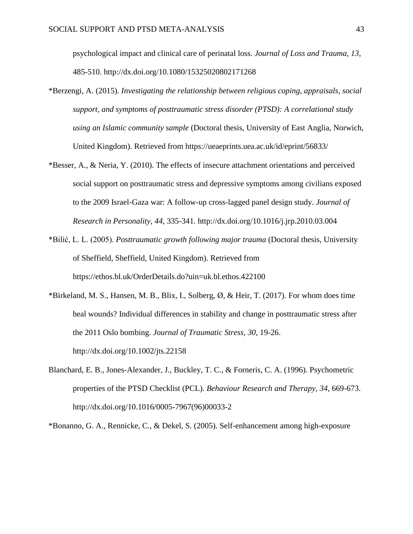psychological impact and clinical care of perinatal loss. *Journal of Loss and Trauma, 13*, 485-510. http://dx.doi.org/10.1080/15325020802171268

- \*Berzengi, A. (2015). *Investigating the relationship between religious coping, appraisals, social support, and symptoms of posttraumatic stress disorder (PTSD): A correlational study using an Islamic community sample* (Doctoral thesis, University of East Anglia, Norwich, United Kingdom). Retrieved from https://ueaeprints.uea.ac.uk/id/eprint/56833/
- \*Besser, A., & Neria, Y. (2010). The effects of insecure attachment orientations and perceived social support on posttraumatic stress and depressive symptoms among civilians exposed to the 2009 Israel-Gaza war: A follow-up cross-lagged panel design study. *Journal of Research in Personality, 44*, 335-341. http://dx.doi.org/10.1016/j.jrp.2010.03.004
- \*Bilić, L. L. (2005). *Posttraumatic growth following major trauma* (Doctoral thesis, University of Sheffield, Sheffield, United Kingdom). Retrieved from https://ethos.bl.uk/OrderDetails.do?uin=uk.bl.ethos.422100
- \*Birkeland, M. S., Hansen, M. B., Blix, I., Solberg,  $\emptyset$ , & Heir, T. (2017). For whom does time heal wounds? Individual differences in stability and change in posttraumatic stress after the 2011 Oslo bombing. *Journal of Traumatic Stress, 30*, 19-26. http://dx.doi.org/10.1002/jts.22158
- Blanchard, E. B., Jones-Alexander, J., Buckley, T. C., & Forneris, C. A. (1996). Psychometric properties of the PTSD Checklist (PCL). *Behaviour Research and Therapy, 34*, 669-673. http://dx.doi.org/10.1016/0005-7967(96)00033-2

\*Bonanno, G. A., Rennicke, C., & Dekel, S. (2005). Self-enhancement among high-exposure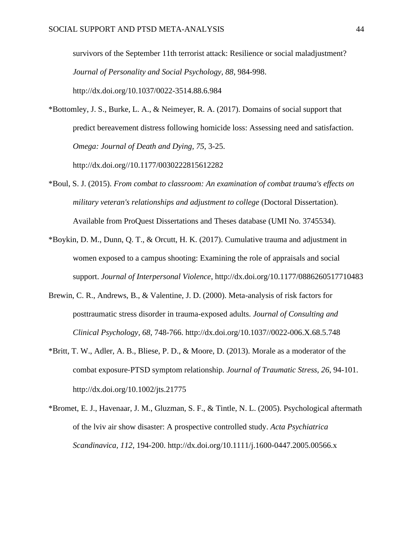survivors of the September 11th terrorist attack: Resilience or social maladjustment? *Journal of Personality and Social Psychology, 88*, 984-998. http://dx.doi.org/10.1037/0022-3514.88.6.984

\*Bottomley, J. S., Burke, L. A., & Neimeyer, R. A. (2017). Domains of social support that predict bereavement distress following homicide loss: Assessing need and satisfaction. *Omega: Journal of Death and Dying, 75*, 3-25.

http://dx.doi.org//10.1177/0030222815612282

- \*Boul, S. J. (2015). *From combat to classroom: An examination of combat trauma's effects on military veteran's relationships and adjustment to college* (Doctoral Dissertation). Available from ProQuest Dissertations and Theses database (UMI No. 3745534).
- \*Boykin, D. M., Dunn, Q. T., & Orcutt, H. K. (2017). Cumulative trauma and adjustment in women exposed to a campus shooting: Examining the role of appraisals and social support. *Journal of Interpersonal Violence*, http://dx.doi.org/10.1177/0886260517710483
- Brewin, C. R., Andrews, B., & Valentine, J. D. (2000). Meta-analysis of risk factors for posttraumatic stress disorder in trauma-exposed adults. *Journal of Consulting and Clinical Psychology, 68*, 748-766. http://dx.doi.org/10.1037//0022-006.X.68.5.748
- \*Britt, T. W., Adler, A. B., Bliese, P. D., & Moore, D. (2013). Morale as a moderator of the combat exposure‐PTSD symptom relationship. *Journal of Traumatic Stress, 26*, 94-101. http://dx.doi.org/10.1002/jts.21775
- \*Bromet, E. J., Havenaar, J. M., Gluzman, S. F., & Tintle, N. L. (2005). Psychological aftermath of the lviv air show disaster: A prospective controlled study. *Acta Psychiatrica Scandinavica, 112*, 194-200. http://dx.doi.org/10.1111/j.1600-0447.2005.00566.x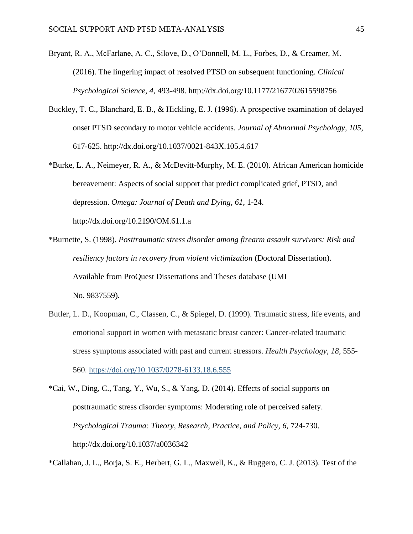- Bryant, R. A., McFarlane, A. C., Silove, D., O'Donnell, M. L., Forbes, D., & Creamer, M. (2016). The lingering impact of resolved PTSD on subsequent functioning. *Clinical Psychological Science, 4*, 493-498. http://dx.doi.org/10.1177/2167702615598756
- Buckley, T. C., Blanchard, E. B., & Hickling, E. J. (1996). A prospective examination of delayed onset PTSD secondary to motor vehicle accidents. *Journal of Abnormal Psychology, 105*, 617-625. http://dx.doi.org/10.1037/0021-843X.105.4.617
- \*Burke, L. A., Neimeyer, R. A., & McDevitt-Murphy, M. E. (2010). African American homicide bereavement: Aspects of social support that predict complicated grief, PTSD, and depression. *Omega: Journal of Death and Dying, 61*, 1-24. http://dx.doi.org/10.2190/OM.61.1.a
- \*Burnette, S. (1998). *Posttraumatic stress disorder among firearm assault survivors: Risk and resiliency factors in recovery from violent victimization* (Doctoral Dissertation). Available from ProQuest Dissertations and Theses database (UMI No. 9837559).
- Butler, L. D., Koopman, C., Classen, C., & Spiegel, D. (1999). Traumatic stress, life events, and emotional support in women with metastatic breast cancer: Cancer-related traumatic stress symptoms associated with past and current stressors. *Health Psychology*, *18*, 555- 560. [https://doi.org/10.1037/0278-6133.18.6.555](https://psycnet.apa.org/doi/10.1037/0278-6133.18.6.555)
- \*Cai, W., Ding, C., Tang, Y., Wu, S., & Yang, D. (2014). Effects of social supports on posttraumatic stress disorder symptoms: Moderating role of perceived safety. *Psychological Trauma: Theory, Research, Practice, and Policy, 6*, 724-730. http://dx.doi.org/10.1037/a0036342

\*Callahan, J. L., Borja, S. E., Herbert, G. L., Maxwell, K., & Ruggero, C. J. (2013). Test of the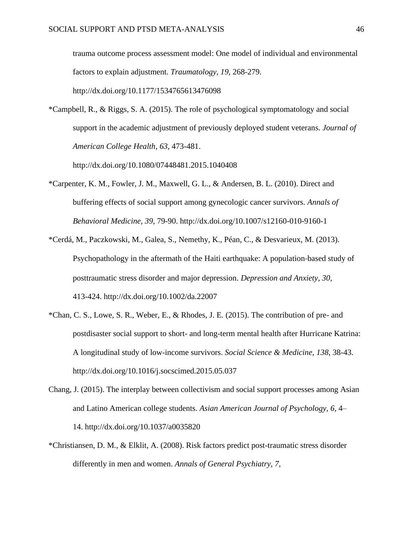trauma outcome process assessment model: One model of individual and environmental factors to explain adjustment. *Traumatology, 19*, 268-279. http://dx.doi.org/10.1177/1534765613476098

\*Campbell, R., & Riggs, S. A. (2015). The role of psychological symptomatology and social support in the academic adjustment of previously deployed student veterans. *Journal of American College Health, 63*, 473-481.

http://dx.doi.org/10.1080/07448481.2015.1040408

- \*Carpenter, K. M., Fowler, J. M., Maxwell, G. L., & Andersen, B. L. (2010). Direct and buffering effects of social support among gynecologic cancer survivors. *Annals of Behavioral Medicine, 39*, 79-90. http://dx.doi.org/10.1007/s12160-010-9160-1
- \*Cerdá, M., Paczkowski, M., Galea, S., Nemethy, K., Péan, C., & Desvarieux, M. (2013). Psychopathology in the aftermath of the Haiti earthquake: A population‐based study of posttraumatic stress disorder and major depression. *Depression and Anxiety, 30*, 413-424. http://dx.doi.org/10.1002/da.22007
- \*Chan, C. S., Lowe, S. R., Weber, E., & Rhodes, J. E. (2015). The contribution of pre- and postdisaster social support to short- and long-term mental health after Hurricane Katrina: A longitudinal study of low-income survivors. *Social Science & Medicine, 138*, 38-43. http://dx.doi.org/10.1016/j.socscimed.2015.05.037
- Chang, J. (2015). The interplay between collectivism and social support processes among Asian and Latino American college students. *Asian American Journal of Psychology, 6*, 4– 14. http://dx.doi.org/10.1037/a0035820
- \*Christiansen, D. M., & Elklit, A. (2008). Risk factors predict post-traumatic stress disorder differently in men and women. *Annals of General Psychiatry, 7,*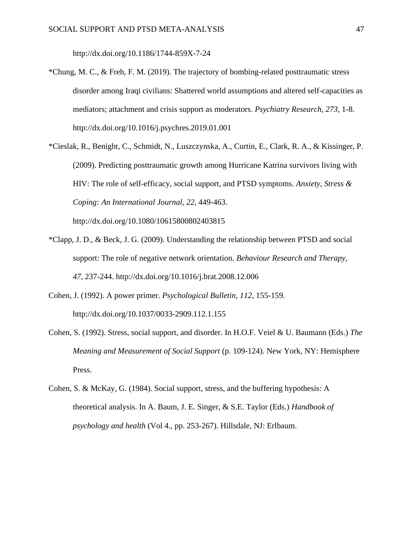http://dx.doi.org/10.1186/1744-859X-7-24

- \*Chung, M. C., & Freh, F. M. (2019). The trajectory of bombing-related posttraumatic stress disorder among Iraqi civilians: Shattered world assumptions and altered self-capacities as mediators; attachment and crisis support as moderators. *Psychiatry Research, 273*, 1-8. http://dx.doi.org/10.1016/j.psychres.2019.01.001
- \*Cieslak, R., Benight, C., Schmidt, N., Luszczynska, A., Curtin, E., Clark, R. A., & Kissinger, P. (2009). Predicting posttraumatic growth among Hurricane Katrina survivors living with HIV: The role of self-efficacy, social support, and PTSD symptoms. *Anxiety, Stress & Coping: An International Journal, 22*, 449-463.

http://dx.doi.org/10.1080/10615800802403815

- \*Clapp, J. D., & Beck, J. G. (2009). Understanding the relationship between PTSD and social support: The role of negative network orientation. *Behaviour Research and Therapy, 47*, 237-244. http://dx.doi.org/10.1016/j.brat.2008.12.006
- Cohen, J. (1992). A power primer. *Psychological Bulletin, 112*, 155-159. http://dx.doi.org/10.1037/0033-2909.112.1.155
- Cohen, S. (1992). Stress, social support, and disorder. In H.O.F. Veiel & U. Baumann (Eds.) *The Meaning and Measurement of Social Support* (p. 109-124). New York, NY: Hemisphere Press.
- Cohen, S. & McKay, G. (1984). Social support, stress, and the buffering hypothesis: A theoretical analysis. In A. Baum, J. E. Singer, & S.E. Taylor (Eds.) *Handbook of psychology and health* (Vol 4., pp. 253-267). Hillsdale, NJ: Erlbaum.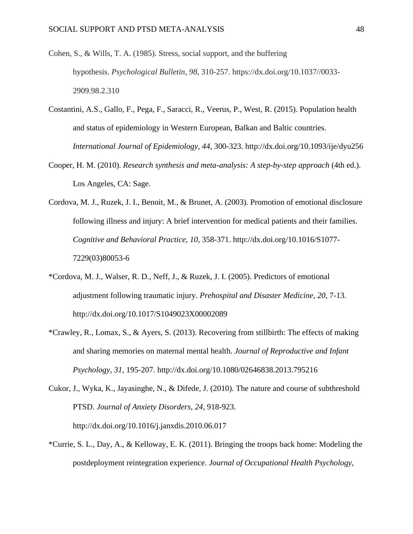- Cohen, S., & Wills, T. A. (1985). Stress, social support, and the buffering hypothesis. *Psychological Bulletin*, *98*, 310-257. https://dx.doi.org/10.1037//0033- 2909.98.2.310
- Costantini, A.S., Gallo, F., Pega, F., Saracci, R., Veerus, P., West, R. (2015). Population health and status of epidemiology in Western European, Balkan and Baltic countries. *International Journal of Epidemiology, 44*, 300-323. http://dx.doi.org/10.1093/ije/dyu256
- Cooper, H. M. (2010). *Research synthesis and meta-analysis: A step-by-step approach* (4th ed.). Los Angeles, CA: Sage.
- Cordova, M. J., Ruzek, J. I., Benoit, M., & Brunet, A. (2003). Promotion of emotional disclosure following illness and injury: A brief intervention for medical patients and their families. *Cognitive and Behavioral Practice, 10*, 358-371. http://dx.doi.org/10.1016/S1077- 7229(03)80053-6
- \*Cordova, M. J., Walser, R. D., Neff, J., & Ruzek, J. I. (2005). Predictors of emotional adjustment following traumatic injury. *Prehospital and Disaster Medicine, 20*, 7-13. http://dx.doi.org/10.1017/S1049023X00002089
- \*Crawley, R., Lomax, S., & Ayers, S. (2013). Recovering from stillbirth: The effects of making and sharing memories on maternal mental health. *Journal of Reproductive and Infant Psychology, 31*, 195-207. http://dx.doi.org/10.1080/02646838.2013.795216
- Cukor, J., Wyka, K., Jayasinghe, N., & Difede, J. (2010). The nature and course of subthreshold PTSD. *Journal of Anxiety Disorders, 24*, 918-923. http://dx.doi.org/10.1016/j.janxdis.2010.06.017
- \*Currie, S. L., Day, A., & Kelloway, E. K. (2011). Bringing the troops back home: Modeling the postdeployment reintegration experience. *Journal of Occupational Health Psychology,*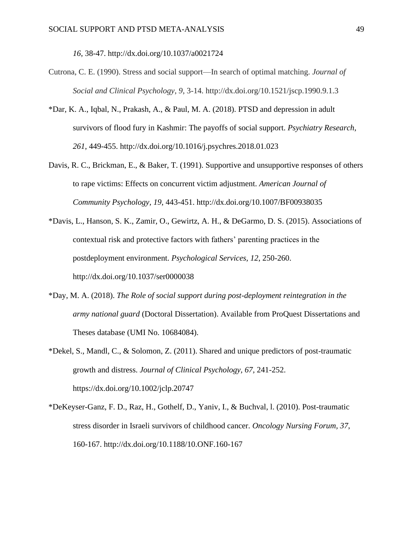*16*, 38-47. http://dx.doi.org/10.1037/a0021724

- Cutrona, C. E. (1990). Stress and social support—In search of optimal matching. *Journal of Social and Clinical Psychology*, *9*, 3-14. http://dx.doi.org/10.1521/jscp.1990.9.1.3
- \*Dar, K. A., Iqbal, N., Prakash, A., & Paul, M. A. (2018). PTSD and depression in adult survivors of flood fury in Kashmir: The payoffs of social support. *Psychiatry Research*, *261*, 449-455. http://dx.doi.org/10.1016/j.psychres.2018.01.023
- Davis, R. C., Brickman, E., & Baker, T. (1991). Supportive and unsupportive responses of others to rape victims: Effects on concurrent victim adjustment. *American Journal of Community Psychology, 19*, 443-451. http://dx.doi.org/10.1007/BF00938035
- \*Davis, L., Hanson, S. K., Zamir, O., Gewirtz, A. H., & DeGarmo, D. S. (2015). Associations of contextual risk and protective factors with fathers' parenting practices in the postdeployment environment. *Psychological Services, 12*, 250-260. http://dx.doi.org/10.1037/ser0000038
- \*Day, M. A. (2018). *The Role of social support during post-deployment reintegration in the army national guard* (Doctoral Dissertation). Available from ProQuest Dissertations and Theses database (UMI No. 10684084).
- \*Dekel, S., Mandl, C., & Solomon, Z. (2011). Shared and unique predictors of post-traumatic growth and distress. *Journal of Clinical Psychology, 67,* 241-252. https://dx.doi.org/10.1002/jclp.20747
- \*DeKeyser-Ganz, F. D., Raz, H., Gothelf, D., Yaniv, I., & Buchval, l. (2010). Post-traumatic stress disorder in Israeli survivors of childhood cancer. *Oncology Nursing Forum, 37*, 160-167. http://dx.doi.org/10.1188/10.ONF.160-167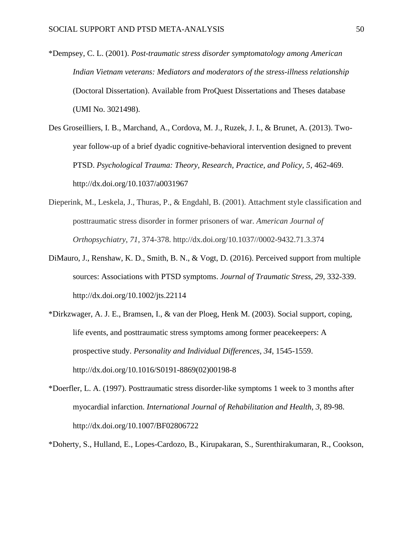- \*Dempsey, C. L. (2001). *Post-traumatic stress disorder symptomatology among American Indian Vietnam veterans: Mediators and moderators of the stress-illness relationship*  (Doctoral Dissertation). Available from ProQuest Dissertations and Theses database (UMI No. 3021498).
- Des Groseilliers, I. B., Marchand, A., Cordova, M. J., Ruzek, J. I., & Brunet, A. (2013). Twoyear follow-up of a brief dyadic cognitive-behavioral intervention designed to prevent PTSD. *Psychological Trauma: Theory, Research, Practice, and Policy, 5*, 462-469. http://dx.doi.org/10.1037/a0031967
- Dieperink, M., Leskela, J., Thuras, P., & Engdahl, B. (2001). Attachment style classification and posttraumatic stress disorder in former prisoners of war. *American Journal of Orthopsychiatry*, *71*, 374-378. http://dx.doi.org/10.1037//0002-9432.71.3.374
- DiMauro, J., Renshaw, K. D., Smith, B. N., & Vogt, D. (2016). Perceived support from multiple sources: Associations with PTSD symptoms. *Journal of Traumatic Stress, 29*, 332-339. http://dx.doi.org/10.1002/jts.22114
- \*Dirkzwager, A. J. E., Bramsen, I., & van der Ploeg, Henk M. (2003). Social support, coping, life events, and posttraumatic stress symptoms among former peacekeepers: A prospective study. *Personality and Individual Differences, 34*, 1545-1559. http://dx.doi.org/10.1016/S0191-8869(02)00198-8
- \*Doerfler, L. A. (1997). Posttraumatic stress disorder-like symptoms 1 week to 3 months after myocardial infarction. *International Journal of Rehabilitation and Health, 3*, 89-98. http://dx.doi.org/10.1007/BF02806722
- \*Doherty, S., Hulland, E., Lopes-Cardozo, B., Kirupakaran, S., Surenthirakumaran, R., Cookson,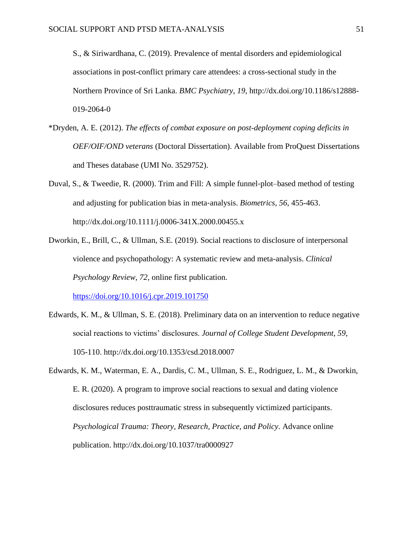S., & Siriwardhana, C. (2019). Prevalence of mental disorders and epidemiological associations in post-conflict primary care attendees: a cross-sectional study in the Northern Province of Sri Lanka. *BMC Psychiatry, 19*, http://dx.doi.org/10.1186/s12888- 019-2064-0

- \*Dryden, A. E. (2012). *The effects of combat exposure on post-deployment coping deficits in OEF/OIF/OND veterans* (Doctoral Dissertation). Available from ProQuest Dissertations and Theses database (UMI No. 3529752).
- Duval, S., & Tweedie, R. (2000). Trim and Fill: A simple funnel‐plot–based method of testing and adjusting for publication bias in meta‐analysis. *Biometrics, 56*, 455-463. http://dx.doi.org/10.1111/j.0006-341X.2000.00455.x
- Dworkin, E., Brill, C., & Ullman, S.E. (2019). Social reactions to disclosure of interpersonal violence and psychopathology: A systematic review and meta-analysis. *Clinical Psychology Review, 72*, online first publication.

<https://doi.org/10.1016/j.cpr.2019.101750>

- Edwards, K. M., & Ullman, S. E. (2018). Preliminary data on an intervention to reduce negative social reactions to victims' disclosures. *Journal of College Student Development, 59*, 105-110. http://dx.doi.org/10.1353/csd.2018.0007
- Edwards, K. M., Waterman, E. A., Dardis, C. M., Ullman, S. E., Rodriguez, L. M., & Dworkin, E. R. (2020). A program to improve social reactions to sexual and dating violence disclosures reduces posttraumatic stress in subsequently victimized participants. *Psychological Trauma: Theory, Research, Practice, and Policy*. Advance online publication. http://dx.doi.org/10.1037/tra0000927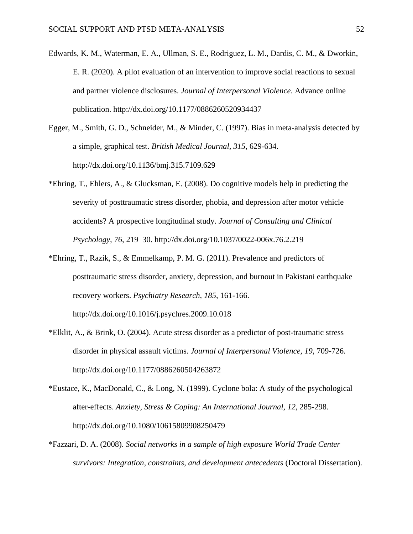- Edwards, K. M., Waterman, E. A., Ullman, S. E., Rodriguez, L. M., Dardis, C. M., & Dworkin, E. R. (2020). A pilot evaluation of an intervention to improve social reactions to sexual and partner violence disclosures. *Journal of Interpersonal Violence*. Advance online publication. http://dx.doi.org/10.1177/0886260520934437
- Egger, M., Smith, G. D., Schneider, M., & Minder, C. (1997). Bias in meta-analysis detected by a simple, graphical test. *British Medical Journal, 315*, 629-634. http://dx.doi.org/10.1136/bmj.315.7109.629
- \*Ehring, T., Ehlers, A., & Glucksman, E. (2008). Do cognitive models help in predicting the severity of posttraumatic stress disorder, phobia, and depression after motor vehicle accidents? A prospective longitudinal study. *Journal of Consulting and Clinical Psychology, 76*, 219–30. http://dx.doi.org/10.1037/0022-006x.76.2.219
- \*Ehring, T., Razik, S., & Emmelkamp, P. M. G. (2011). Prevalence and predictors of posttraumatic stress disorder, anxiety, depression, and burnout in Pakistani earthquake recovery workers. *Psychiatry Research, 185*, 161-166. http://dx.doi.org/10.1016/j.psychres.2009.10.018
- \*Elklit, A., & Brink, O. (2004). Acute stress disorder as a predictor of post-traumatic stress disorder in physical assault victims. *Journal of Interpersonal Violence, 19*, 709-726. http://dx.doi.org/10.1177/0886260504263872
- \*Eustace, K., MacDonald, C., & Long, N. (1999). Cyclone bola: A study of the psychological after-effects. *Anxiety, Stress & Coping: An International Journal, 12*, 285-298. http://dx.doi.org/10.1080/10615809908250479
- \*Fazzari, D. A. (2008). *Social networks in a sample of high exposure World Trade Center survivors: Integration, constraints, and development antecedents* (Doctoral Dissertation).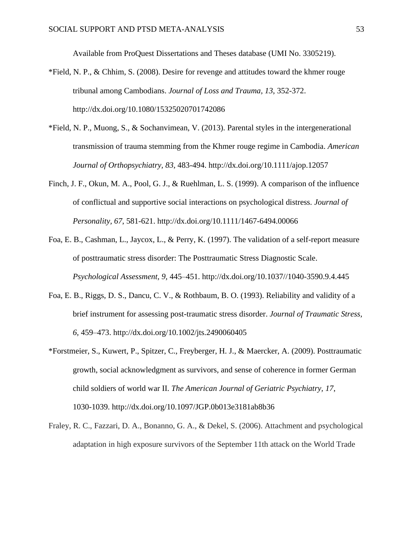Available from ProQuest Dissertations and Theses database (UMI No. 3305219).

- \*Field, N. P., & Chhim, S. (2008). Desire for revenge and attitudes toward the khmer rouge tribunal among Cambodians. *Journal of Loss and Trauma, 13*, 352-372. http://dx.doi.org/10.1080/15325020701742086
- \*Field, N. P., Muong, S., & Sochanvimean, V. (2013). Parental styles in the intergenerational transmission of trauma stemming from the Khmer rouge regime in Cambodia. *American Journal of Orthopsychiatry, 83*, 483-494. http://dx.doi.org/10.1111/ajop.12057
- Finch, J. F., Okun, M. A., Pool, G. J., & Ruehlman, L. S. (1999). A comparison of the influence of conflictual and supportive social interactions on psychological distress. *Journal of Personality, 67*, 581-621. http://dx.doi.org/10.1111/1467-6494.00066
- Foa, E. B., Cashman, L., Jaycox, L., & Perry, K. (1997). The validation of a self-report measure of posttraumatic stress disorder: The Posttraumatic Stress Diagnostic Scale. *Psychological Assessment, 9,* 445–451. http://dx.doi.org/10.1037//1040-3590.9.4.445
- Foa, E. B., Riggs, D. S., Dancu, C. V., & Rothbaum, B. O. (1993). Reliability and validity of a brief instrument for assessing post-traumatic stress disorder. *Journal of Traumatic Stress, 6,* 459–473. http://dx.doi.org/10.1002/jts.2490060405
- \*Forstmeier, S., Kuwert, P., Spitzer, C., Freyberger, H. J., & Maercker, A. (2009). Posttraumatic growth, social acknowledgment as survivors, and sense of coherence in former German child soldiers of world war II. *The American Journal of Geriatric Psychiatry, 17*, 1030-1039. http://dx.doi.org/10.1097/JGP.0b013e3181ab8b36
- Fraley, R. C., Fazzari, D. A., Bonanno, G. A., & Dekel, S. (2006). Attachment and psychological adaptation in high exposure survivors of the September 11th attack on the World Trade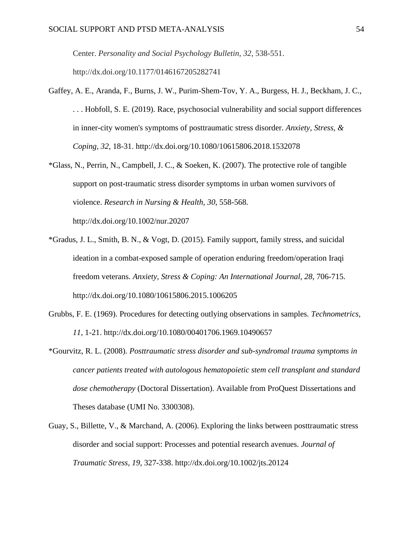Center. *Personality and Social Psychology Bulletin*, *32*, 538-551.

http://dx.doi.org/10.1177/0146167205282741

- Gaffey, A. E., Aranda, F., Burns, J. W., Purim-Shem-Tov, Y. A., Burgess, H. J., Beckham, J. C., . . . Hobfoll, S. E. (2019). Race, psychosocial vulnerability and social support differences in inner-city women's symptoms of posttraumatic stress disorder. *Anxiety, Stress, & Coping, 32*, 18-31. http://dx.doi.org/10.1080/10615806.2018.1532078
- \*Glass, N., Perrin, N., Campbell, J. C., & Soeken, K. (2007). The protective role of tangible support on post-traumatic stress disorder symptoms in urban women survivors of violence. *Research in Nursing & Health, 30*, 558-568.

http://dx.doi.org/10.1002/nur.20207

- \*Gradus, J. L., Smith, B. N., & Vogt, D. (2015). Family support, family stress, and suicidal ideation in a combat-exposed sample of operation enduring freedom/operation Iraqi freedom veterans. *Anxiety, Stress & Coping: An International Journal, 28*, 706-715. http://dx.doi.org/10.1080/10615806.2015.1006205
- Grubbs, F. E. (1969). Procedures for detecting outlying observations in samples. *Technometrics, 11*, 1-21. http://dx.doi.org/10.1080/00401706.1969.10490657
- \*Gourvitz, R. L. (2008). *Posttraumatic stress disorder and sub-syndromal trauma symptoms in cancer patients treated with autologous hematopoietic stem cell transplant and standard dose chemotherapy* (Doctoral Dissertation). Available from ProQuest Dissertations and Theses database (UMI No. 3300308).
- Guay, S., Billette, V., & Marchand, A. (2006). Exploring the links between posttraumatic stress disorder and social support: Processes and potential research avenues. *Journal of Traumatic Stress, 19*, 327-338. http://dx.doi.org/10.1002/jts.20124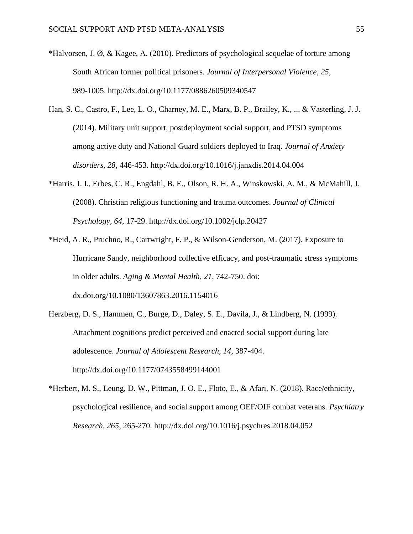- \*Halvorsen, J. Ø, & Kagee, A. (2010). Predictors of psychological sequelae of torture among South African former political prisoners. *Journal of Interpersonal Violence, 25*, 989-1005. http://dx.doi.org/10.1177/0886260509340547
- Han, S. C., Castro, F., Lee, L. O., Charney, M. E., Marx, B. P., Brailey, K., ... & Vasterling, J. J. (2014). Military unit support, postdeployment social support, and PTSD symptoms among active duty and National Guard soldiers deployed to Iraq. *Journal of Anxiety disorders*, *28*, 446-453. http://dx.doi.org/10.1016/j.janxdis.2014.04.004
- \*Harris, J. I., Erbes, C. R., Engdahl, B. E., Olson, R. H. A., Winskowski, A. M., & McMahill, J. (2008). Christian religious functioning and trauma outcomes. *Journal of Clinical Psychology, 64*, 17-29. http://dx.doi.org/10.1002/jclp.20427
- \*Heid, A. R., Pruchno, R., Cartwright, F. P., & Wilson-Genderson, M. (2017). Exposure to Hurricane Sandy, neighborhood collective efficacy, and post-traumatic stress symptoms in older adults. *Aging & Mental Health, 21*, 742-750. doi: dx.doi.org/10.1080/13607863.2016.1154016
- Herzberg, D. S., Hammen, C., Burge, D., Daley, S. E., Davila, J., & Lindberg, N. (1999). Attachment cognitions predict perceived and enacted social support during late adolescence. *Journal of Adolescent Research, 14*, 387-404. http://dx.doi.org/10.1177/0743558499144001
- \*Herbert, M. S., Leung, D. W., Pittman, J. O. E., Floto, E., & Afari, N. (2018). Race/ethnicity, psychological resilience, and social support among OEF/OIF combat veterans. *Psychiatry Research, 265*, 265-270. http://dx.doi.org/10.1016/j.psychres.2018.04.052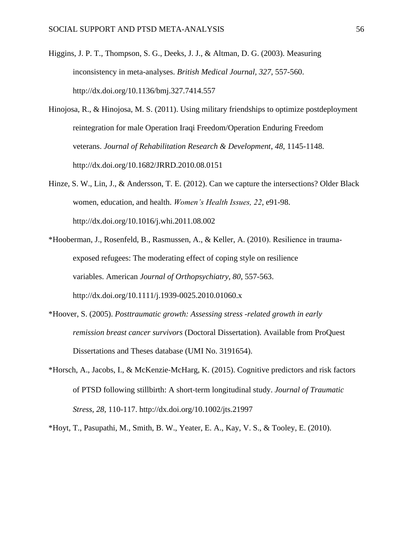- Higgins, J. P. T., Thompson, S. G., Deeks, J. J., & Altman, D. G. (2003). Measuring inconsistency in meta-analyses. *British Medical Journal, 327*, 557-560. http://dx.doi.org/10.1136/bmj.327.7414.557
- Hinojosa, R., & Hinojosa, M. S. (2011). Using military friendships to optimize postdeployment reintegration for male Operation Iraqi Freedom/Operation Enduring Freedom veterans. *Journal of Rehabilitation Research & Development*, *48*, 1145-1148. http://dx.doi.org/10.1682/JRRD.2010.08.0151
- Hinze, S. W., Lin, J., & Andersson, T. E. (2012). Can we capture the intersections? Older Black women, education, and health. *Women's Health Issues, 22*, e91-98. http://dx.doi.org/10.1016/j.whi.2011.08.002
- \*Hooberman, J., Rosenfeld, B., Rasmussen, A., & Keller, A. (2010). Resilience in trauma‐ exposed refugees: The moderating effect of coping style on resilience variables. American *Journal of Orthopsychiatry, 80*, 557-563. http://dx.doi.org/10.1111/j.1939-0025.2010.01060.x
- \*Hoover, S. (2005). *Posttraumatic growth: Assessing stress -related growth in early remission breast cancer survivors* (Doctoral Dissertation). Available from ProQuest Dissertations and Theses database (UMI No. 3191654).
- \*Horsch, A., Jacobs, I., & McKenzie‐McHarg, K. (2015). Cognitive predictors and risk factors of PTSD following stillbirth: A short‐term longitudinal study. *Journal of Traumatic Stress, 28*, 110-117. http://dx.doi.org/10.1002/jts.21997

\*Hoyt, T., Pasupathi, M., Smith, B. W., Yeater, E. A., Kay, V. S., & Tooley, E. (2010).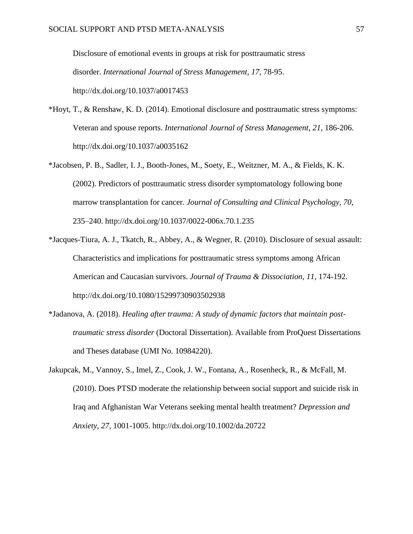Disclosure of emotional events in groups at risk for posttraumatic stress disorder. *International Journal of Stress Management, 17*, 78-95. http://dx.doi.org/10.1037/a0017453

- \*Hoyt, T., & Renshaw, K. D. (2014). Emotional disclosure and posttraumatic stress symptoms: Veteran and spouse reports. *International Journal of Stress Management, 21*, 186-206. http://dx.doi.org/10.1037/a0035162
- \*Jacobsen, P. B., Sadler, I. J., Booth-Jones, M., Soety, E., Weitzner, M. A., & Fields, K. K. (2002). Predictors of posttraumatic stress disorder symptomatology following bone marrow transplantation for cancer. *Journal of Consulting and Clinical Psychology, 70*, 235–240. http://dx.doi.org/10.1037/0022-006x.70.1.235
- \*Jacques-Tiura, A. J., Tkatch, R., Abbey, A., & Wegner, R. (2010). Disclosure of sexual assault: Characteristics and implications for posttraumatic stress symptoms among African American and Caucasian survivors. *Journal of Trauma & Dissociation, 11*, 174-192. http://dx.doi.org/10.1080/15299730903502938
- \*Jadanova, A. (2018). *Healing after trauma: A study of dynamic factors that maintain posttraumatic stress disorder* (Doctoral Dissertation). Available from ProQuest Dissertations and Theses database (UMI No. 10984220).
- Jakupcak, M., Vannoy, S., Imel, Z., Cook, J. W., Fontana, A., Rosenheck, R., & McFall, M. (2010). Does PTSD moderate the relationship between social support and suicide risk in Iraq and Afghanistan War Veterans seeking mental health treatment? *Depression and Anxiety*, *27*, 1001-1005. http://dx.doi.org/10.1002/da.20722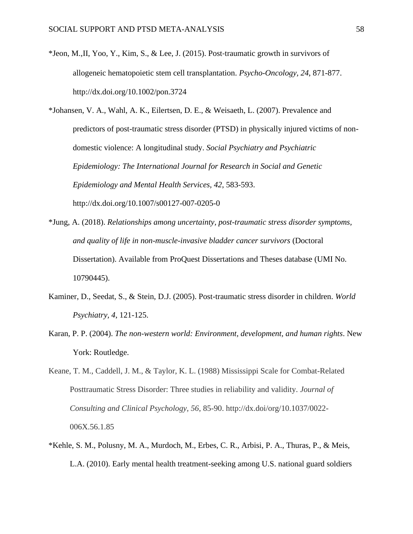- \*Jeon, M.,II, Yoo, Y., Kim, S., & Lee, J. (2015). Post‐traumatic growth in survivors of allogeneic hematopoietic stem cell transplantation. *Psycho-Oncology, 24*, 871-877. http://dx.doi.org/10.1002/pon.3724
- \*Johansen, V. A., Wahl, A. K., Eilertsen, D. E., & Weisaeth, L. (2007). Prevalence and predictors of post-traumatic stress disorder (PTSD) in physically injured victims of nondomestic violence: A longitudinal study. *Social Psychiatry and Psychiatric Epidemiology: The International Journal for Research in Social and Genetic Epidemiology and Mental Health Services, 42*, 583-593. http://dx.doi.org/10.1007/s00127-007-0205-0
- \*Jung, A. (2018). *Relationships among uncertainty, post-traumatic stress disorder symptoms, and quality of life in non-muscle-invasive bladder cancer survivors* (Doctoral Dissertation). Available from ProQuest Dissertations and Theses database (UMI No. 10790445).
- Kaminer, D., Seedat, S., & Stein, D.J. (2005). Post-traumatic stress disorder in children. *World Psychiatry, 4*, 121-125.
- Karan, P. P. (2004). *The non-western world: Environment, development, and human rights*. New York: Routledge.
- Keane, T. M., Caddell, J. M., & Taylor, K. L. (1988) Mississippi Scale for Combat-Related Posttraumatic Stress Disorder: Three studies in reliability and validity. *Journal of Consulting and Clinical Psychology, 56*, 85-90. http://dx.doi/org/10.1037/0022- 006X.56.1.85
- \*Kehle, S. M., Polusny, M. A., Murdoch, M., Erbes, C. R., Arbisi, P. A., Thuras, P., & Meis, L.A. (2010). Early mental health treatment-seeking among U.S. national guard soldiers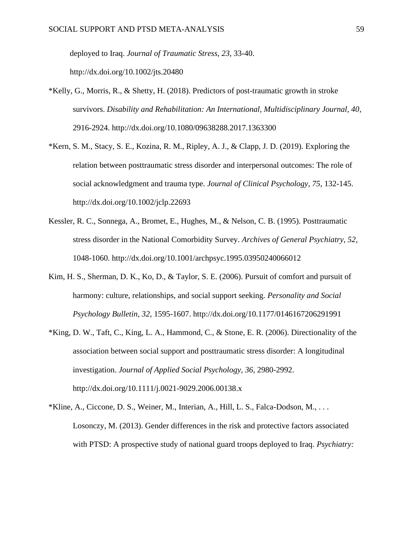deployed to Iraq. *Journal of Traumatic Stress, 23*, 33-40. http://dx.doi.org/10.1002/jts.20480

- \*Kelly, G., Morris, R., & Shetty, H. (2018). Predictors of post-traumatic growth in stroke survivors. *Disability and Rehabilitation: An International, Multidisciplinary Journal, 40*, 2916-2924. http://dx.doi.org/10.1080/09638288.2017.1363300
- \*Kern, S. M., Stacy, S. E., Kozina, R. M., Ripley, A. J., & Clapp, J. D. (2019). Exploring the relation between posttraumatic stress disorder and interpersonal outcomes: The role of social acknowledgment and trauma type. *Journal of Clinical Psychology, 75*, 132-145. http://dx.doi.org/10.1002/jclp.22693
- Kessler, R. C., Sonnega, A., Bromet, E., Hughes, M., & Nelson, C. B. (1995). Posttraumatic stress disorder in the National Comorbidity Survey. *Archives of General Psychiatry, 52*, 1048-1060. http://dx.doi.org/10.1001/archpsyc.1995.03950240066012
- Kim, H. S., Sherman, D. K., Ko, D., & Taylor, S. E. (2006). Pursuit of comfort and pursuit of harmony: culture, relationships, and social support seeking. *Personality and Social Psychology Bulletin, 32*, 1595-1607. http://dx.doi.org/10.1177/0146167206291991
- \*King, D. W., Taft, C., King, L. A., Hammond, C., & Stone, E. R. (2006). Directionality of the association between social support and posttraumatic stress disorder: A longitudinal investigation. *Journal of Applied Social Psychology, 36*, 2980-2992. http://dx.doi.org/10.1111/j.0021-9029.2006.00138.x
- \*Kline, A., Ciccone, D. S., Weiner, M., Interian, A., Hill, L. S., Falca-Dodson, M., . . . Losonczy, M. (2013). Gender differences in the risk and protective factors associated with PTSD: A prospective study of national guard troops deployed to Iraq. *Psychiatry:*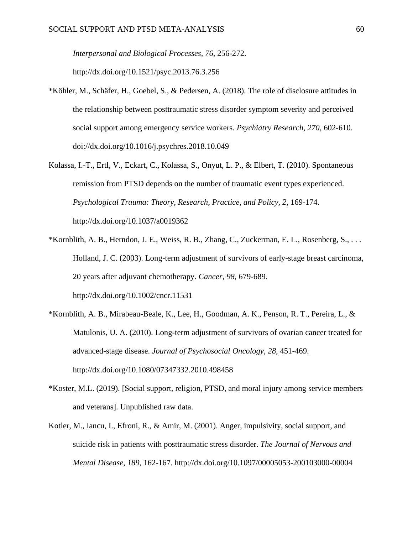*Interpersonal and Biological Processes, 76*, 256-272.

http://dx.doi.org/10.1521/psyc.2013.76.3.256

- \*Köhler, M., Schäfer, H., Goebel, S., & Pedersen, A. (2018). The role of disclosure attitudes in the relationship between posttraumatic stress disorder symptom severity and perceived social support among emergency service workers. *Psychiatry Research, 270*, 602-610. doi://dx.doi.org/10.1016/j.psychres.2018.10.049
- Kolassa, I.-T., Ertl, V., Eckart, C., Kolassa, S., Onyut, L. P., & Elbert, T. (2010). Spontaneous remission from PTSD depends on the number of traumatic event types experienced. *Psychological Trauma: Theory, Research, Practice, and Policy, 2*, 169-174. http://dx.doi.org/10.1037/a0019362
- \*Kornblith, A. B., Herndon, J. E., Weiss, R. B., Zhang, C., Zuckerman, E. L., Rosenberg, S., . . . Holland, J. C. (2003). Long-term adjustment of survivors of early-stage breast carcinoma, 20 years after adjuvant chemotherapy. *Cancer, 98*, 679-689. http://dx.doi.org/10.1002/cncr.11531
- \*Kornblith, A. B., Mirabeau-Beale, K., Lee, H., Goodman, A. K., Penson, R. T., Pereira, L., & Matulonis, U. A. (2010). Long-term adjustment of survivors of ovarian cancer treated for advanced-stage disease. *Journal of Psychosocial Oncology, 28*, 451-469. http://dx.doi.org/10.1080/07347332.2010.498458
- \*Koster, M.L. (2019). [Social support, religion, PTSD, and moral injury among service members and veterans]. Unpublished raw data.
- Kotler, M., Iancu, I., Efroni, R., & Amir, M. (2001). Anger, impulsivity, social support, and suicide risk in patients with posttraumatic stress disorder. *The Journal of Nervous and Mental Disease*, *189*, 162-167. http://dx.doi.org/10.1097/00005053-200103000-00004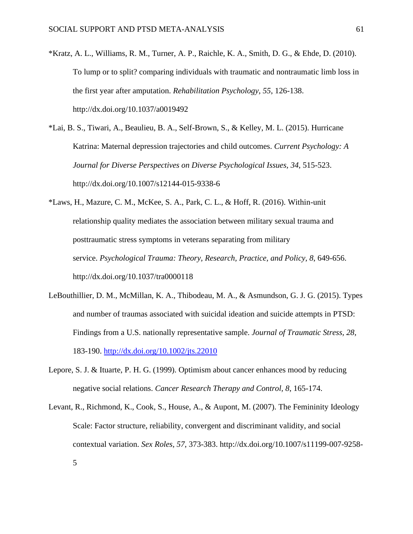- \*Kratz, A. L., Williams, R. M., Turner, A. P., Raichle, K. A., Smith, D. G., & Ehde, D. (2010). To lump or to split? comparing individuals with traumatic and nontraumatic limb loss in the first year after amputation. *Rehabilitation Psychology, 55*, 126-138. http://dx.doi.org/10.1037/a0019492
- \*Lai, B. S., Tiwari, A., Beaulieu, B. A., Self-Brown, S., & Kelley, M. L. (2015). Hurricane Katrina: Maternal depression trajectories and child outcomes. *Current Psychology: A Journal for Diverse Perspectives on Diverse Psychological Issues, 34*, 515-523. http://dx.doi.org/10.1007/s12144-015-9338-6
- \*Laws, H., Mazure, C. M., McKee, S. A., Park, C. L., & Hoff, R. (2016). Within-unit relationship quality mediates the association between military sexual trauma and posttraumatic stress symptoms in veterans separating from military service. *Psychological Trauma: Theory, Research, Practice, and Policy, 8*, 649-656. http://dx.doi.org/10.1037/tra0000118
- LeBouthillier, D. M., McMillan, K. A., Thibodeau, M. A., & Asmundson, G. J. G. (2015). Types and number of traumas associated with suicidal ideation and suicide attempts in PTSD: Findings from a U.S. nationally representative sample. *Journal of Traumatic Stress, 28*, 183-190.<http://dx.doi.org/10.1002/jts.22010>
- Lepore, S. J. & Ituarte, P. H. G. (1999). Optimism about cancer enhances mood by reducing negative social relations. *Cancer Research Therapy and Control, 8*, 165-174.
- Levant, R., Richmond, K., Cook, S., House, A., & Aupont, M. (2007). The Femininity Ideology Scale: Factor structure, reliability, convergent and discriminant validity, and social contextual variation. *Sex Roles, 57*, 373-383. http://dx.doi.org/10.1007/s11199-007-9258- 5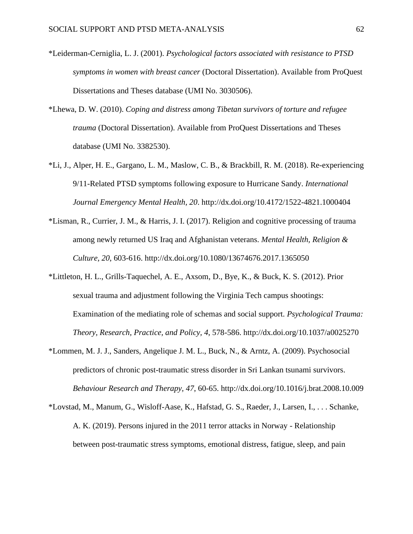- \*Leiderman-Cerniglia, L. J. (2001). *Psychological factors associated with resistance to PTSD symptoms in women with breast cancer* (Doctoral Dissertation). Available from ProQuest Dissertations and Theses database (UMI No. 3030506).
- \*Lhewa, D. W. (2010). *Coping and distress among Tibetan survivors of torture and refugee trauma* (Doctoral Dissertation). Available from ProQuest Dissertations and Theses database (UMI No. 3382530).
- \*Li, J., Alper, H. E., Gargano, L. M., Maslow, C. B., & Brackbill, R. M. (2018). Re-experiencing 9/11-Related PTSD symptoms following exposure to Hurricane Sandy. *International Journal Emergency Mental Health, 20*. http://dx.doi.org/10.4172/1522-4821.1000404
- \*Lisman, R., Currier, J. M., & Harris, J. I. (2017). Religion and cognitive processing of trauma among newly returned US Iraq and Afghanistan veterans. *Mental Health, Religion & Culture, 20*, 603-616. http://dx.doi.org/10.1080/13674676.2017.1365050
- \*Littleton, H. L., Grills-Taquechel, A. E., Axsom, D., Bye, K., & Buck, K. S. (2012). Prior sexual trauma and adjustment following the Virginia Tech campus shootings: Examination of the mediating role of schemas and social support. *Psychological Trauma: Theory, Research, Practice, and Policy, 4*, 578-586. http://dx.doi.org/10.1037/a0025270
- \*Lommen, M. J. J., Sanders, Angelique J. M. L., Buck, N., & Arntz, A. (2009). Psychosocial predictors of chronic post-traumatic stress disorder in Sri Lankan tsunami survivors. *Behaviour Research and Therapy, 47*, 60-65. http://dx.doi.org/10.1016/j.brat.2008.10.009
- \*Lovstad, M., Manum, G., Wisloff-Aase, K., Hafstad, G. S., Raeder, J., Larsen, I., . . . Schanke, A. K. (2019). Persons injured in the 2011 terror attacks in Norway - Relationship between post-traumatic stress symptoms, emotional distress, fatigue, sleep, and pain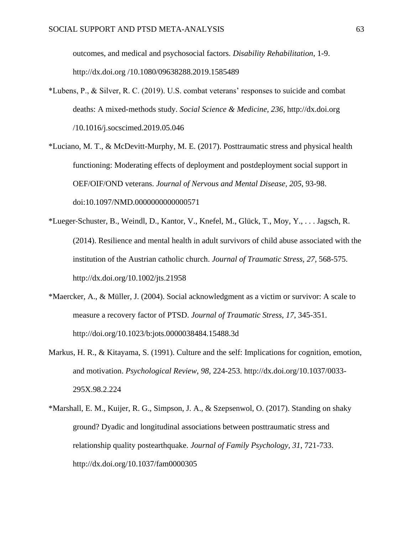outcomes, and medical and psychosocial factors. *Disability Rehabilitation*, 1-9. http://dx.doi.org /10.1080/09638288.2019.1585489

- \*Lubens, P., & Silver, R. C. (2019). U.S. combat veterans' responses to suicide and combat deaths: A mixed-methods study. *Social Science & Medicine, 236*, http://dx.doi.org /10.1016/j.socscimed.2019.05.046
- \*Luciano, M. T., & McDevitt-Murphy, M. E. (2017). Posttraumatic stress and physical health functioning: Moderating effects of deployment and postdeployment social support in OEF/OIF/OND veterans. *Journal of Nervous and Mental Disease, 205*, 93-98. doi:10.1097/NMD.0000000000000571
- \*Lueger‐Schuster, B., Weindl, D., Kantor, V., Knefel, M., Glück, T., Moy, Y., . . . Jagsch, R. (2014). Resilience and mental health in adult survivors of child abuse associated with the institution of the Austrian catholic church. *Journal of Traumatic Stress, 27*, 568-575. http://dx.doi.org/10.1002/jts.21958
- \*Maercker, A., & Müller, J. (2004). Social acknowledgment as a victim or survivor: A scale to measure a recovery factor of PTSD. *Journal of Traumatic Stress, 17*, 345-351. http://doi.org/10.1023/b:jots.0000038484.15488.3d
- Markus, H. R., & Kitayama, S. (1991). Culture and the self: Implications for cognition, emotion, and motivation. *Psychological Review, 98*, 224-253. http://dx.doi.org/10.1037/0033- 295X.98.2.224
- \*Marshall, E. M., Kuijer, R. G., Simpson, J. A., & Szepsenwol, O. (2017). Standing on shaky ground? Dyadic and longitudinal associations between posttraumatic stress and relationship quality postearthquake. *Journal of Family Psychology, 31*, 721-733. http://dx.doi.org/10.1037/fam0000305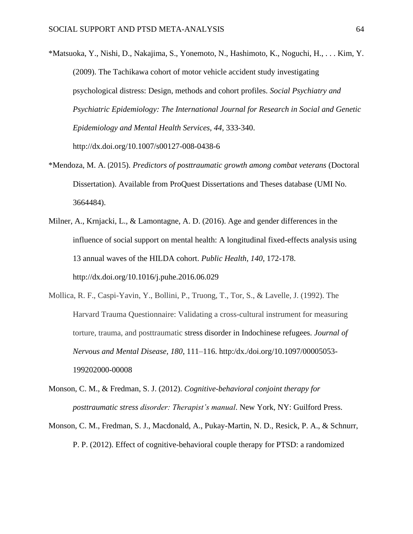- \*Matsuoka, Y., Nishi, D., Nakajima, S., Yonemoto, N., Hashimoto, K., Noguchi, H., . . . Kim, Y. (2009). The Tachikawa cohort of motor vehicle accident study investigating psychological distress: Design, methods and cohort profiles. *Social Psychiatry and Psychiatric Epidemiology: The International Journal for Research in Social and Genetic Epidemiology and Mental Health Services, 44*, 333-340. http://dx.doi.org/10.1007/s00127-008-0438-6
- \*Mendoza, M. A. (2015). *Predictors of posttraumatic growth among combat veterans* (Doctoral Dissertation). Available from ProQuest Dissertations and Theses database (UMI No. 3664484).
- Milner, A., Krnjacki, L., & Lamontagne, A. D. (2016). Age and gender differences in the influence of social support on mental health: A longitudinal fixed-effects analysis using 13 annual waves of the HILDA cohort. *Public Health, 140*, 172-178. http://dx.doi.org/10.1016/j.puhe.2016.06.029
- Mollica, R. F., Caspi-Yavin, Y., Bollini, P., Truong, T., Tor, S., & Lavelle, J. (1992). The Harvard Trauma Questionnaire: Validating a cross-cultural instrument for measuring torture, trauma, and posttraumatic stress disorder in Indochinese refugees. *Journal of Nervous and Mental Disease, 180*, 111–116. http:/dx./doi.org/10.1097/00005053- 199202000-00008
- Monson, C. M., & Fredman, S. J. (2012). *Cognitive-behavioral conjoint therapy for posttraumatic stress disorder: Therapist's manual*. New York, NY: Guilford Press.
- Monson, C. M., Fredman, S. J., Macdonald, A., Pukay-Martin, N. D., Resick, P. A., & Schnurr, P. P. (2012). Effect of cognitive-behavioral couple therapy for PTSD: a randomized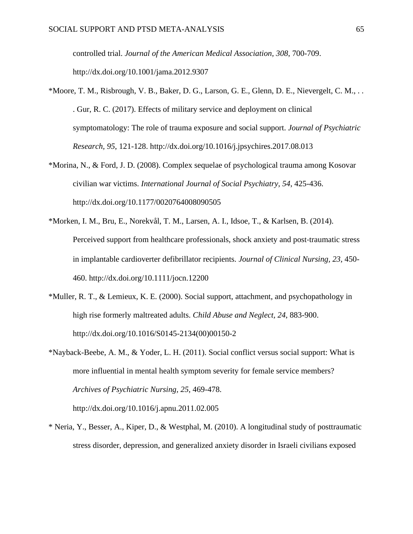controlled trial. *Journal of the American Medical Association, 308*, 700-709. http://dx.doi.org/10.1001/jama.2012.9307

- \*Moore, T. M., Risbrough, V. B., Baker, D. G., Larson, G. E., Glenn, D. E., Nievergelt, C. M., . . . Gur, R. C. (2017). Effects of military service and deployment on clinical symptomatology: The role of trauma exposure and social support. *Journal of Psychiatric Research, 95*, 121-128. http://dx.doi.org/10.1016/j.jpsychires.2017.08.013
- \*Morina, N., & Ford, J. D. (2008). Complex sequelae of psychological trauma among Kosovar civilian war victims. *International Journal of Social Psychiatry, 54*, 425-436. http://dx.doi.org/10.1177/0020764008090505
- \*Morken, I. M., Bru, E., Norekvål, T. M., Larsen, A. I., Idsoe, T., & Karlsen, B. (2014). Perceived support from healthcare professionals, shock anxiety and post-traumatic stress in implantable cardioverter defibrillator recipients. *Journal of Clinical Nursing, 23*, 450- 460. http://dx.doi.org/10.1111/jocn.12200
- \*Muller, R. T., & Lemieux, K. E. (2000). Social support, attachment, and psychopathology in high rise formerly maltreated adults. *Child Abuse and Neglect, 24*, 883-900. http://dx.doi.org/10.1016/S0145-2134(00)00150-2
- \*Nayback-Beebe, A. M., & Yoder, L. H. (2011). Social conflict versus social support: What is more influential in mental health symptom severity for female service members? *Archives of Psychiatric Nursing, 25*, 469-478. http://dx.doi.org/10.1016/j.apnu.2011.02.005
- \* Neria, Y., Besser, A., Kiper, D., & Westphal, M. (2010). A longitudinal study of posttraumatic stress disorder, depression, and generalized anxiety disorder in Israeli civilians exposed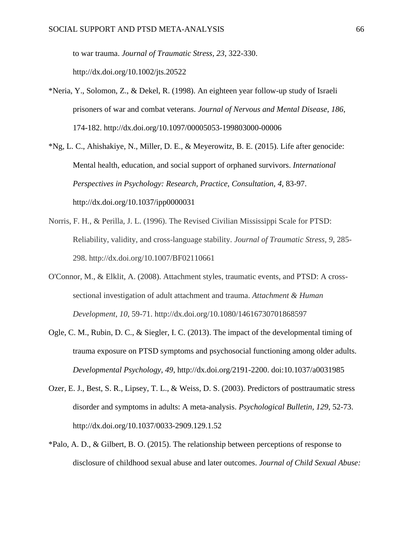to war trauma. *Journal of Traumatic Stress, 23*, 322-330.

http://dx.doi.org/10.1002/jts.20522

- \*Neria, Y., Solomon, Z., & Dekel, R. (1998). An eighteen year follow-up study of Israeli prisoners of war and combat veterans. *Journal of Nervous and Mental Disease, 186*, 174-182. http://dx.doi.org/10.1097/00005053-199803000-00006
- \*Ng, L. C., Ahishakiye, N., Miller, D. E., & Meyerowitz, B. E. (2015). Life after genocide: Mental health, education, and social support of orphaned survivors. *International Perspectives in Psychology: Research, Practice, Consultation, 4*, 83-97. http://dx.doi.org/10.1037/ipp0000031
- Norris, F. H., & Perilla, J. L. (1996). The Revised Civilian Mississippi Scale for PTSD: Reliability, validity, and cross-language stability. *Journal of Traumatic Stress, 9*, 285- 298. http://dx.doi.org/10.1007/BF02110661
- O'Connor, M., & Elklit, A. (2008). Attachment styles, traumatic events, and PTSD: A crosssectional investigation of adult attachment and trauma. *Attachment & Human Development*, *10*, 59-71. http://dx.doi.org/10.1080/14616730701868597
- Ogle, C. M., Rubin, D. C., & Siegler, I. C. (2013). The impact of the developmental timing of trauma exposure on PTSD symptoms and psychosocial functioning among older adults. *Developmental Psychology, 49*, http://dx.doi.org/2191-2200. doi:10.1037/a0031985
- Ozer, E. J., Best, S. R., Lipsey, T. L., & Weiss, D. S. (2003). Predictors of posttraumatic stress disorder and symptoms in adults: A meta-analysis. *Psychological Bulletin, 129*, 52-73. http://dx.doi.org/10.1037/0033-2909.129.1.52
- \*Palo, A. D., & Gilbert, B. O. (2015). The relationship between perceptions of response to disclosure of childhood sexual abuse and later outcomes. *Journal of Child Sexual Abuse:*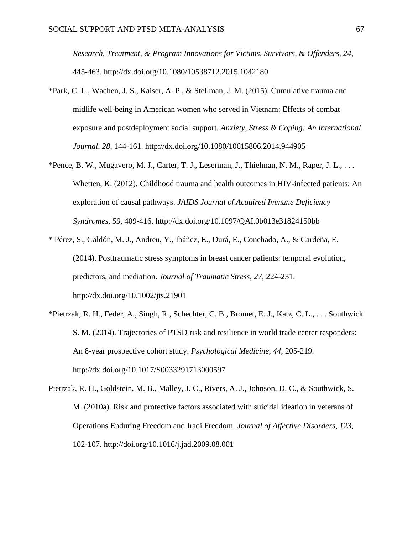*Research, Treatment, & Program Innovations for Victims, Survivors, & Offenders, 24*, 445-463. http://dx.doi.org/10.1080/10538712.2015.1042180

- \*Park, C. L., Wachen, J. S., Kaiser, A. P., & Stellman, J. M. (2015). Cumulative trauma and midlife well-being in American women who served in Vietnam: Effects of combat exposure and postdeployment social support. *Anxiety, Stress & Coping: An International Journal, 28*, 144-161. http://dx.doi.org/10.1080/10615806.2014.944905
- \*Pence, B. W., Mugavero, M. J., Carter, T. J., Leserman, J., Thielman, N. M., Raper, J. L., . . . Whetten, K. (2012). Childhood trauma and health outcomes in HIV-infected patients: An exploration of causal pathways. *JAIDS Journal of Acquired Immune Deficiency Syndromes, 59*, 409-416. http://dx.doi.org/10.1097/QAI.0b013e31824150bb
- \* Pérez, S., Galdón, M. J., Andreu, Y., Ibáñez, E., Durá, E., Conchado, A., & Cardeña, E. (2014). Posttraumatic stress symptoms in breast cancer patients: temporal evolution, predictors, and mediation. *Journal of Traumatic Stress, 27,* 224-231. http://dx.doi.org/10.1002/jts.21901
- \*Pietrzak, R. H., Feder, A., Singh, R., Schechter, C. B., Bromet, E. J., Katz, C. L., . . . Southwick S. M. (2014). Trajectories of PTSD risk and resilience in world trade center responders: An 8-year prospective cohort study. *Psychological Medicine, 44*, 205-219. http://dx.doi.org/10.1017/S0033291713000597
- Pietrzak, R. H., Goldstein, M. B., Malley, J. C., Rivers, A. J., Johnson, D. C., & Southwick, S. M. (2010a). Risk and protective factors associated with suicidal ideation in veterans of Operations Enduring Freedom and Iraqi Freedom. *Journal of Affective Disorders*, *123*, 102-107. http://doi.org/10.1016/j.jad.2009.08.001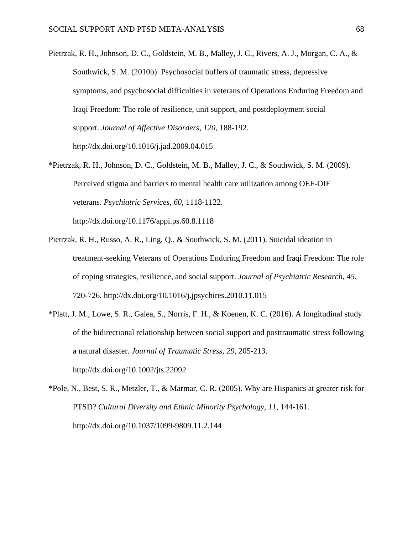- Pietrzak, R. H., Johnson, D. C., Goldstein, M. B., Malley, J. C., Rivers, A. J., Morgan, C. A., & Southwick, S. M. (2010b). Psychosocial buffers of traumatic stress, depressive symptoms, and psychosocial difficulties in veterans of Operations Enduring Freedom and Iraqi Freedom: The role of resilience, unit support, and postdeployment social support. *Journal of Affective Disorders*, *120*, 188-192. http://dx.doi.org/10.1016/j.jad.2009.04.015
- \*Pietrzak, R. H., Johnson, D. C., Goldstein, M. B., Malley, J. C., & Southwick, S. M. (2009). Perceived stigma and barriers to mental health care utilization among OEF-OIF veterans. *Psychiatric Services, 60*, 1118-1122. http://dx.doi.org/10.1176/appi.ps.60.8.1118
- Pietrzak, R. H., Russo, A. R., Ling, Q., & Southwick, S. M. (2011). Suicidal ideation in treatment-seeking Veterans of Operations Enduring Freedom and Iraqi Freedom: The role of coping strategies, resilience, and social support. *Journal of Psychiatric Research*, *45*, 720-726. http://dx.doi.org/10.1016/j.jpsychires.2010.11.015
- \*Platt, J. M., Lowe, S. R., Galea, S., Norris, F. H., & Koenen, K. C. (2016). A longitudinal study of the bidirectional relationship between social support and posttraumatic stress following a natural disaster. *Journal of Traumatic Stress, 29*, 205-213. http://dx.doi.org/10.1002/jts.22092
- \*Pole, N., Best, S. R., Metzler, T., & Marmar, C. R. (2005). Why are Hispanics at greater risk for PTSD? *Cultural Diversity and Ethnic Minority Psychology, 11*, 144-161. http://dx.doi.org/10.1037/1099-9809.11.2.144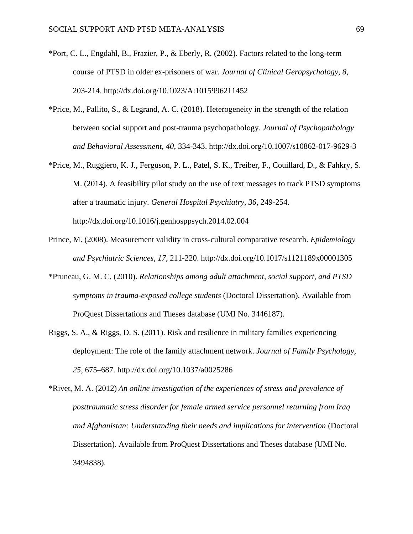- \*Port, C. L., Engdahl, B., Frazier, P., & Eberly, R. (2002). Factors related to the long-term course of PTSD in older ex-prisoners of war. *Journal of Clinical Geropsychology, 8*, 203-214. http://dx.doi.org/10.1023/A:1015996211452
- \*Price, M., Pallito, S., & Legrand, A. C. (2018). Heterogeneity in the strength of the relation between social support and post-trauma psychopathology. *Journal of Psychopathology and Behavioral Assessment, 40*, 334-343. http://dx.doi.org/10.1007/s10862-017-9629-3
- \*Price, M., Ruggiero, K. J., Ferguson, P. L., Patel, S. K., Treiber, F., Couillard, D., & Fahkry, S. M. (2014). A feasibility pilot study on the use of text messages to track PTSD symptoms after a traumatic injury. *General Hospital Psychiatry, 36*, 249-254. http://dx.doi.org/10.1016/j.genhosppsych.2014.02.004
- Prince, M. (2008). Measurement validity in cross-cultural comparative research. *Epidemiology and Psychiatric Sciences, 17*, 211-220. http://dx.doi.org/10.1017/s1121189x00001305
- \*Pruneau, G. M. C. (2010). *Relationships among adult attachment, social support, and PTSD symptoms in trauma-exposed college students* (Doctoral Dissertation). Available from ProQuest Dissertations and Theses database (UMI No. 3446187).
- Riggs, S. A., & Riggs, D. S. (2011). Risk and resilience in military families experiencing deployment: The role of the family attachment network. *Journal of Family Psychology, 25*, 675–687. http://dx.doi.org/10.1037/a0025286

\*Rivet, M. A. (2012) *An online investigation of the experiences of stress and prevalence of posttraumatic stress disorder for female armed service personnel returning from Iraq and Afghanistan: Understanding their needs and implications for intervention* (Doctoral Dissertation). Available from ProQuest Dissertations and Theses database (UMI No. 3494838).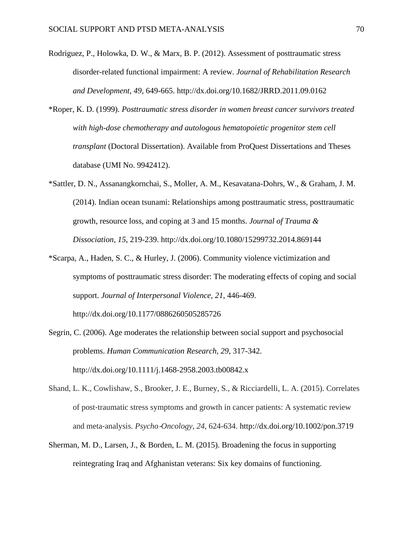- Rodriguez, P., Holowka, D. W., & Marx, B. P. (2012). Assessment of posttraumatic stress disorder-related functional impairment: A review. *Journal of Rehabilitation Research and Development, 49*, 649-665. http://dx.doi.org/10.1682/JRRD.2011.09.0162
- \*Roper, K. D. (1999). *Posttraumatic stress disorder in women breast cancer survivors treated with high-dose chemotherapy and autologous hematopoietic progenitor stem cell transplant* (Doctoral Dissertation). Available from ProQuest Dissertations and Theses database (UMI No. 9942412).
- \*Sattler, D. N., Assanangkornchai, S., Moller, A. M., Kesavatana-Dohrs, W., & Graham, J. M. (2014). Indian ocean tsunami: Relationships among posttraumatic stress, posttraumatic growth, resource loss, and coping at 3 and 15 months. *Journal of Trauma & Dissociation, 15*, 219-239. http://dx.doi.org/10.1080/15299732.2014.869144
- \*Scarpa, A., Haden, S. C., & Hurley, J. (2006). Community violence victimization and symptoms of posttraumatic stress disorder: The moderating effects of coping and social support. *Journal of Interpersonal Violence, 21*, 446-469. http://dx.doi.org/10.1177/0886260505285726
- Segrin, C. (2006). Age moderates the relationship between social support and psychosocial problems. *Human Communication Research, 29*, 317-342. http://dx.doi.org/10.1111/j.1468-2958.2003.tb00842.x
- Shand, L. K., Cowlishaw, S., Brooker, J. E., Burney, S., & Ricciardelli, L. A. (2015). Correlates of post‐traumatic stress symptoms and growth in cancer patients: A systematic review and meta‐analysis. *Psycho*‐*Oncology*, *24*, 624-634. http://dx.doi.org/10.1002/pon.3719
- Sherman, M. D., Larsen, J., & Borden, L. M. (2015). Broadening the focus in supporting reintegrating Iraq and Afghanistan veterans: Six key domains of functioning.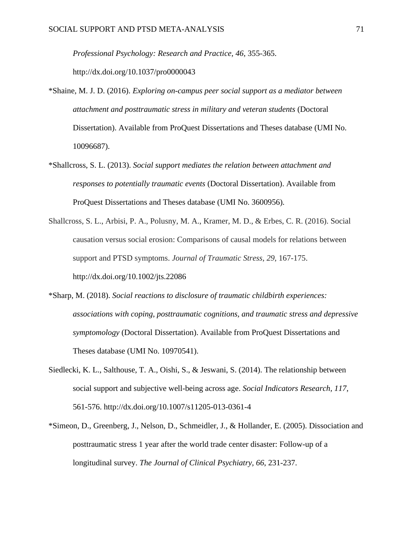*Professional Psychology: Research and Practice, 46*, 355-365.

http://dx.doi.org/10.1037/pro0000043

- \*Shaine, M. J. D. (2016). *Exploring on-campus peer social support as a mediator between attachment and posttraumatic stress in military and veteran students* (Doctoral Dissertation). Available from ProQuest Dissertations and Theses database (UMI No. 10096687).
- \*Shallcross, S. L. (2013). *Social support mediates the relation between attachment and responses to potentially traumatic events* (Doctoral Dissertation). Available from ProQuest Dissertations and Theses database (UMI No. 3600956).
- Shallcross, S. L., Arbisi, P. A., Polusny, M. A., Kramer, M. D., & Erbes, C. R. (2016). Social causation versus social erosion: Comparisons of causal models for relations between support and PTSD symptoms. *Journal of Traumatic Stress*, *29*, 167-175. http://dx.doi.org/10.1002/jts.22086
- \*Sharp, M. (2018). *Social reactions to disclosure of traumatic childbirth experiences: associations with coping, posttraumatic cognitions, and traumatic stress and depressive symptomology* (Doctoral Dissertation). Available from ProQuest Dissertations and Theses database (UMI No. 10970541).
- Siedlecki, K. L., Salthouse, T. A., Oishi, S., & Jeswani, S. (2014). The relationship between social support and subjective well-being across age. *Social Indicators Research, 117*, 561-576. http://dx.doi.org/10.1007/s11205-013-0361-4
- \*Simeon, D., Greenberg, J., Nelson, D., Schmeidler, J., & Hollander, E. (2005). Dissociation and posttraumatic stress 1 year after the world trade center disaster: Follow-up of a longitudinal survey. *The Journal of Clinical Psychiatry, 66*, 231-237.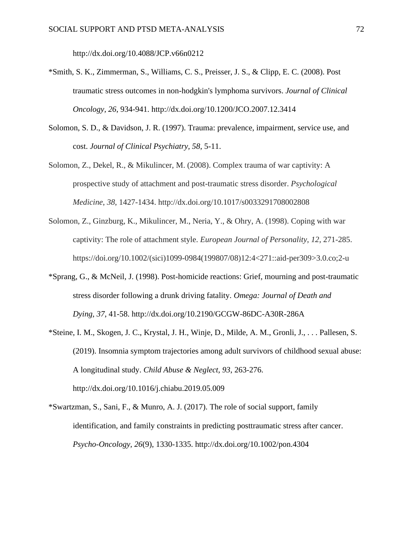http://dx.doi.org/10.4088/JCP.v66n0212

- \*Smith, S. K., Zimmerman, S., Williams, C. S., Preisser, J. S., & Clipp, E. C. (2008). Post traumatic stress outcomes in non-hodgkin's lymphoma survivors. *Journal of Clinical Oncology, 26*, 934-941. http://dx.doi.org/10.1200/JCO.2007.12.3414
- Solomon, S. D., & Davidson, J. R. (1997). Trauma: prevalence, impairment, service use, and cost. *Journal of Clinical Psychiatry, 58*, 5-11.
- Solomon, Z., Dekel, R., & Mikulincer, M. (2008). Complex trauma of war captivity: A prospective study of attachment and post-traumatic stress disorder. *Psychological Medicine*, *38*, 1427-1434. http://dx.doi.org/10.1017/s0033291708002808
- Solomon, Z., Ginzburg, K., Mikulincer, M., Neria, Y., & Ohry, A. (1998). Coping with war captivity: The role of attachment style. *European Journal of Personality*, *12*, 271-285. https://doi.org/10.1002/(sici)1099-0984(199807/08)12:4<271::aid-per309>3.0.co;2-u
- \*Sprang, G., & McNeil, J. (1998). Post-homicide reactions: Grief, mourning and post-traumatic stress disorder following a drunk driving fatality. *Omega: Journal of Death and Dying, 37*, 41-58. http://dx.doi.org/10.2190/GCGW-86DC-A30R-286A
- \*Steine, I. M., Skogen, J. C., Krystal, J. H., Winje, D., Milde, A. M., Gronli, J., . . . Pallesen, S. (2019). Insomnia symptom trajectories among adult survivors of childhood sexual abuse: A longitudinal study. *Child Abuse & Neglect, 93*, 263-276. http://dx.doi.org/10.1016/j.chiabu.2019.05.009
- \*Swartzman, S., Sani, F., & Munro, A. J. (2017). The role of social support, family identification, and family constraints in predicting posttraumatic stress after cancer. *Psycho-Oncology, 26*(9), 1330-1335. http://dx.doi.org/10.1002/pon.4304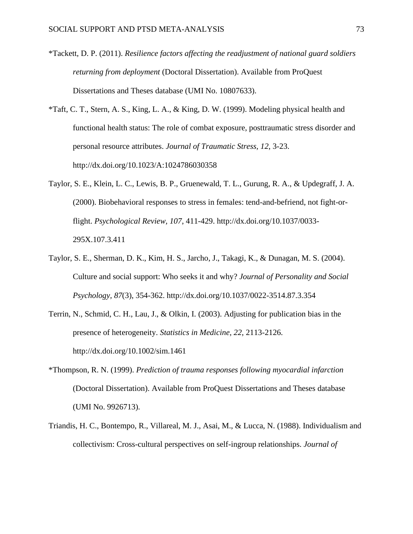- \*Tackett, D. P. (2011). *Resilience factors affecting the readjustment of national guard soldiers returning from deployment* (Doctoral Dissertation). Available from ProQuest Dissertations and Theses database (UMI No. 10807633).
- \*Taft, C. T., Stern, A. S., King, L. A., & King, D. W. (1999). Modeling physical health and functional health status: The role of combat exposure, posttraumatic stress disorder and personal resource attributes. *Journal of Traumatic Stress, 12*, 3-23. http://dx.doi.org/10.1023/A:1024786030358
- Taylor, S. E., Klein, L. C., Lewis, B. P., Gruenewald, T. L., Gurung, R. A., & Updegraff, J. A. (2000). Biobehavioral responses to stress in females: tend-and-befriend, not fight-orflight. *Psychological Review, 107*, 411-429. http://dx.doi.org/10.1037/0033- 295X.107.3.411
- Taylor, S. E., Sherman, D. K., Kim, H. S., Jarcho, J., Takagi, K., & Dunagan, M. S. (2004). Culture and social support: Who seeks it and why? *Journal of Personality and Social Psychology, 87*(3), 354-362. http://dx.doi.org/10.1037/0022-3514.87.3.354
- Terrin, N., Schmid, C. H., Lau, J., & Olkin, I. (2003). Adjusting for publication bias in the presence of heterogeneity. *Statistics in Medicine, 22*, 2113-2126. http://dx.doi.org/10.1002/sim.1461
- \*Thompson, R. N. (1999). *Prediction of trauma responses following myocardial infarction* (Doctoral Dissertation). Available from ProQuest Dissertations and Theses database (UMI No. 9926713).
- Triandis, H. C., Bontempo, R., Villareal, M. J., Asai, M., & Lucca, N. (1988). Individualism and collectivism: Cross-cultural perspectives on self-ingroup relationships. *Journal of*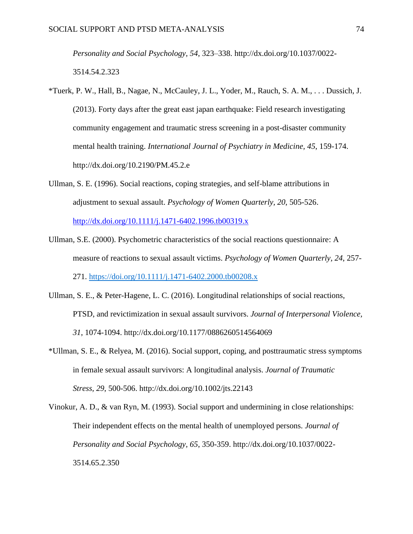*Personality and Social Psychology, 54*, 323–338. http://dx.doi.org/10.1037/0022- 3514.54.2.323

- \*Tuerk, P. W., Hall, B., Nagae, N., McCauley, J. L., Yoder, M., Rauch, S. A. M., . . . Dussich, J. (2013). Forty days after the great east japan earthquake: Field research investigating community engagement and traumatic stress screening in a post-disaster community mental health training. *International Journal of Psychiatry in Medicine, 45*, 159-174. http://dx.doi.org/10.2190/PM.45.2.e
- Ullman, S. E. (1996). Social reactions, coping strategies, and self-blame attributions in adjustment to sexual assault. *Psychology of Women Quarterly, 20*, 505-526.

<http://dx.doi.org/10.1111/j.1471-6402.1996.tb00319.x>

- Ullman, S.E. (2000). Psychometric characteristics of the social reactions questionnaire: A measure of reactions to sexual assault victims. *Psychology of Women Quarterly, 24*, 257- 271. [https://doi.org/10.1111/j.1471-6402.2000.tb00208.x](https://doi.org/10.1111%2Fj.1471-6402.2000.tb00208.x)
- Ullman, S. E., & Peter-Hagene, L. C. (2016). Longitudinal relationships of social reactions, PTSD, and revictimization in sexual assault survivors. *Journal of Interpersonal Violence, 31*, 1074-1094. http://dx.doi.org/10.1177/0886260514564069
- \*Ullman, S. E., & Relyea, M. (2016). Social support, coping, and posttraumatic stress symptoms in female sexual assault survivors: A longitudinal analysis. *Journal of Traumatic Stress, 29*, 500-506. http://dx.doi.org/10.1002/jts.22143

Vinokur, A. D., & van Ryn, M. (1993). Social support and undermining in close relationships: Their independent effects on the mental health of unemployed persons. *Journal of Personality and Social Psychology, 65*, 350-359. http://dx.doi.org/10.1037/0022- 3514.65.2.350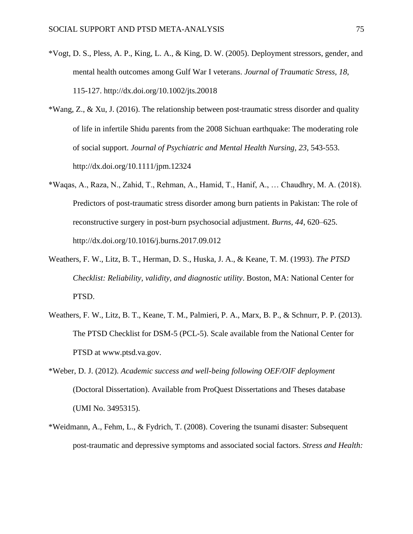- \*Vogt, D. S., Pless, A. P., King, L. A., & King, D. W. (2005). Deployment stressors, gender, and mental health outcomes among Gulf War I veterans. *Journal of Traumatic Stress, 18*, 115-127. http://dx.doi.org/10.1002/jts.20018
- \*Wang, Z., & Xu, J. (2016). The relationship between post‐traumatic stress disorder and quality of life in infertile Shidu parents from the 2008 Sichuan earthquake: The moderating role of social support. *Journal of Psychiatric and Mental Health Nursing, 23*, 543-553. http://dx.doi.org/10.1111/jpm.12324
- \*Waqas, A., Raza, N., Zahid, T., Rehman, A., Hamid, T., Hanif, A., … Chaudhry, M. A. (2018). Predictors of post-traumatic stress disorder among burn patients in Pakistan: The role of reconstructive surgery in post-burn psychosocial adjustment. *Burns, 44*, 620–625. http://dx.doi.org/10.1016/j.burns.2017.09.012
- Weathers, F. W., Litz, B. T., Herman, D. S., Huska, J. A., & Keane, T. M. (1993). *The PTSD Checklist: Reliability, validity, and diagnostic utility*. Boston, MA: National Center for PTSD.
- Weathers, F. W., Litz, B. T., Keane, T. M., Palmieri, P. A., Marx, B. P., & Schnurr, P. P. (2013). The PTSD Checklist for DSM-5 (PCL-5). Scale available from the National Center for PTSD at www.ptsd.va.gov.
- \*Weber, D. J. (2012). *Academic success and well-being following OEF/OIF deployment*  (Doctoral Dissertation). Available from ProQuest Dissertations and Theses database (UMI No. 3495315).
- \*Weidmann, A., Fehm, L., & Fydrich, T. (2008). Covering the tsunami disaster: Subsequent post-traumatic and depressive symptoms and associated social factors. *Stress and Health:*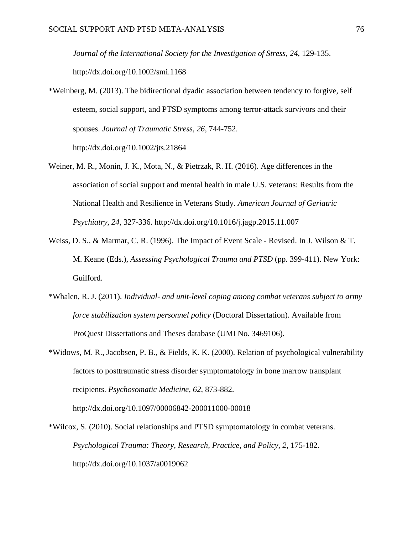*Journal of the International Society for the Investigation of Stress, 24*, 129-135. http://dx.doi.org/10.1002/smi.1168

- \*Weinberg, M. (2013). The bidirectional dyadic association between tendency to forgive, self esteem, social support, and PTSD symptoms among terror-attack survivors and their spouses. *Journal of Traumatic Stress, 26*, 744-752. http://dx.doi.org/10.1002/jts.21864
- Weiner, M. R., Monin, J. K., Mota, N., & Pietrzak, R. H. (2016). Age differences in the association of social support and mental health in male U.S. veterans: Results from the National Health and Resilience in Veterans Study. *American Journal of Geriatric Psychiatry, 24*, 327-336. http://dx.doi.org/10.1016/j.jagp.2015.11.007
- Weiss, D. S., & Marmar, C. R. (1996). The Impact of Event Scale Revised. In J. Wilson & T. M. Keane (Eds.), *Assessing Psychological Trauma and PTSD* (pp. 399-411). New York: Guilford.
- \*Whalen, R. J. (2011). *Individual- and unit-level coping among combat veterans subject to army force stabilization system personnel policy* (Doctoral Dissertation). Available from ProQuest Dissertations and Theses database (UMI No. 3469106).
- \*Widows, M. R., Jacobsen, P. B., & Fields, K. K. (2000). Relation of psychological vulnerability factors to posttraumatic stress disorder symptomatology in bone marrow transplant recipients. *Psychosomatic Medicine, 62*, 873-882. http://dx.doi.org/10.1097/00006842-200011000-00018
- \*Wilcox, S. (2010). Social relationships and PTSD symptomatology in combat veterans. *Psychological Trauma: Theory, Research, Practice, and Policy, 2*, 175-182. http://dx.doi.org/10.1037/a0019062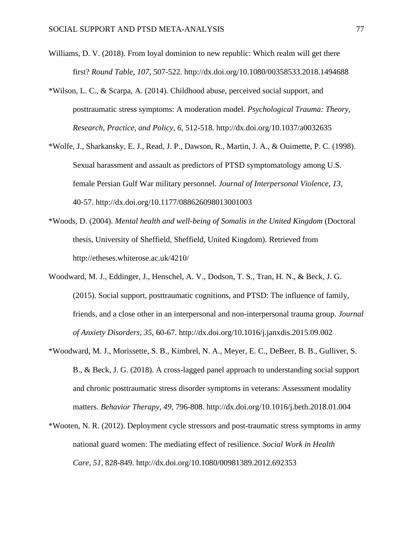- Williams, D. V. (2018). From loyal dominion to new republic: Which realm will get there first? *Round Table, 107*, 507-522. http://dx.doi.org/10.1080/00358533.2018.1494688
- \*Wilson, L. C., & Scarpa, A. (2014). Childhood abuse, perceived social support, and posttraumatic stress symptoms: A moderation model. *Psychological Trauma: Theory, Research, Practice, and Policy, 6*, 512-518. http://dx.doi.org/10.1037/a0032635
- \*Wolfe, J., Sharkansky, E. J., Read, J. P., Dawson, R., Martin, J. A., & Ouimette, P. C. (1998). Sexual harassment and assault as predictors of PTSD symptomatology among U.S. female Persian Gulf War military personnel. *Journal of Interpersonal Violence, 13*, 40-57. http://dx.doi.org/10.1177/088626098013001003
- \*Woods, D. (2004). *Mental health and well-being of Somalis in the United Kingdom* (Doctoral thesis, University of Sheffield, Sheffield, United Kingdom). Retrieved from http://etheses.whiterose.ac.uk/4210/
- Woodward, M. J., Eddinger, J., Henschel, A. V., Dodson, T. S., Tran, H. N., & Beck, J. G. (2015). Social support, posttraumatic cognitions, and PTSD: The influence of family, friends, and a close other in an interpersonal and non-interpersonal trauma group. *Journal of Anxiety Disorders, 35*, 60-67. http://dx.doi.org/10.1016/j.janxdis.2015.09.002
- \*Woodward, M. J., Morissette, S. B., Kimbrel, N. A., Meyer, E. C., DeBeer, B. B., Gulliver, S. B., & Beck, J. G. (2018). A cross-lagged panel approach to understanding social support and chronic posttraumatic stress disorder symptoms in veterans: Assessment modality matters. *Behavior Therapy, 49*, 796-808. http://dx.doi.org/10.1016/j.beth.2018.01.004
- \*Wooten, N. R. (2012). Deployment cycle stressors and post-traumatic stress symptoms in army national guard women: The mediating effect of resilience. *Social Work in Health Care, 51*, 828-849. http://dx.doi.org/10.1080/00981389.2012.692353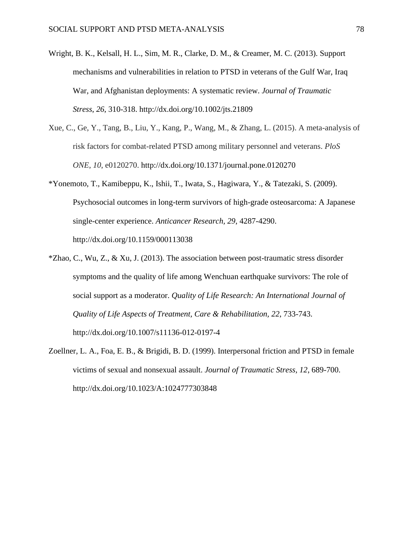- Wright, B. K., Kelsall, H. L., Sim, M. R., Clarke, D. M., & Creamer, M. C. (2013). Support mechanisms and vulnerabilities in relation to PTSD in veterans of the Gulf War, Iraq War, and Afghanistan deployments: A systematic review. *Journal of Traumatic Stress*, *26*, 310-318. http://dx.doi.org/10.1002/jts.21809
- Xue, C., Ge, Y., Tang, B., Liu, Y., Kang, P., Wang, M., & Zhang, L. (2015). A meta-analysis of risk factors for combat-related PTSD among military personnel and veterans. *PloS ONE*, *10*, e0120270. http://dx.doi.org/10.1371/journal.pone.0120270
- \*Yonemoto, T., Kamibeppu, K., Ishii, T., Iwata, S., Hagiwara, Y., & Tatezaki, S. (2009). Psychosocial outcomes in long-term survivors of high-grade osteosarcoma: A Japanese single-center experience. *Anticancer Research, 29*, 4287-4290. http://dx.doi.org/10.1159/000113038
- \*Zhao, C., Wu, Z., & Xu, J. (2013). The association between post-traumatic stress disorder symptoms and the quality of life among Wenchuan earthquake survivors: The role of social support as a moderator. *Quality of Life Research: An International Journal of Quality of Life Aspects of Treatment, Care & Rehabilitation, 22*, 733-743. http://dx.doi.org/10.1007/s11136-012-0197-4
- Zoellner, L. A., Foa, E. B., & Brigidi, B. D. (1999). Interpersonal friction and PTSD in female victims of sexual and nonsexual assault. *Journal of Traumatic Stress, 12*, 689-700. http://dx.doi.org/10.1023/A:1024777303848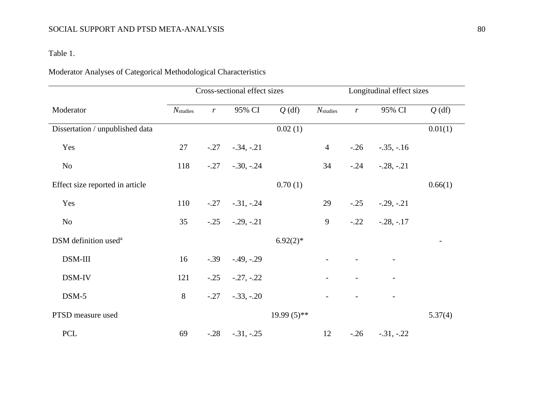## Table 1.

# Moderator Analyses of Categorical Methodological Characteristics

|                                  |                      |                 | Cross-sectional effect sizes |               | Longitudinal effect sizes |                  |                    |          |
|----------------------------------|----------------------|-----------------|------------------------------|---------------|---------------------------|------------------|--------------------|----------|
| Moderator                        | $N_{\text{studies}}$ | $r_{\parallel}$ | 95% CI                       | $Q$ (df)      | $N_{\text{studies}}$      | $\boldsymbol{r}$ | 95% CI             | $Q$ (df) |
| Dissertation / unpublished data  |                      |                 |                              | 0.02(1)       |                           |                  |                    | 0.01(1)  |
| Yes                              | 27                   |                 | $-.27-.34,-.21$              |               | $\overline{4}$            |                  | $-.26 - .35, -.16$ |          |
| N <sub>o</sub>                   | 118                  |                 | $-.27-.30, -.24$             |               | 34                        |                  | $-.24 - .28, -.21$ |          |
| Effect size reported in article  |                      |                 |                              | 0.70(1)       |                           |                  |                    | 0.66(1)  |
| Yes                              | 110                  |                 | $-.27-.31,-.24$              |               | 29                        | $-.25$           | $-.29, -.21$       |          |
| N <sub>o</sub>                   | 35                   |                 | $-.25$ $-.29, -.21$          |               | 9                         |                  | $-.22 - .28, -.17$ |          |
| DSM definition used <sup>a</sup> |                      |                 |                              | $6.92(2)*$    |                           |                  |                    |          |
| DSM-III                          | 16                   | $-.39$          | $-.49, -.29$                 |               |                           |                  |                    |          |
| DSM-IV                           | 121                  |                 | $-.25$ $-.27, -.22$          |               |                           |                  |                    |          |
| $DSM-5$                          | 8                    |                 | $-.27-.33,-.20$              |               |                           |                  |                    |          |
| PTSD measure used                |                      |                 |                              | $19.99(5)$ ** |                           |                  |                    | 5.37(4)  |
| <b>PCL</b>                       | 69                   |                 | $-.28$ $-.31, -.25$          |               | 12                        |                  | $-.26 - .31, -.22$ |          |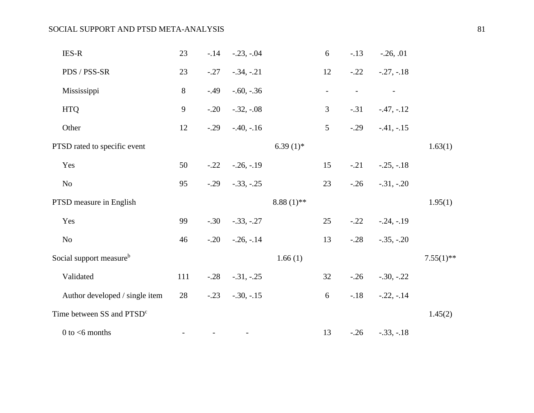| <b>IES-R</b>                          | 23  |        | $-.14$ $-.23, -.04$ |                         | 6                        | $-.13$ | $-.26, .01$  |              |
|---------------------------------------|-----|--------|---------------------|-------------------------|--------------------------|--------|--------------|--------------|
| PDS / PSS-SR                          | 23  | $-.27$ | $-.34, -.21$        |                         | 12                       | $-.22$ | $-.27, -.18$ |              |
| Mississippi                           | 8   | $-.49$ | $-.60, -.36$        |                         | $\overline{\phantom{a}}$ |        |              |              |
| <b>HTQ</b>                            | 9   | $-.20$ | $-.32, -.08$        |                         | $\mathfrak{Z}$           | $-.31$ | $-.47,-.12$  |              |
| Other                                 | 12  | $-.29$ | $-.40, -.16$        |                         | $5\overline{)}$          | $-.29$ | $-.41, -.15$ |              |
| PTSD rated to specific event          |     |        |                     | 6.39 $(1)$ <sup>*</sup> |                          |        |              | 1.63(1)      |
| Yes                                   | 50  | $-.22$ | $-.26, -.19$        |                         | 15                       | $-.21$ | $-.25, -.18$ |              |
| N <sub>o</sub>                        | 95  |        | $-.29$ $-.33, -.25$ |                         | 23                       | $-.26$ | $-.31, -.20$ |              |
| PTSD measure in English               |     |        |                     | $8.88(1)$ **            |                          |        |              | 1.95(1)      |
| Yes                                   | 99  |        | $-.30-.33,-.27$     |                         | 25                       | $-.22$ | $-.24, -.19$ |              |
| N <sub>o</sub>                        | 46  |        | $-.20-.26,-.14$     |                         | 13                       | $-.28$ | $-.35, -.20$ |              |
| Social support measure <sup>b</sup>   |     |        |                     | 1.66(1)                 |                          |        |              | $7.55(1)$ ** |
| Validated                             | 111 |        | $-.28$ $-.31, -.25$ |                         | 32                       | $-.26$ | $-.30, -.22$ |              |
| Author developed / single item        | 28  | $-.23$ | $-.30, -.15$        |                         | 6                        | $-.18$ | $-.22,-.14$  |              |
| Time between SS and PTSD <sup>c</sup> |     |        |                     |                         |                          |        |              | 1.45(2)      |
| $0$ to $<$ 6 months                   |     |        |                     |                         | 13                       | $-.26$ | $-.33, -.18$ |              |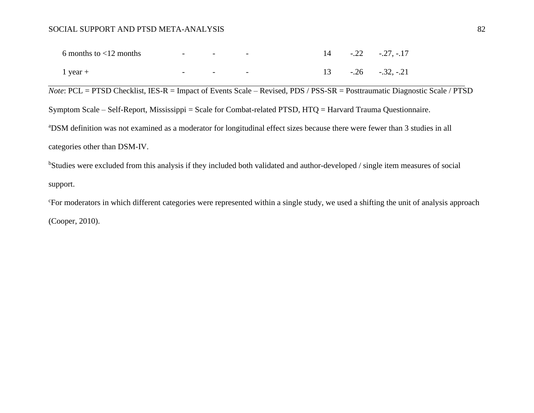| 6 months to $\langle 12 \text{ months} \rangle$ | <b>Service</b> Contractor | and the property of the property            |  | $14 - 0.22 - 0.27, -0.17$ |
|-------------------------------------------------|---------------------------|---------------------------------------------|--|---------------------------|
| 1 year $+$                                      | $\sim$                    | the company's company's company's company's |  | $13 - .26 - .32, -.21$    |

*Note*: PCL = PTSD Checklist, IES-R = Impact of Events Scale – Revised, PDS / PSS-SR = Posttraumatic Diagnostic Scale / PTSD Symptom Scale – Self-Report, Mississippi = Scale for Combat-related PTSD, HTQ = Harvard Trauma Questionnaire. <sup>a</sup>DSM definition was not examined as a moderator for longitudinal effect sizes because there were fewer than 3 studies in all categories other than DSM-IV.

bStudies were excluded from this analysis if they included both validated and author-developed / single item measures of social support.

<sup>c</sup>For moderators in which different categories were represented within a single study, we used a shifting the unit of analysis approach (Cooper, 2010).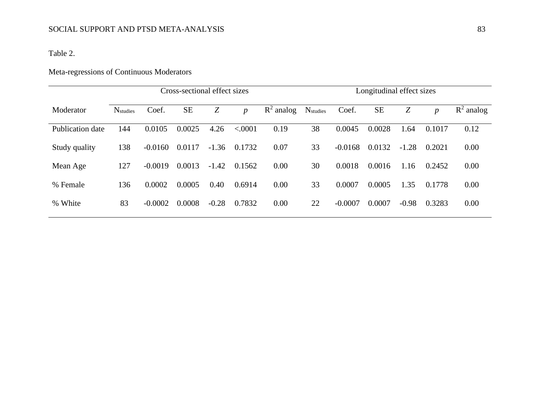## Table 2.

# Meta-regressions of Continuous Moderators

|                  | Cross-sectional effect sizes |           |           |         |                  |              | Longitudinal effect sizes   |           |           |         |                  |              |
|------------------|------------------------------|-----------|-----------|---------|------------------|--------------|-----------------------------|-----------|-----------|---------|------------------|--------------|
| Moderator        | <b>N</b> <sub>studies</sub>  | Coef.     | <b>SE</b> | Z       | $\boldsymbol{p}$ | $R^2$ analog | <b>N</b> <sub>studies</sub> | Coef.     | <b>SE</b> | Z       | $\boldsymbol{p}$ | $R^2$ analog |
| Publication date | 144                          | 0.0105    | 0.0025    | 4.26    | < .0001          | 0.19         | 38                          | 0.0045    | 0.0028    | 1.64    | 0.1017           | 0.12         |
| Study quality    | 138                          | $-0.0160$ | 0.0117    | $-1.36$ | 0.1732           | 0.07         | 33                          | $-0.0168$ | 0.0132    | $-1.28$ | 0.2021           | 0.00         |
| Mean Age         | 127                          | $-0.0019$ | 0.0013    | $-1.42$ | 0.1562           | 0.00         | 30                          | 0.0018    | 0.0016    | 1.16    | 0.2452           | 0.00         |
| % Female         | 136                          | 0.0002    | 0.0005    | 0.40    | 0.6914           | 0.00         | 33                          | 0.0007    | 0.0005    | 1.35    | 0.1778           | 0.00         |
| % White          | 83                           | $-0.0002$ | 0.0008    | $-0.28$ | 0.7832           | 0.00         | 22                          | $-0.0007$ | 0.0007    | $-0.98$ | 0.3283           | 0.00         |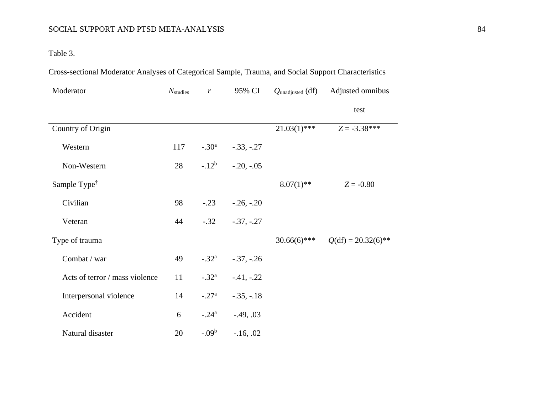## Table 3.

Cross-sectional Moderator Analyses of Categorical Sample, Trauma, and Social Support Characteristics

| Moderator                      | $N_{\text{studies}}$ | $\boldsymbol{r}$ | 95% CI       | $Q$ unadjusted $(df)$ | Adjusted omnibus      |
|--------------------------------|----------------------|------------------|--------------|-----------------------|-----------------------|
|                                |                      |                  |              |                       | test                  |
| Country of Origin              |                      |                  |              | $21.03(1)$ ***        | $Z = -3.38***$        |
| Western                        | 117                  | $-.30^{\rm a}$   | $-.33, -.27$ |                       |                       |
| Non-Western                    | 28                   | $-12^{b}$        | $-.20, -.05$ |                       |                       |
| Sample Type <sup>†</sup>       |                      |                  |              | $8.07(1)$ **          | $Z = -0.80$           |
| Civilian                       | 98                   | $-.23$           | $-.26, -.20$ |                       |                       |
| Veteran                        | 44                   | $-.32$           | $-.37, -.27$ |                       |                       |
| Type of trauma                 |                      |                  |              | $30.66(6)$ ***        | $Q(df) = 20.32(6)$ ** |
| Combat / war                   | 49                   | $-.32^{\rm a}$   | $-.37, -.26$ |                       |                       |
| Acts of terror / mass violence | 11                   | $-.32^{\rm a}$   | $-.41, -.22$ |                       |                       |
| Interpersonal violence         | 14                   | $-.27^{\rm a}$   | $-.35, -.18$ |                       |                       |
| Accident                       | 6                    | $-.24^{\rm a}$   | $-.49, .03$  |                       |                       |
| Natural disaster               | 20                   | $-.09b$          | $-16, .02$   |                       |                       |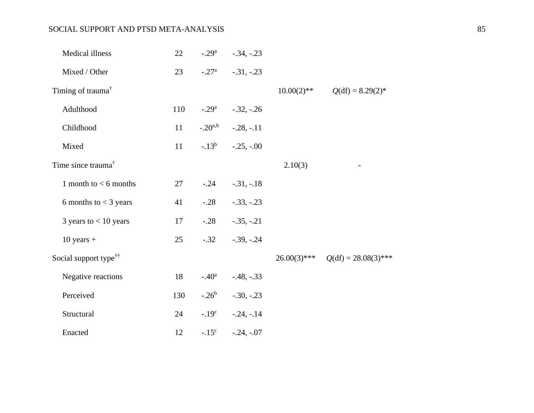| Medical illness                   | 22  | $-.29a$         | $-.34, -.23$ |                |                        |
|-----------------------------------|-----|-----------------|--------------|----------------|------------------------|
| Mixed / Other                     | 23  | $-.27^{\rm a}$  | $-.31, -.23$ |                |                        |
| Timing of trauma <sup>†</sup>     |     |                 |              | $10.00(2)$ **  | $Q(df) = 8.29(2)$ *    |
| Adulthood                         | 110 | $-.29a$         | $-.32, -.26$ |                |                        |
| Childhood                         | 11  | $-.20^{a,b}$    | $-.28, -.11$ |                |                        |
| Mixed                             | 11  | $-13^{b}$       | $-.25, -.00$ |                |                        |
| Time since trauma <sup>†</sup>    |     |                 |              | 2.10(3)        |                        |
| 1 month to $<$ 6 months           | 27  | $-.24$          | $-.31, -.18$ |                |                        |
| 6 months to $<$ 3 years           | 41  | $-.28$          | $-.33, -.23$ |                |                        |
| 3 years to $< 10$ years           | 17  | $-.28$          | $-.35, -.21$ |                |                        |
| $10$ years +                      | 25  | $-.32$          | $-.39, -.24$ |                |                        |
| Social support type <sup>††</sup> |     |                 |              | $26.00(3)$ *** | $Q(df) = 28.08(3)$ *** |
| Negative reactions                | 18  | $-.40^{\circ}$  | $-.48, -.33$ |                |                        |
| Perceived                         | 130 | $-.26^b$        | $-.30, -.23$ |                |                        |
| Structural                        | 24  | $-0.19^{\circ}$ | $-.24,-.14$  |                |                        |
| Enacted                           | 12  | $-.15^{\circ}$  | $-.24, -.07$ |                |                        |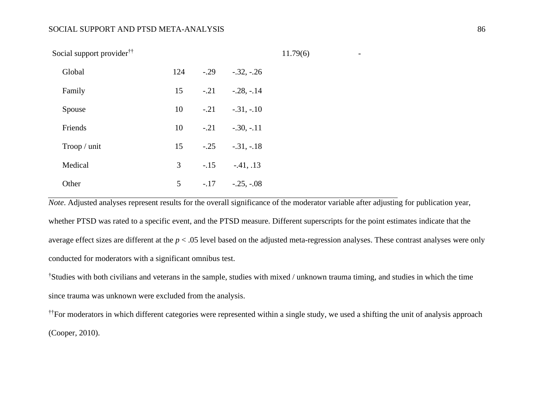Social support provider††

| Global      | 124 | $-.29$ | $-.32, -.26$ |
|-------------|-----|--------|--------------|
| Family      | 15  | $-.21$ | $-.28, -.14$ |
| Spouse      | 10  | $-.21$ | $-.31, -.10$ |
| Friends     | 10  | $-.21$ | $-.30, -.11$ |
| Trop / unit | 15  | $-.25$ | $-.31, -.18$ |
| Medical     | 3   | $-.15$ | $-41, .13$   |
| Other       | 5   | $-.17$ | $-.25, -.08$ |

*Note*. Adjusted analyses represent results for the overall significance of the moderator variable after adjusting for publication year, whether PTSD was rated to a specific event, and the PTSD measure. Different superscripts for the point estimates indicate that the average effect sizes are different at the *p* < .05 level based on the adjusted meta-regression analyses. These contrast analyses were only conducted for moderators with a significant omnibus test.

11.79(6) *-*

†Studies with both civilians and veterans in the sample, studies with mixed / unknown trauma timing, and studies in which the time since trauma was unknown were excluded from the analysis.

††For moderators in which different categories were represented within a single study, we used a shifting the unit of analysis approach (Cooper, 2010).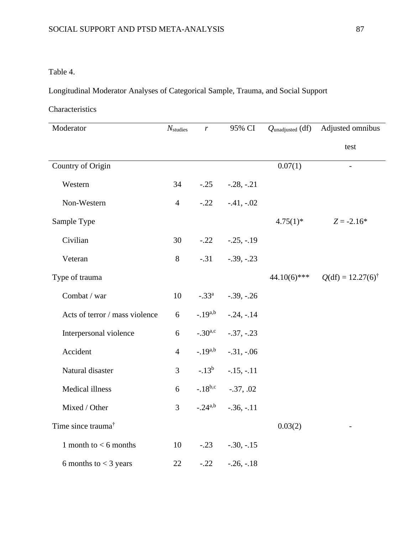## Table 4.

Longitudinal Moderator Analyses of Categorical Sample, Trauma, and Social Support

## Characteristics

| Moderator                      | $N_{\text{studies}}$ | r              | 95% CI       | $Q_{\text{unadjusted}}$ (df) | Adjusted omnibus             |
|--------------------------------|----------------------|----------------|--------------|------------------------------|------------------------------|
|                                |                      |                |              |                              | test                         |
| Country of Origin              |                      |                |              | 0.07(1)                      | $\overline{\phantom{0}}$     |
| Western                        | 34                   | $-.25$         | $-.28, -.21$ |                              |                              |
| Non-Western                    | $\overline{4}$       | $-.22$         | $-.41, -.02$ |                              |                              |
| Sample Type                    |                      |                |              | $4.75(1)$ *                  | $Z = -2.16*$                 |
| Civilian                       | 30                   | $-.22$         | $-.25, -.19$ |                              |                              |
| Veteran                        | $8\,$                | $-.31$         | $-.39, -.23$ |                              |                              |
| Type of trauma                 |                      |                |              | $44.10(6)$ ***               | $Q(df) = 12.27(6)^{\dagger}$ |
| Combat / war                   | 10                   | $-.33^{\circ}$ | $-.39, -.26$ |                              |                              |
| Acts of terror / mass violence | 6                    | $-19^{a,b}$    | $-.24, -.14$ |                              |                              |
| Interpersonal violence         | 6                    | $-.30^{a,c}$   | $-.37, -.23$ |                              |                              |
| Accident                       | $\overline{4}$       | $-.19^{a,b}$   | $-.31, -.06$ |                              |                              |
| Natural disaster               | 3                    | $-13^{b}$      | $-.15, -.11$ |                              |                              |
| Medical illness                | 6                    | $-18^{b,c}$    | $-.37, .02$  |                              |                              |
| Mixed / Other                  | 3                    | $-.24^{a,b}$   | $-.36, -.11$ |                              |                              |
| Time since trauma <sup>†</sup> |                      |                |              | 0.03(2)                      |                              |
| 1 month to $< 6$ months        | 10                   | $-.23$         | $-.30, -.15$ |                              |                              |
| 6 months to $<$ 3 years        | 22                   | $-.22$         | $-.26, -.18$ |                              |                              |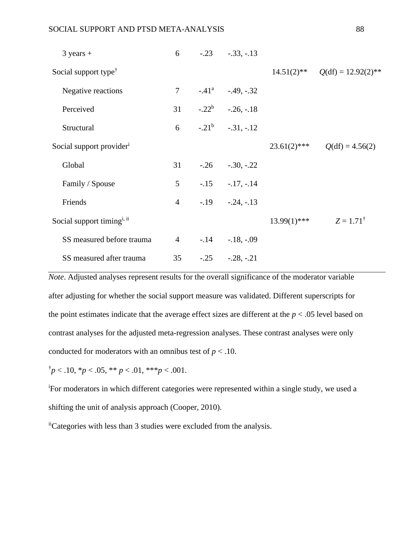| $3 \text{ years} +$                    | 6              | $-.23$ $-.33, -.13$         |                                     |
|----------------------------------------|----------------|-----------------------------|-------------------------------------|
| Social support type <sup>†</sup>       |                |                             | $14.51(2)$ ** $Q(df) = 12.92(2)$ ** |
| Negative reactions                     |                | $7 -.41^{\circ} -.49, -.32$ |                                     |
| Perceived                              |                | 31 $-.22^b$ $-.26, -.18$    |                                     |
| Structural                             |                | 6 $-.21^b$ $-.31, -.12$     |                                     |
| Social support provider <sup>i</sup>   |                |                             | $23.61(2)$ *** $Q(df) = 4.56(2)$    |
| Global                                 |                | $31 -26 -30, -22$           |                                     |
| Family / Spouse                        | 5 <sup>5</sup> | $-.15 - .17, -.14$          |                                     |
| Friends                                | $\overline{4}$ | $-.19$ $-.24, -.13$         |                                     |
| Social support timing <sup>i, ii</sup> |                |                             | $13.99(1)$ *** $Z = 1.71^{\dagger}$ |
| SS measured before trauma              |                | $4 -14 -18, -09$            |                                     |
| SS measured after trauma               | 35             | $-.25$ $-.28, -.21$         |                                     |

*Note*. Adjusted analyses represent results for the overall significance of the moderator variable after adjusting for whether the social support measure was validated. Different superscripts for the point estimates indicate that the average effect sizes are different at the *p* < .05 level based on contrast analyses for the adjusted meta-regression analyses. These contrast analyses were only conducted for moderators with an omnibus test of  $p < 0.10$ .

 $\frac{1}{p}$  < .10,  $\frac{k}{p}$  < .05,  $\frac{k}{p}$  < .01,  $\frac{k}{p}$  < .001.

<sup>i</sup>For moderators in which different categories were represented within a single study, we used a shifting the unit of analysis approach (Cooper, 2010).

iiCategories with less than 3 studies were excluded from the analysis.